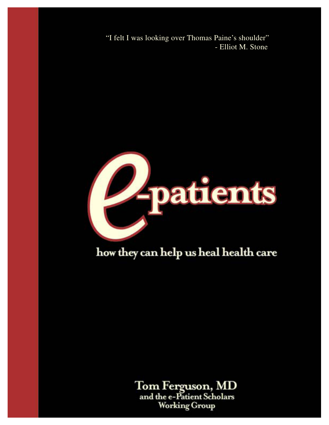"I felt I was looking over Thomas Paine's shoulder" - Elliot M. Stone



## how they can help us heal health care

# Tom Ferguson, MD<br>and the e-Patient Scholars **Working Group**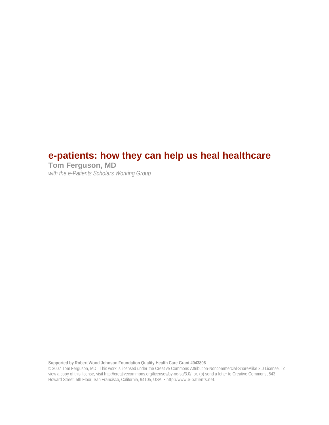## **e-patients: how they can help us heal healthcare**

**Tom Ferguson, MD**  *with the e-Patients Scholars Working Group*

**Supported by Robert Wood Johnson Foundation Quality Health Care Grant #043806** 

© 2007 Tom Ferguson, MD. This work is licensed under the Creative Commons Attribution-Noncommercial-ShareAlike 3.0 License. To view a copy of this license, visit http://creativecommons.org/licenses/by-nc-sa/3.0/; or, (b) send a letter to Creative Commons, 543 Howard Street, 5th Floor, San Francisco, California, 94105, USA. • http://www.e-patients.net.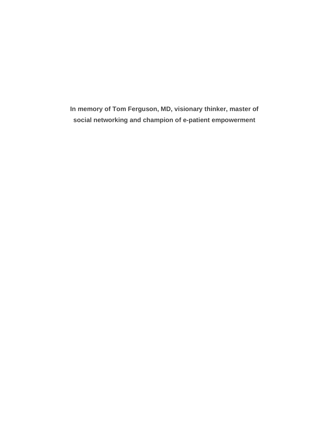**In memory of Tom Ferguson, MD, visionary thinker, master of social networking and champion of e-patient empowerment**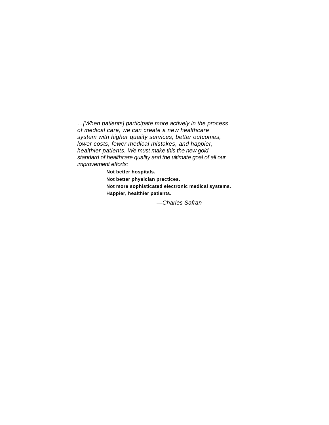*…[When patients] participate more actively in the process of medical care, we can create a new healthcare system with higher quality services, better outcomes, lower costs, fewer medical mistakes, and happier, healthier patients. We must make this the new gold standard of healthcare quality and the ultimate goal of all our improvement efforts:* 

**Not better hospitals.** 

**Not better physician practices.** 

**Not more sophisticated electronic medical systems. Happier, healthier patients.** 

 *—Charles Safran*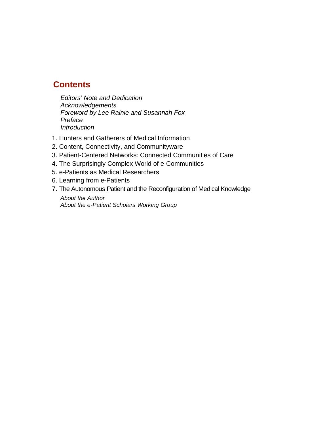## **Contents**

*Editors' Note and Dedication Acknowledgements Foreword by Lee Rainie and Susannah Fox Preface Introduction* 

- 1. Hunters and Gatherers of Medical Information
- 2. Content, Connectivity, and Communityware
- 3. Patient-Centered Networks: Connected Communities of Care
- 4. The Surprisingly Complex World of e-Communities
- 5. e-Patients as Medical Researchers
- 6. Learning from e-Patients
- 7. The Autonomous Patient and the Reconfiguration of Medical Knowledge *About the Author About the e-Patient Scholars Working Group*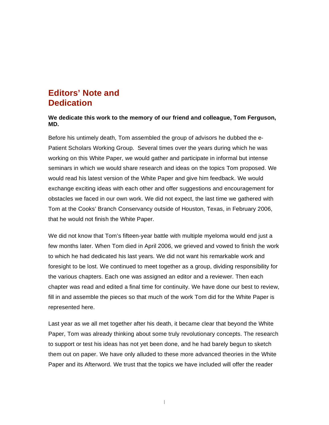## **Editors' Note and Dedication**

#### **We dedicate this work to the memory of our friend and colleague, Tom Ferguson, MD.**

Before his untimely death, Tom assembled the group of advisors he dubbed the e-Patient Scholars Working Group. Several times over the years during which he was working on this White Paper, we would gather and participate in informal but intense seminars in which we would share research and ideas on the topics Tom proposed. We would read his latest version of the White Paper and give him feedback. We would exchange exciting ideas with each other and offer suggestions and encouragement for obstacles we faced in our own work. We did not expect, the last time we gathered with Tom at the Cooks' Branch Conservancy outside of Houston, Texas, in February 2006, that he would not finish the White Paper.

We did not know that Tom's fifteen-year battle with multiple myeloma would end just a few months later. When Tom died in April 2006, we grieved and vowed to finish the work to which he had dedicated his last years. We did not want his remarkable work and foresight to be lost. We continued to meet together as a group, dividing responsibility for the various chapters. Each one was assigned an editor and a reviewer. Then each chapter was read and edited a final time for continuity. We have done our best to review, fill in and assemble the pieces so that much of the work Tom did for the White Paper is represented here.

Last year as we all met together after his death, it became clear that beyond the White Paper, Tom was already thinking about some truly revolutionary concepts. The research to support or test his ideas has not yet been done, and he had barely begun to sketch them out on paper. We have only alluded to these more advanced theories in the White Paper and its Afterword. We trust that the topics we have included will offer the reader

**In the contract of the contract of the contract of the contract of the contract of the contract of the contract of the contract of the contract of the contract of the contract of the contract of the contract of the contra**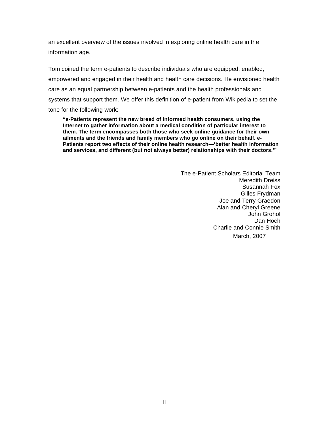an excellent overview of the issues involved in exploring online health care in the information age.

Tom coined the term e-patients to describe individuals who are equipped, enabled, empowered and engaged in their health and health care decisions. He envisioned health care as an equal partnership between e-patients and the health professionals and systems that support them. We offer this definition of e-patient from Wikipedia to set the tone for the following work:

**"e-Patients represent the new breed of informed health consumers, using the Internet to gather information about a medical condition of particular interest to them. The term encompasses both those who seek online guidance for their own ailments and the friends and family members who go online on their behalf. e-Patients report two effects of their online health research—'better health information and services, and different (but not always better) relationships with their doctors.'"** 

> The e-Patient Scholars Editorial Team Meredith Dreiss Susannah Fox Gilles Frydman Joe and Terry Graedon Alan and Cheryl Greene John Grohol Dan Hoch Charlie and Connie Smith March, 2007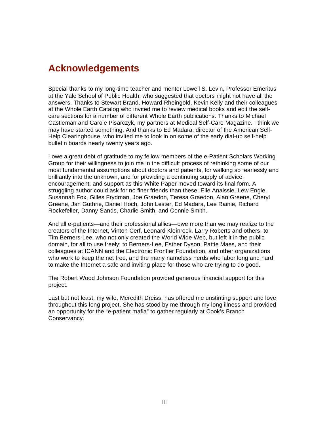## **Acknowledgements**

Special thanks to my long-time teacher and mentor Lowell S. Levin, Professor Emeritus at the Yale School of Public Health, who suggested that doctors might not have all the answers. Thanks to Stewart Brand, Howard Rheingold, Kevin Kelly and their colleagues at the Whole Earth Catalog who invited me to review medical books and edit the selfcare sections for a number of different Whole Earth publications. Thanks to Michael Castleman and Carole Pisarczyk, my partners at Medical Self-Care Magazine. I think we may have started something. And thanks to Ed Madara, director of the American Self-Help Clearinghouse, who invited me to look in on some of the early dial-up self-help bulletin boards nearly twenty years ago.

I owe a great debt of gratitude to my fellow members of the e-Patient Scholars Working Group for their willingness to join me in the difficult process of rethinking some of our most fundamental assumptions about doctors and patients, for walking so fearlessly and brilliantly into the unknown, and for providing a continuing supply of advice, encouragement, and support as this White Paper moved toward its final form. A struggling author could ask for no finer friends than these: Elie Anaissie, Lew Engle, Susannah Fox, Gilles Frydman, Joe Graedon, Teresa Graedon, Alan Greene, Cheryl Greene, Jan Guthrie, Daniel Hoch, John Lester, Ed Madara, Lee Rainie, Richard Rockefeller, Danny Sands, Charlie Smith, and Connie Smith.

And all e-patients—and their professional allies—owe more than we may realize to the creators of the Internet, Vinton Cerf, Leonard Kleinrock, Larry Roberts and others, to Tim Berners-Lee, who not only created the World Wide Web, but left it in the public domain, for all to use freely; to Berners-Lee, Esther Dyson, Pattie Maes, and their colleagues at ICANN and the Electronic Frontier Foundation, and other organizations who work to keep the net free, and the many nameless nerds who labor long and hard to make the Internet a safe and inviting place for those who are trying to do good.

The Robert Wood Johnson Foundation provided generous financial support for this project.

Last but not least, my wife, Meredith Dreiss, has offered me unstinting support and love throughout this long project. She has stood by me through my long illness and provided an opportunity for the "e-patient mafia" to gather regularly at Cook's Branch Conservancy.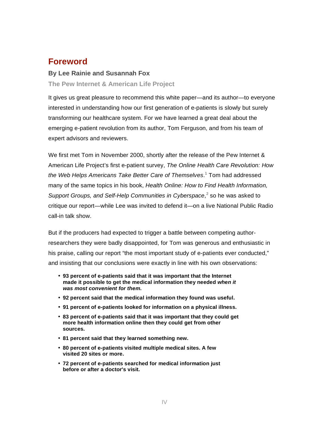## **Foreword**

### **By Lee Rainie and Susannah Fox**

**The Pew Internet & American Life Project** 

It gives us great pleasure to recommend this white paper—and its author—to everyone interested in understanding how our first generation of e-patients is slowly but surely transforming our healthcare system. For we have learned a great deal about the emerging e-patient revolution from its author, Tom Ferguson, and from his team of expert advisors and reviewers.

We first met Tom in November 2000, shortly after the release of the Pew Internet & American Life Project's first e-patient survey, *The Online Health Care Revolution: How the Web Helps Americans Take Better Care of Themselves*. 1 Tom had addressed many of the same topics in his book, *Health Online: How to Find Health Information,*  Support Groups, and Self-Help Communities in Cyberspace,<sup>2</sup> so he was asked to critique our report—while Lee was invited to defend it—on a live National Public Radio call-in talk show.

But if the producers had expected to trigger a battle between competing authorresearchers they were badly disappointed, for Tom was generous and enthusiastic in his praise, calling our report "the most important study of e-patients ever conducted," and insisting that our conclusions were exactly in line with his own observations:

- **93 percent of e-patients said that it was important that the Internet made it possible to get the medical information they needed** *when it was most convenient for them***.**
- **92 percent said that the medical information they found was useful.**
- **91 percent of e-patients looked for information on a physical illness.**
- **83 percent of e-patients said that it was important that they could get more health information online then they could get from other sources.**
- **81 percent said that they learned something new.**
- **80 percent of e-patients visited multiple medical sites. A few visited 20 sites or more.**
- **72 percent of e-patients searched for medical information just before or after a doctor's visit.**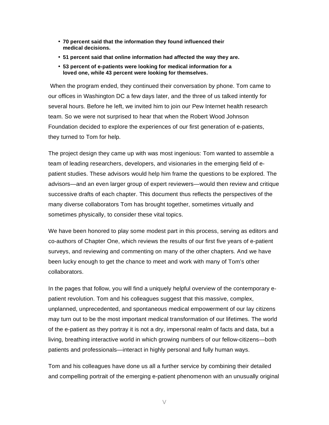- **70 percent said that the information they found influenced their medical decisions.**
- **51 percent said that online information had affected the way they are.**
- **53 percent of e-patients were looking for medical information for a loved one, while 43 percent were looking for themselves.**

When the program ended, they continued their conversation by phone. Tom came to our offices in Washington DC a few days later, and the three of us talked intently for several hours. Before he left, we invited him to join our Pew Internet health research team. So we were not surprised to hear that when the Robert Wood Johnson Foundation decided to explore the experiences of our first generation of e-patients, they turned to Tom for help.

The project design they came up with was most ingenious: Tom wanted to assemble a team of leading researchers, developers, and visionaries in the emerging field of epatient studies. These advisors would help him frame the questions to be explored. The advisors—and an even larger group of expert reviewers—would then review and critique successive drafts of each chapter. This document thus reflects the perspectives of the many diverse collaborators Tom has brought together, sometimes virtually and sometimes physically, to consider these vital topics.

We have been honored to play some modest part in this process, serving as editors and co-authors of Chapter One, which reviews the results of our first five years of e-patient surveys, and reviewing and commenting on many of the other chapters. And we have been lucky enough to get the chance to meet and work with many of Tom's other collaborators.

In the pages that follow, you will find a uniquely helpful overview of the contemporary epatient revolution. Tom and his colleagues suggest that this massive, complex, unplanned, unprecedented, and spontaneous medical empowerment of our lay citizens may turn out to be the most important medical transformation of our lifetimes. The world of the e-patient as they portray it is not a dry, impersonal realm of facts and data, but a living, breathing interactive world in which growing numbers of our fellow-citizens—both patients and professionals—interact in highly personal and fully human ways.

Tom and his colleagues have done us all a further service by combining their detailed and compelling portrait of the emerging e-patient phenomenon with an unusually original

V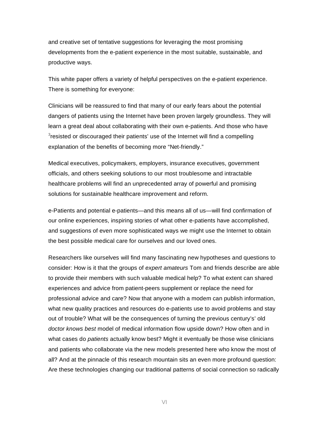and creative set of tentative suggestions for leveraging the most promising developments from the e-patient experience in the most suitable, sustainable, and productive ways.

This white paper offers a variety of helpful perspectives on the e-patient experience. There is something for everyone:

Clinicians will be reassured to find that many of our early fears about the potential dangers of patients using the Internet have been proven largely groundless. They will learn a great deal about collaborating with their own e-patients. And those who have  $3$ resisted or discouraged their patients' use of the Internet will find a compelling explanation of the benefits of becoming more "Net-friendly."

Medical executives, policymakers, employers, insurance executives, government officials, and others seeking solutions to our most troublesome and intractable healthcare problems will find an unprecedented array of powerful and promising solutions for sustainable healthcare improvement and reform.

e-Patients and potential e-patients—and this means all of us—will find confirmation of our online experiences, inspiring stories of what other e-patients have accomplished, and suggestions of even more sophisticated ways we might use the Internet to obtain the best possible medical care for ourselves and our loved ones.

Researchers like ourselves will find many fascinating new hypotheses and questions to consider: How is it that the groups of *expert amateurs* Tom and friends describe are able to provide their members with such valuable medical help? To what extent can shared experiences and advice from patient-peers supplement or replace the need for professional advice and care? Now that anyone with a modem can publish information, what new quality practices and resources do e-patients use to avoid problems and stay out of trouble? What will be the consequences of turning the previous century's' old *doctor knows best* model of medical information flow upside down? How often and in what cases do *patients* actually know best? Might it eventually be those wise clinicians and patients who collaborate via the new models presented here who know the most of all? And at the pinnacle of this research mountain sits an even more profound question: Are these technologies changing our traditional patterns of social connection so radically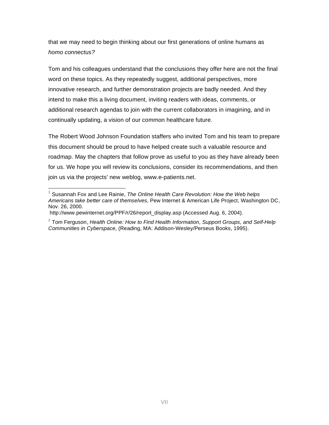that we may need to begin thinking about our first generations of online humans as *homo connectus?* 

Tom and his colleagues understand that the conclusions they offer here are not the final word on these topics. As they repeatedly suggest, additional perspectives, more innovative research, and further demonstration projects are badly needed. And they intend to make this a living document, inviting readers with ideas, comments, or additional research agendas to join with the current collaborators in imagining, and in continually updating, a vision of our common healthcare future.

The Robert Wood Johnson Foundation staffers who invited Tom and his team to prepare this document should be proud to have helped create such a valuable resource and roadmap. May the chapters that follow prove as useful to you as they have already been for us. We hope you will review its conclusions, consider its recommendations, and then join us via the projects' new weblog, www.e-patients.net.

 $\overline{\phantom{a}}$ <sup>1</sup> Susannah Fox and Lee Rainie, *The Online Health Care Revolution: How the Web helps Americans take better care of themselves*, Pew Internet & American Life Project, Washington DC, Nov. 26, 2000.

http://www.pewinternet.org/PPF/r/26/report\_display.asp (Accessed Aug. 6, 2004).

<sup>2</sup> Tom Ferguson, *Health Online: How to Find Health Information, Support Groups, and Self-Help Communities in Cyberspace,* (Reading, MA: Addison-Wesley/Perseus Books, 1995).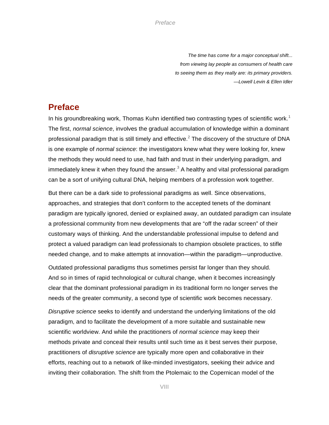*The time has come for a major conceptual shift... from viewing lay people as consumers of health care to seeing them as they really are: its primary providers. —Lowell Levin & Ellen Idler* 

## **Preface**

In his groundbreaking work, Thomas Kuhn identified two contrasting types of scientific work.<sup>1</sup> The first, *normal science*, involves the gradual accumulation of knowledge within a dominant professional paradigm that is still timely and effective.<sup>2</sup> The discovery of the structure of DNA is one example of *normal science*: the investigators knew what they were looking for, knew the methods they would need to use, had faith and trust in their underlying paradigm, and immediately knew it when they found the answer. $^3$  A healthy and vital professional paradigm can be a sort of unifying cultural DNA, helping members of a profession work together.

But there can be a dark side to professional paradigms as well. Since observations, approaches, and strategies that don't conform to the accepted tenets of the dominant paradigm are typically ignored, denied or explained away, an outdated paradigm can insulate a professional community from new developments that are "off the radar screen" of their customary ways of thinking. And the understandable professional impulse to defend and protect a valued paradigm can lead professionals to champion obsolete practices, to stifle needed change, and to make attempts at innovation—within the paradigm—unproductive.

Outdated professional paradigms thus sometimes persist far longer than they should. And so in times of rapid technological or cultural change, when it becomes increasingly clear that the dominant professional paradigm in its traditional form no longer serves the needs of the greater community, a second type of scientific work becomes necessary.

*Disruptive science* seeks to identify and understand the underlying limitations of the old paradigm, and to facilitate the development of a more suitable and sustainable new scientific worldview. And while the practitioners of *normal science* may keep their methods private and conceal their results until such time as it best serves their purpose, practitioners of *disruptive science* are typically more open and collaborative in their efforts, reaching out to a network of like-minded investigators, seeking their advice and inviting their collaboration. The shift from the Ptolemaic to the Copernican model of the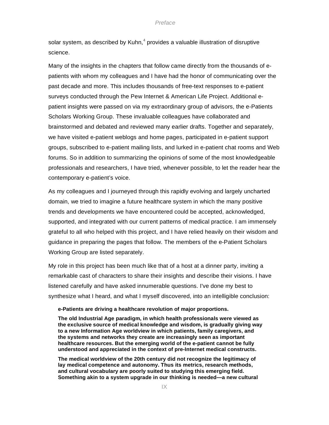#### *Preface*

solar system, as described by Kuhn, $^4$  provides a valuable illustration of disruptive science.

Many of the insights in the chapters that follow came directly from the thousands of epatients with whom my colleagues and I have had the honor of communicating over the past decade and more. This includes thousands of free-text responses to e-patient surveys conducted through the Pew Internet & American Life Project. Additional epatient insights were passed on via my extraordinary group of advisors, the e-Patients Scholars Working Group. These invaluable colleagues have collaborated and brainstormed and debated and reviewed many earlier drafts. Together and separately, we have visited e-patient weblogs and home pages, participated in e-patient support groups, subscribed to e-patient mailing lists, and lurked in e-patient chat rooms and Web forums. So in addition to summarizing the opinions of some of the most knowledgeable professionals and researchers, I have tried, whenever possible, to let the reader hear the contemporary e-patient's voice.

As my colleagues and I journeyed through this rapidly evolving and largely uncharted domain, we tried to imagine a future healthcare system in which the many positive trends and developments we have encountered could be accepted, acknowledged, supported, and integrated with our current patterns of medical practice. I am immensely grateful to all who helped with this project, and I have relied heavily on their wisdom and guidance in preparing the pages that follow. The members of the e-Patient Scholars Working Group are listed separately.

My role in this project has been much like that of a host at a dinner party, inviting a remarkable cast of characters to share their insights and describe their visions. I have listened carefully and have asked innumerable questions. I've done my best to synthesize what I heard, and what I myself discovered, into an intelligible conclusion:

#### **e-Patients are driving a healthcare revolution of major proportions.**

**The old Industrial Age paradigm, in which health professionals were viewed as the exclusive source of medical knowledge and wisdom, is gradually giving way to a new Information Age worldview in which patients, family caregivers, and the systems and networks they create are increasingly seen as important healthcare resources. But the emerging world of the e-patient cannot be fully understood and appreciated in the context of pre-Internet medical constructs.** 

**The medical worldview of the 20th century did not recognize the legitimacy of lay medical competence and autonomy. Thus its metrics, research methods, and cultural vocabulary are poorly suited to studying this emerging field. Something akin to a system upgrade in our thinking is needed—a new cultural**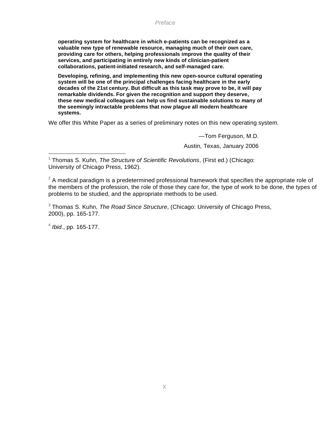**operating system for healthcare in which e-patients can be recognized as a valuable new type of renewable resource, managing much of their own care, providing care for others, helping professionals improve the quality of their services, and participating in entirely new kinds of clinician-patient collaborations, patient-initiated research, and self-managed care.** 

**Developing, refining, and implementing this new open-source cultural operating system will be one of the principal challenges facing healthcare in the early decades of the 21st century. But difficult as this task may prove to be, it will pay remarkable dividends. For given the recognition and support they deserve, these new medical colleagues can help us find sustainable solutions to many of the seemingly intractable problems that now plague all modern healthcare systems.** 

We offer this White Paper as a series of preliminary notes on this new operating system.

—Tom Ferguson, M.D.

Austin, Texas, January 2006

<sup>1</sup> Thomas S. Kuhn, *The Structure of Scientific Revolutions*, (First ed.) (Chicago: University of Chicago Press, 1962).

 $2$  A medical paradigm is a predetermined professional framework that specifies the appropriate role of the members of the profession, the role of those they care for, the type of work to be done, the types of problems to be studied, and the appropriate methods to be used.

3 Thomas S. Kuhn, *The Road Since Structure*, (Chicago: University of Chicago Press, 2000), pp. 165-177.

<sup>4</sup> *Ibid*., pp. 165-177.

 $\overline{a}$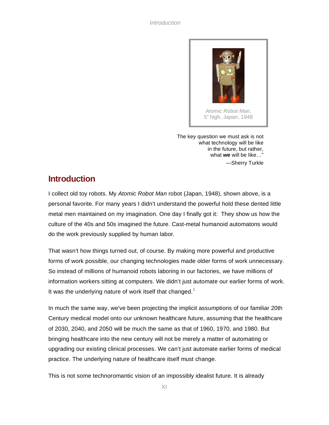*Introduction* 



The key question we must ask is not what technology will be like in the future, but rather, what *we* will be like…" —Sherry Turkle

## **Introduction**

I collect old toy robots. My *Atomic Robot Man* robot (Japan, 1948), shown above, is a personal favorite. For many years I didn't understand the powerful hold these dented little metal men maintained on my imagination. One day I finally got it: They show us how the culture of the 40s and 50s imagined the future. Cast-metal humanoid automatons would do the work previously supplied by human labor.

That wasn't how things turned out, of course. By making more powerful and productive forms of work possible, our changing technologies made older forms of work unnecessary. So instead of millions of humanoid robots laboring in our factories, we have millions of information workers sitting at computers. We didn't just automate our earlier forms of work. It was the underlying nature of work itself that changed.<sup>1</sup>

In much the same way, we've been projecting the implicit assumptions of our familiar 20th Century medical model onto our unknown healthcare future, assuming that the healthcare of 2030, 2040, and 2050 will be much the same as that of 1960, 1970, and 1980. But bringing healthcare into the new century will not be merely a matter of automating or upgrading our existing clinical processes. We can't just automate earlier forms of medical practice. The underlying nature of healthcare itself must change.

This is not some technoromantic vision of an impossibly idealist future. It is already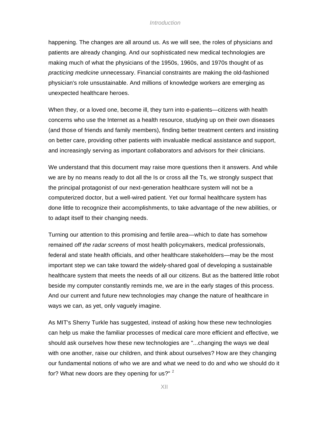#### *Introduction*

happening. The changes are all around us. As we will see, the roles of physicians and patients are already changing. And our sophisticated new medical technologies are making much of what the physicians of the 1950s, 1960s, and 1970s thought of as *practicing medicine* unnecessary. Financial constraints are making the old-fashioned physician's role unsustainable. And millions of knowledge workers are emerging as unexpected healthcare heroes.

When they, or a loved one, become ill, they turn into e-patients—citizens with health concerns who use the Internet as a health resource, studying up on their own diseases (and those of friends and family members), finding better treatment centers and insisting on better care, providing other patients with invaluable medical assistance and support, and increasingly serving as important collaborators and advisors for their clinicians.

We understand that this document may raise more questions then it answers. And while we are by no means ready to dot all the Is or cross all the Ts, we strongly suspect that the principal protagonist of our next-generation healthcare system will not be a computerized doctor, but a well-wired patient. Yet our formal healthcare system has done little to recognize their accomplishments, to take advantage of the new abilities, or to adapt itself to their changing needs.

Turning our attention to this promising and fertile area—which to date has somehow remained *off the radar screens* of most health policymakers, medical professionals, federal and state health officials, and other healthcare stakeholders—may be the most important step we can take toward the widely-shared goal of developing a sustainable healthcare system that meets the needs of all our citizens. But as the battered little robot beside my computer constantly reminds me, we are in the early stages of this process. And our current and future new technologies may change the nature of healthcare in ways we can, as yet, only vaguely imagine.

As MIT's Sherry Turkle has suggested, instead of asking how these new technologies can help us make the familiar processes of medical care more efficient and effective, we should ask ourselves how these new technologies are "...changing the ways we deal with one another, raise our children, and think about ourselves? How are they changing our fundamental notions of who we are and what we need to do and who we should do it for? What new doors are they opening for us?"<sup>2</sup>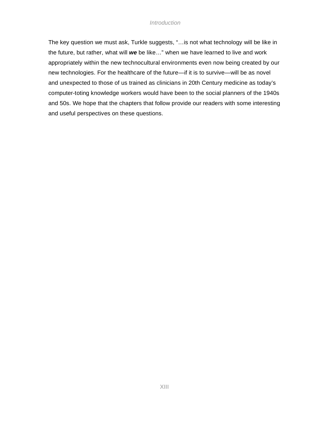#### *Introduction*

The key question we must ask, Turkle suggests, "…is not what technology will be like in the future, but rather, what will *we* be like…" when we have learned to live and work appropriately within the new technocultural environments even now being created by our new technologies. For the healthcare of the future—if it is to survive—will be as novel and unexpected to those of us trained as clinicians in 20th Century medicine as today's computer-toting knowledge workers would have been to the social planners of the 1940s and 50s. We hope that the chapters that follow provide our readers with some interesting and useful perspectives on these questions.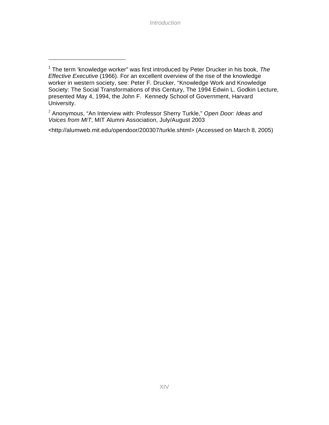$\overline{a}$ 

<sup>1</sup> The term 'knowledge worker" was first introduced by Peter Drucker in his book, *The Effective Executive* (1966). For an excellent overview of the rise of the knowledge worker in western society, see: Peter F. Drucker, "Knowledge Work and Knowledge Society: The Social Transformations of this Century, The 1994 Edwin L. Godkin Lecture, presented May 4, 1994, the John F. Kennedy School of Government, Harvard University.

<sup>2</sup> Anonymous, "An Interview with: Professor Sherry Turkle," *Open Door: Ideas and Voices from MIT*, MIT Alumni Association, July/August 2003

<sup>&</sup>lt;http://alumweb.mit.edu/opendoor/200307/turkle.shtml> (Accessed on March 8, 2005)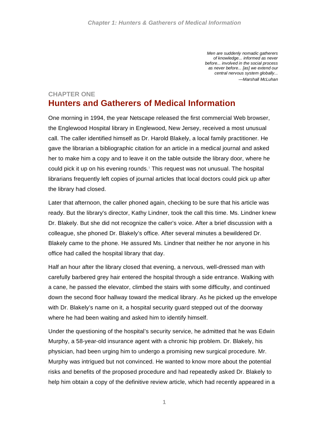*Men are suddenly nomadic gatherers of knowledge... informed as never before... involved in the social process as never before... [as] we extend our central nervous system globally... —Marshall McLuhan*

## **CHAPTER ONE Hunters and Gatherers of Medical Information**

One morning in 1994, the year Netscape released the first commercial Web browser, the Englewood Hospital library in Englewood, New Jersey, received a most unusual call. The caller identified himself as Dr. Harold Blakely, a local family practitioner. He gave the librarian a bibliographic citation for an article in a medical journal and asked her to make him a copy and to leave it on the table outside the library door, where he could pick it up on his evening rounds.<sup>1</sup> This request was not unusual. The hospital librarians frequently left copies of journal articles that local doctors could pick up after the library had closed.

Later that afternoon, the caller phoned again, checking to be sure that his article was ready. But the library's director, Kathy Lindner, took the call this time. Ms. Lindner knew Dr. Blakely. But she did not recognize the caller's voice. After a brief discussion with a colleague, she phoned Dr. Blakely's office. After several minutes a bewildered Dr. Blakely came to the phone. He assured Ms. Lindner that neither he nor anyone in his office had called the hospital library that day.

Half an hour after the library closed that evening, a nervous, well-dressed man with carefully barbered grey hair entered the hospital through a side entrance. Walking with a cane, he passed the elevator, climbed the stairs with some difficulty, and continued down the second floor hallway toward the medical library. As he picked up the envelope with Dr. Blakely's name on it, a hospital security guard stepped out of the doorway where he had been waiting and asked him to identify himself.

Under the questioning of the hospital's security service, he admitted that he was Edwin Murphy, a 58-year-old insurance agent with a chronic hip problem. Dr. Blakely, his physician, had been urging him to undergo a promising new surgical procedure. Mr. Murphy was intrigued but not convinced. He wanted to know more about the potential risks and benefits of the proposed procedure and had repeatedly asked Dr. Blakely to help him obtain a copy of the definitive review article, which had recently appeared in a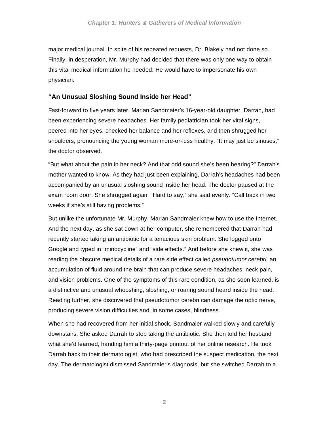major medical journal. In spite of his repeated requests, Dr. Blakely had not done so. Finally, in desperation, Mr. Murphy had decided that there was only one way to obtain this vital medical information he needed: He would have to impersonate his own physician.

## **"An Unusual Sloshing Sound Inside her Head"**

Fast-forward to five years later. Marian Sandmaier's 16-year-old daughter, Darrah, had been experiencing severe headaches. Her family pediatrician took her vital signs, peered into her eyes, checked her balance and her reflexes, and then shrugged her shoulders, pronouncing the young woman more-or-less healthy. "It may just be sinuses," the doctor observed.

"But what about the pain in her neck? And that odd sound she's been hearing?" Darrah's mother wanted to know. As they had just been explaining, Darrah's headaches had been accompanied by an unusual sloshing sound inside her head. The doctor paused at the exam room door. She shrugged again. "Hard to say," she said evenly. "Call back in two weeks if she's still having problems."

But unlike the unfortunate Mr. Murphy, Marian Sandmaier knew how to use the Internet. And the next day, as she sat down at her computer, she remembered that Darrah had recently started taking an antibiotic for a tenacious skin problem. She logged onto Google and typed in "minocycline" and "side effects." And before she knew it, she was reading the obscure medical details of a rare side effect called *pseudotumor cerebri,* an accumulation of fluid around the brain that can produce severe headaches, neck pain, and vision problems. One of the symptoms of this rare condition, as she soon learned, is a distinctive and unusual whooshing, sloshing, or roaring sound heard inside the head. Reading further, she discovered that pseudotumor cerebri can damage the optic nerve, producing severe vision difficulties and, in some cases, blindness.

When she had recovered from her initial shock, Sandmaier walked slowly and carefully downstairs. She asked Darrah to stop taking the antibiotic. She then told her husband what she'd learned, handing him a thirty-page printout of her online research. He took Darrah back to their dermatologist, who had prescribed the suspect medication, the next day. The dermatologist dismissed Sandmaier's diagnosis, but she switched Darrah to a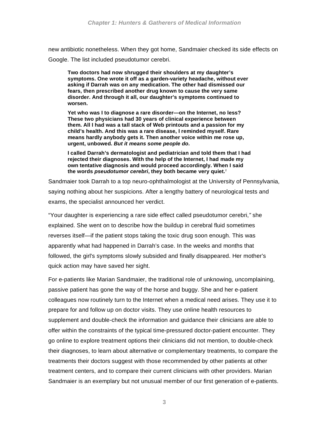new antibiotic nonetheless. When they got home, Sandmaier checked its side effects on Google. The list included pseudotumor cerebri.

**Two doctors had now shrugged their shoulders at my daughter's symptoms. One wrote it off as a garden-variety headache, without ever asking if Darrah was on any medication. The other had dismissed our fears, then prescribed another drug known to cause the very same disorder. And through it all, our daughter's symptoms continued to worsen.** 

**Yet who was I to diagnose a rare disorder—on the Internet, no less? These two physicians had 30 years of clinical experience between them. All I had was a tall stack of Web printouts and a passion for my child's health. And this was a rare disease, I reminded myself. Rare means hardly anybody gets it. Then another voice within me rose up, urgent, unbowed.** *But it means some people do.* 

**I called Darrah's dermatologist and pediatrician and told them that I had rejected their diagnoses. With the help of the Internet, I had made my own tentative diagnosis and would proceed accordingly. When I said the words** *pseudotumor cerebri***, they both became very quiet.2**

Sandmaier took Darrah to a top neuro-ophthalmologist at the University of Pennsylvania, saying nothing about her suspicions. After a lengthy battery of neurological tests and exams, the specialist announced her verdict.

"Your daughter is experiencing a rare side effect called pseudotumor cerebri,*"* she explained. She went on to describe how the buildup in cerebral fluid sometimes reverses itself—if the patient stops taking the toxic drug soon enough. This was apparently what had happened in Darrah's case. In the weeks and months that followed, the girl's symptoms slowly subsided and finally disappeared. Her mother's quick action may have saved her sight.

For e-patients like Marian Sandmaier, the traditional role of unknowing, uncomplaining, passive patient has gone the way of the horse and buggy. She and her e-patient colleagues now routinely turn to the Internet when a medical need arises. They use it to prepare for and follow up on doctor visits. They use online health resources to supplement and double-check the information and guidance their clinicians are able to offer within the constraints of the typical time-pressured doctor-patient encounter. They go online to explore treatment options their clinicians did not mention, to double-check their diagnoses, to learn about alternative or complementary treatments, to compare the treatments their doctors suggest with those recommended by other patients at other treatment centers, and to compare their current clinicians with other providers. Marian Sandmaier is an exemplary but not unusual member of our first generation of e-patients.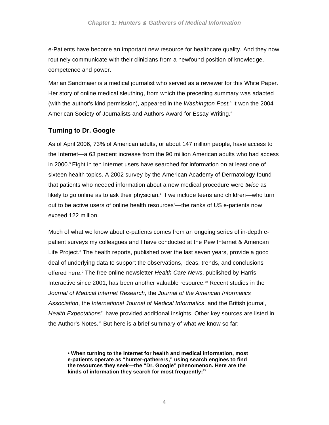e-Patients have become an important new resource for healthcare quality. And they now routinely communicate with their clinicians from a newfound position of knowledge, competence and power.

Marian Sandmaier is a medical journalist who served as a reviewer for this White Paper. Her story of online medical sleuthing, from which the preceding summary was adapted (with the author's kind permission), appeared in the *Washington Post.*<sup>3</sup> It won the 2004 American Society of Journalists and Authors Award for Essay Writing.<sup>4</sup>

## **Turning to Dr. Google**

As of April 2006, 73% of American adults, or about 147 million people, have access to the Internet—a 63 percent increase from the 90 million American adults who had access in 2000.<sup>5</sup> Eight in ten internet users have searched for information on at least one of sixteen health topics. A 2002 survey by the American Academy of Dermatology found that patients who needed information about a new medical procedure were *twice* as likely to go online as to ask their physician.<sup>6</sup> If we include teens and children—who turn out to be active users of online health resources<sup>7</sup>—the ranks of US e-patients now exceed 122 million.

Much of what we know about e-patients comes from an ongoing series of in-depth epatient surveys my colleagues and I have conducted at the Pew Internet & American Life Project.<sup>8</sup> The health reports, published over the last seven years, provide a good deal of underlying data to support the observations, ideas, trends, and conclusions offered here.<sup>9</sup> The free online newsletter *Health Care News*, published by Harris Interactive since 2001, has been another valuable resource.10 Recent studies in the *Journal of Medical Internet Research*, the *Journal of the American Informatics Association*, the *International Journal of Medical Informatics*, and the British journal, Health Expectations<sup>11</sup> have provided additional insights. Other key sources are listed in the Author's Notes.<sup>12</sup> But here is a brief summary of what we know so far:

**• When turning to the Internet for health and medical information, most e-patients operate as "hunter-gatherers," using search engines to find the resources they seek—the "Dr. Google" phenomenon. Here are the**  kinds of information they search for most frequently:<sup>13</sup>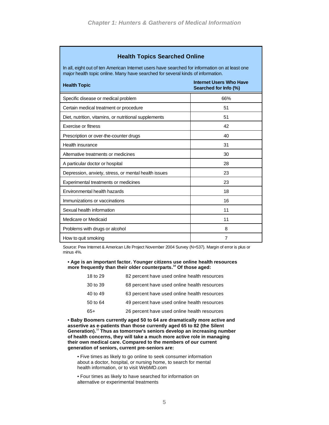#### **Health Topics Searched Online**

In all, eight out of ten American Internet users have searched for information on at least one major health topic online. Many have searched for several kinds of information.

| <b>Health Topic</b>                                   | <b>Internet Users Who Have</b><br>Searched for Info (%) |
|-------------------------------------------------------|---------------------------------------------------------|
| Specific disease or medical problem                   | 66%                                                     |
| Certain medical treatment or procedure                | 51                                                      |
| Diet, nutrition, vitamins, or nutritional supplements | 51                                                      |
| Exercise or fitness                                   | 42                                                      |
| Prescription or over-the-counter drugs                | 40                                                      |
| Health insurance                                      | 31                                                      |
| Alternative treatments or medicines                   | 30                                                      |
| A particular doctor or hospital                       | 28                                                      |
| Depression, anxiety, stress, or mental health issues  | 23                                                      |
| Experimental treatments or medicines                  | 23                                                      |
| Environmental health hazards                          | 18                                                      |
| Immunizations or vaccinations                         | 16                                                      |
| Sexual health information                             | 11                                                      |
| Medicare or Medicaid                                  | 11                                                      |
| Problems with drugs or alcohol                        | 8                                                       |
| How to quit smoking                                   | 7                                                       |

Source: Pew Internet & American Life Project November 2004 Survey (N=537). Margin of error is plus or minus 4%.

#### **• Age is an important factor. Younger citizens use online health resources more frequently than their older counterparts.14 Of those aged:**

| 18 to 29 | 82 percent have used online health resources |
|----------|----------------------------------------------|
| 30 to 39 | 68 percent have used online health resources |
| 40 to 49 | 63 percent have used online health resources |
| 50 to 64 | 49 percent have used online health resources |
| 65+      | 26 percent have used online health resources |

**• Baby Boomers currently aged 50 to 64 are dramatically more active and assertive as e-patients than those currently aged 65 to 82 (the Silent Generation).15 Thus as tomorrow's seniors develop an increasing number of health concerns, they will take a much more active role in managing their own medical care. Compared to the members of our current generation of seniors, current pre-seniors are:** 

• Five times as likely to go online to seek consumer information about a doctor, hospital, or nursing home, to search for mental health information, or to visit WebMD.com

• Four times as likely to have searched for information on alternative or experimental treatments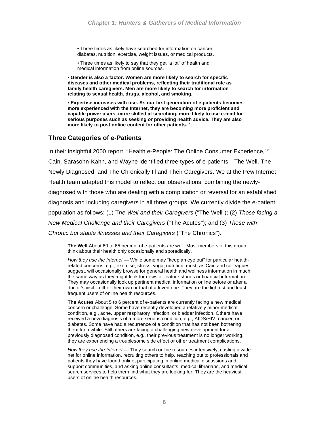• Three times as likely have searched for information on cancer, diabetes, nutrition, exercise, weight issues, or medical products.

• Three times as likely to say that they get "a lot" of health and medical information from online sources.

**• Gender is also a factor. Women are more likely to search for specific diseases and other medical problems, reflecting their traditional role as family health caregivers. Men are more likely to search for information relating to sexual health, drugs, alcohol, and smoking.** 

**• Expertise increases with use. As our first generation of e-patients becomes more experienced with the Internet, they are becoming more proficient and capable power users, more skilled at searching, more likely to use e-mail for serious purposes such as seeking or providing health advice. They are also more likely to post online content for other patients.16** 

### **Three Categories of e-Patients**

In their insightful 2000 report, "Health e-People: The Online Consumer Experience,"<sup>17</sup> Cain, Sarasohn-Kahn, and Wayne identified three types of e-patients—The Well, The Newly Diagnosed, and The Chronically Ill and Their Caregivers. We at the Pew Internet Health team adapted this model to reflect our observations, combining the newlydiagnosed with those who are dealing with a complication or reversal for an established diagnosis and including caregivers in all three groups. We currently divide the e-patient population as follows: (1) T*he Well and their Caregivers* ("The Well"); (2) *Those facing a New Medical Challenge and their Caregivers* ("The Acutes"); and (3) *Those with Chronic but stable illnesses and their Caregivers* ("The Chronics").

**The Well** About 60 to 65 percent of e-patients are well. Most members of this group think about their health only occasionally and sporadically.

*How they use the Internet* — While some may "keep an eye out" for particular healthrelated concerns, e.g., exercise, stress, yoga, nutrition, most, as Cain and colleagues suggest, will occasionally browse for general health and wellness information in much the same way as they might look for news or feature stories or financial information. They may occasionally look up pertinent medical information online before or after a doctor's visit—either their own or that of a loved one. They are the lightest and least frequent users of online health resources.

**The Acutes** About 5 to 6 percent of e-patients are currently facing a new medical concern or challenge. Some have recently developed a relatively minor medical condition, e.g., acne, upper respiratory infection, or bladder infection. Others have received a new diagnosis of a more serious condition, e.g., AIDS/HIV, cancer, or diabetes. Some have had a recurrence of a condition that has not been bothering them for a while. Still others are facing a challenging new development for a previously diagnosed condition, e.g., their previous treatment is no longer working, they are experiencing a troublesome side effect or other treatment complications.

*How they use the Internet* — They search online resources intensively, casting a wide net for online information, recruiting others to help, reaching out to professionals and patients they have found online, participating in online medical discussions and support communities, and asking online consultants, medical librarians, and medical search services to help them find what they are looking for. They are the heaviest users of online health resources.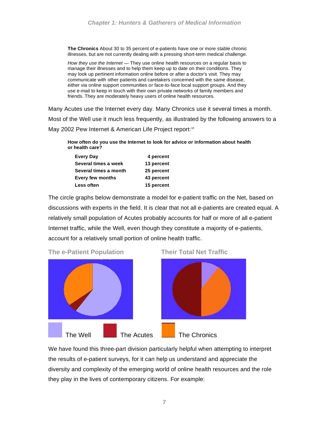**The Chronics** About 30 to 35 percent of e-patients have one or more stable chronic illnesses, but are not currently dealing with a pressing short-term medical challenge.

*How they use the Internet* — They use online health resources on a regular basis to manage their illnesses and to help them keep up to date on their conditions. They may look up pertinent information online before or after a doctor's visit. They may communicate with other patients and caretakers concerned with the same disease, either via online support communities or face-to-face local support groups. And they use e-mail to keep in touch with their own private networks of family members and friends. They are moderately heavy users of online health resources.

Many Acutes use the Internet every day. Many Chronics use it several times a month. Most of the Well use it much less frequently, as illustrated by the following answers to a May 2002 Pew Internet & American Life Project report:<sup>18</sup>

#### **How often do you use the Internet to look for advice or information about health or health care?**

| <b>Every Day</b>        | 4 percent  |
|-------------------------|------------|
| Several times a week    | 13 percent |
| Several times a month   | 25 percent |
| <b>Every few months</b> | 43 percent |
| Less often              | 15 percent |

The circle graphs below demonstrate a model for e-patient traffic on the Net, based on discussions with experts in the field. It is clear that not all e-patients are created equal. A relatively small population of Acutes probably accounts for half or more of all e-patient Internet traffic, while the Well, even though they constitute a majority of e-patients, account for a relatively small portion of online health traffic.



We have found this three-part division particularly helpful when attempting to interpret the results of e-patient surveys, for it can help us understand and appreciate the diversity and complexity of the emerging world of online health resources and the role they play in the lives of contemporary citizens. For example: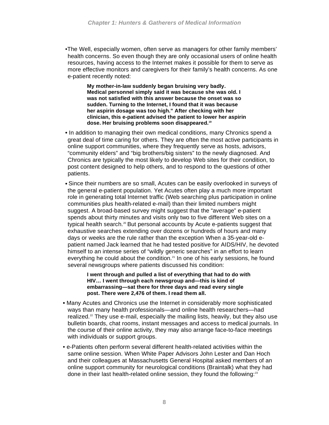•The Well, especially women, often serve as managers for other family members' health concerns. So even though they are only occasional users of online health resources, having access to the Internet makes it possible for them to serve as more effective monitors and caregivers for their family's health concerns. As one e-patient recently noted:

**My mother-in-law suddenly began bruising very badly. Medical personnel simply said it was because she was old. I was not satisfied with this answer because the onset was so sudden. Turning to the Internet, I found that it was because her aspirin dosage was too high." After checking with her clinician, this e-patient advised the patient to lower her aspirin dose. Her bruising problems soon disappeared.19**

- **•** In addition to managing their own medical conditions, many Chronics spend a great deal of time caring for others. They are often the most active participants in online support communities, where they frequently serve as hosts, advisors, "community elders" and "big brothers/big sisters" to the newly diagnosed. And Chronics are typically the most likely to develop Web sites for their condition, to post content designed to help others, and to respond to the questions of other patients.
- **•** Since their numbers are so small, Acutes can be easily overlooked in surveys of the general e-patient population. Yet Acutes often play a much more important role in generating total Internet traffic (Web searching plus participation in online communities plus health-related e-mail) than their limited numbers might suggest. A broad-based survey might suggest that the "average" e-patient spends about thirty minutes and visits only two to five different Web sites on a typical health search.<sup>20</sup> But personal accounts by Acute e-patients suggest that exhaustive searches extending over dozens or hundreds of hours and many days or weeks are the rule rather than the exception When a 35-year-old epatient named Jack learned that he had tested positive for AIDS/HIV, he devoted himself to an intense series of "wildly generic searches" in an effort to learn everything he could about the condition.<sup>21</sup> In one of his early sessions, he found several newsgroups where patients discussed his condition:

**I went through and pulled a list of everything that had to do with HIV… I went through each newsgroup and—this is kind of embarrassing—sat there for three days and read every single post. There were 2,476 of them. I read them all.** 

- Many Acutes and Chronics use the Internet in considerably more sophisticated ways than many health professionals—and online health researchers—had realized. $22$  They use e-mail, especially the mailing lists, heavily, but they also use bulletin boards, chat rooms, instant messages and access to medical journals. In the course of their online activity, they may also arrange face-to-face meetings with individuals or support groups.
- e-Patients often perform several different health-related activities within the same online session. When White Paper Advisors John Lester and Dan Hoch and their colleagues at Massachusetts General Hospital asked members of an online support community for neurological conditions (Braintalk) what they had done in their last health-related online session, they found the following:<sup>23</sup>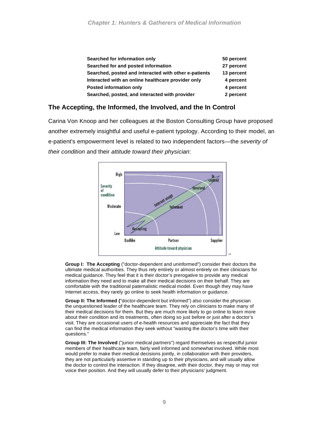| Searched for information only                         | 50 percent |
|-------------------------------------------------------|------------|
| Searched for and posted information                   | 27 percent |
| Searched, posted and interacted with other e-patients | 13 percent |
| Interacted with an online healthcare provider only    | 4 percent  |
| Posted information only                               | 4 percent  |
| Searched, posted, and interacted with provider        | 2 percent  |

### **The Accepting, the Informed, the Involved, and the In Control**

Carina Von Knoop and her colleagues at the Boston Consulting Group have proposed another extremely insightful and useful e-patient typology. According to their model, an e-patient's empowerment level is related to two independent factors—the *severity of their condition* and their *attitude toward their physician*:



**Group I: The Accepting** ("doctor-dependent and uninformed") consider their doctors the ultimate medical authorities. They thus rely entirely or almost entirely on their clinicians for medical guidance. They feel that it is their doctor's prerogative to provide any medical information they need and to make all their medical decisions on their behalf. They are comfortable with the traditional paternalistic medical model. Even though they may have Internet access, they rarely go online to seek health information or guidance.

**Group II: The Informed (**"doctor-dependent but informed") also consider the physician the unquestioned leader of the healthcare team. They rely on clinicians to make many of their medical decisions for them. But they are much more likely to go online to learn more about their condition and its treatments, often doing so just before or just after a doctor's visit. They are occasional users of e-health resources and appreciate the fact that they can find the medical information they seek without "wasting the doctor's time with their questions."

**Group III: The Involved** ("junior medical partners") regard themselves as respectful junior members of their healthcare team, fairly well informed and somewhat involved. While most would prefer to make their medical decisions jointly, in collaboration with their providers, they are not particularly assertive in standing up to their physicians, and will usually allow the doctor to control the interaction. If they disagree, with their doctor, they may or may not voice their position. And they will usually defer to their physicians' judgment.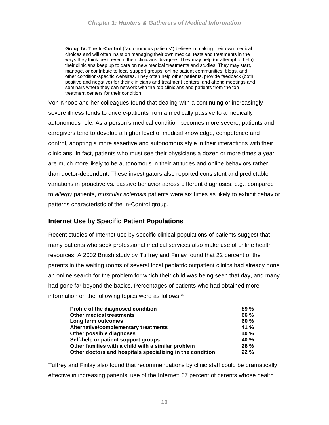**Group IV: The In-Control** ("autonomous patients") believe in making their own medical choices and will often insist on managing their own medical tests and treatments in the ways they think best, even if their clinicians disagree. They may help (or attempt to help) their clinicians keep up to date on new medical treatments and studies. They may start, manage, or contribute to local support groups, online patient communities, blogs, and other condition-specific websites. They often help other patients, provide feedback (both positive and negative) for their clinicians and treatment centers, and attend meetings and seminars where they can network with the top clinicians and patients from the top treatment centers for their condition.

Von Knoop and her colleagues found that dealing with a continuing or increasingly severe illness tends to drive e-patients from a medically passive to a medically autonomous role. As a person's medical condition becomes more severe, patients and caregivers tend to develop a higher level of medical knowledge, competence and control, adopting a more assertive and autonomous style in their interactions with their clinicians. In fact, patients who must see their physicians a dozen or more times a year are much more likely to be autonomous in their attitudes and online behaviors rather than doctor-dependent. These investigators also reported consistent and predictable variations in proactive vs. passive behavior across different diagnoses: e.g., compared to *allergy* patients, *muscular sclerosis* patients were six times as likely to exhibit behavior patterns characteristic of the In-Control group.

### **Internet Use by Specific Patient Populations**

Recent studies of Internet use by specific clinical populations of patients suggest that many patients who seek professional medical services also make use of online health resources. A 2002 British study by Tuffrey and Finlay found that 22 percent of the parents in the waiting rooms of several local pediatric outpatient clinics had already done an online search for the problem for which their child was being seen that day, and many had gone far beyond the basics. Percentages of patients who had obtained more information on the following topics were as follows: $25$ 

| Profile of the diagnosed condition                        | 89%  |
|-----------------------------------------------------------|------|
| <b>Other medical treatments</b>                           | 66 % |
| Long term outcomes                                        | 60%  |
| Alternative/complementary treatments                      | 41 % |
| Other possible diagnoses                                  | 40 % |
| Self-help or patient support groups                       | 40 % |
| Other families with a child with a similar problem        | 28%  |
| Other doctors and hospitals specializing in the condition | 22%  |

Tuffrey and Finlay also found that recommendations by clinic staff could be dramatically effective in increasing patients' use of the Internet: 67 percent of parents whose health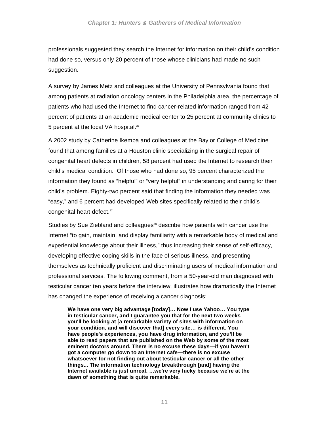professionals suggested they search the Internet for information on their child's condition had done so, versus only 20 percent of those whose clinicians had made no such suggestion.

A survey by James Metz and colleagues at the University of Pennsylvania found that among patients at radiation oncology centers in the Philadelphia area, the percentage of patients who had used the Internet to find cancer-related information ranged from 42 percent of patients at an academic medical center to 25 percent at community clinics to 5 percent at the local VA hospital.26

A 2002 study by Catherine Ikemba and colleagues at the Baylor College of Medicine found that among families at a Houston clinic specializing in the surgical repair of congenital heart defects in children, 58 percent had used the Internet to research their child's medical condition. Of those who had done so, 95 percent characterized the information they found as "helpful" or "very helpful" in understanding and caring for their child's problem. Eighty-two percent said that finding the information they needed was "easy," and 6 percent had developed Web sites specifically related to their child's congenital heart defect.<sup>27</sup>

Studies by Sue Ziebland and colleagues<sup>28</sup> describe how patients with cancer use the Internet "to gain, maintain, and display familiarity with a remarkable body of medical and experiential knowledge about their illness," thus increasing their sense of self-efficacy, developing effective coping skills in the face of serious illness, and presenting themselves as technically proficient and discriminating users of medical information and professional services. The following comment, from a 50-year-old man diagnosed with testicular cancer ten years before the interview, illustrates how dramatically the Internet has changed the experience of receiving a cancer diagnosis:

**We have one very big advantage [today]… Now I use Yahoo… You type in testicular cancer, and I guarantee you that for the next two weeks you'll be looking at [a remarkable variety of sites with information on your condition, and will discover that] every site… is different. You have people's experiences, you have drug information, and you'll be able to read papers that are published on the Web by some of the most eminent doctors around. There is no excuse these days—if you haven't got a computer go down to an Internet cafe—there is no excuse whatsoever for not finding out about testicular cancer or all the other things... The information technology breakthrough [and] having the Internet available is just unreal. …we're very lucky because we're at the dawn of something that is quite remarkable.**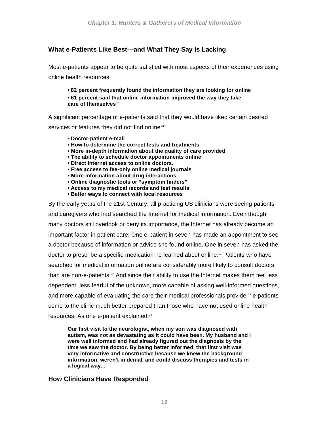## **What e-Patients Like Best—and What They Say is Lacking**

Most e-patients appear to be quite satisfied with most aspects of their experiences using online health resources:

#### **• 82 percent frequently found the information they are looking for online • 61 percent said that online information improved the way they take**  care of themselves<sup>29</sup>

A significant percentage of e-patients said that they would have liked certain desired services or features they did not find online:<sup>30</sup>

- **Doctor-patient e-mail**
- **How to determine the correct tests and treatments**
- **More in-depth information about the quality of care provided**
- **The ability to schedule doctor appointments online**
- **Direct Internet access to online doctors.**
- **Free access to fee-only online medical journals**
- **More information about drug interactions**
- **Online diagnostic tools or "symptom finders"**
- **Access to my medical records and test results**
- **Better ways to connect with local resources**

By the early years of the 21st Century, all practicing US clinicians were seeing patients and caregivers who had searched the Internet for medical information. Even though many doctors still overlook or deny its importance, the Internet has already become an important factor in patient care: One e-patient in seven has made an appointment to see a doctor because of information or advice she found online. One in seven has asked the doctor to prescribe a specific medication he learned about online.31 Patients who have searched for medical information online are considerably more likely to consult doctors than are non-e-patients. $22$  And since their ability to use the Internet makes them feel less dependent, less fearful of the unknown, more capable of asking well-informed questions, and more capable of evaluating the care their medical professionals provide, $33$  e-patients come to the clinic much better prepared than those who have not used online health resources. As one e-patient explained: 34

**Our first visit to the neurologist, when my son was diagnosed with autism, was not as devastating as it could have been. My husband and I were well informed and had already figured out the diagnosis by the time we saw the doctor. By being better informed, that first visit was very informative and constructive because we knew the background information, weren't in denial, and could discuss therapies and tests in a logical way...** 

### **How Clinicians Have Responded**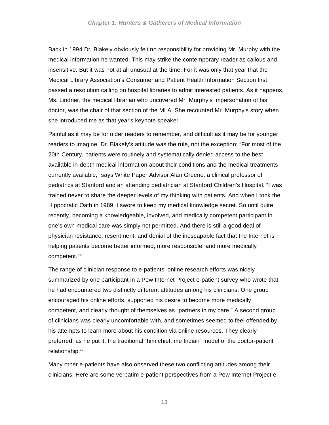Back in 1994 Dr. Blakely obviously felt no responsibility for providing Mr. Murphy with the medical information he wanted. This may strike the contemporary reader as callous and insensitive. But it was not at all unusual at the time. For it was only that year that the Medical Library Association's Consumer and Patient Health Information Section first passed a resolution calling on hospital libraries to admit interested patients. As it happens, Ms. Lindner, the medical librarian who uncovered Mr. Murphy's impersonation of his doctor, was the chair of that section of the MLA. She recounted Mr. Murphy's story when she introduced me as that year's keynote speaker.

Painful as it may be for older readers to remember, and difficult as it may be for younger readers to imagine, Dr. Blakely's attitude was the rule, not the exception: "For most of the 20th Century, patients were routinely and systematically denied access to the best available in-depth medical information about their conditions and the medical treatments currently available," says White Paper Advisor Alan Greene, a clinical professor of pediatrics at Stanford and an attending pediatrician at Stanford Children's Hospital. "I was trained never to share the deeper levels of my thinking with patients. And when I took the Hippocratic Oath in 1989, I swore to keep my medical knowledge secret. So until quite recently, becoming a knowledgeable, involved, and medically competent participant in one's own medical care was simply not permitted. And there is still a good deal of physician resistance, resentment, and denial of the inescapable fact that the Internet is helping patients become better informed, more responsible, and more medically competent."35

The range of clinician response to e-patients' online research efforts was nicely summarized by one participant in a Pew Internet Project e-patient survey who wrote that he had encountered two distinctly different attitudes among his clinicians: One group encouraged his online efforts, supported his desire to become more medically competent, and clearly thought of themselves as "partners in my care." A second group of clinicians was clearly uncomfortable with, and sometimes seemed to feel offended by, his attempts to learn more about his condition via online resources. They clearly preferred, as he put it, the traditional "him chief, me Indian" model of the doctor-patient relationship.36

Many other e-patients have also observed these two conflicting attitudes among their clinicians. Here are some verbatim e-patient perspectives from a Pew Internet Project e-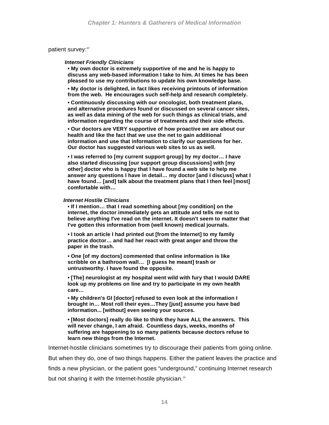patient survey: 37

#### *Internet Friendly Clinicians*

**• My own doctor is extremely supportive of me and he is happy to discuss any web-based information I take to him. At times he has been pleased to use my contributions to update his own knowledge base.** 

**• My doctor is delighted, in fact likes receiving printouts of information from the web. He encourages such self-help and research completely.** 

**• Continuously discussing with our oncologist, both treatment plans, and alternative procedures found or discussed on several cancer sites, as well as data mining of the web for such things as clinical trials, and information regarding the course of treatments and their side effects.** 

**• Our doctors are VERY supportive of how proactive we are about our health and like the fact that we use the net to gain additional information and use that information to clarify our questions for her. Our doctor has suggested various web sites to us as well.** 

**• I was referred to [my current support group] by my doctor… I have also started discussing [our support group discussions] with [my other] doctor who is happy that I have found a web site to help me answer any questions I have in detail… my doctor [and I discuss] what I have found… [and] talk about the treatment plans that I then feel [most] comfortable with…** 

#### *Internet Hostile Clinicians*

**• If I mention… that I read something about [my condition] on the internet, the doctor immediately gets an attitude and tells me not to believe anything I've read on the internet. It doesn't seem to matter that I've gotten this information from (well known) medical journals.** 

**• I took an article I had printed out [from the Internet] to my family practice doctor… and had her react with great anger and throw the paper in the trash.** 

**• One [of my doctors] commented that online information is like scribble on a bathroom wall… [I guess he meant] trash or untrustworthy. I have found the opposite.** 

**• [The] neurologist at my hospital went wild with fury that I would DARE look up my problems on line and try to participate in my own health care…** 

**• My children's GI [doctor] refused to even look at the information I brought in… Most roll their eyes…They [just] assume you have bad information... [without] even seeing your sources.** 

**• [Most doctors] really do like to think they have ALL the answers. This will never change, I am afraid. Countless days, weeks, months of suffering are happening to so many patients because doctors refuse to learn new things from the Internet.** 

Internet-hostile clinicians sometimes try to discourage their patients from going online.

But when they do, one of two things happens. Either the patient leaves the practice and

finds a new physician, or the patient goes "underground," continuing Internet research

but not sharing it with the Internet-hostile physician.<sup>38</sup>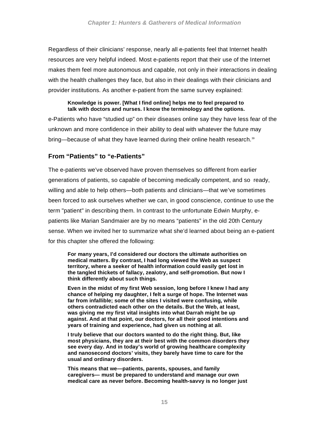Regardless of their clinicians' response, nearly all e-patients feel that Internet health resources are very helpful indeed. Most e-patients report that their use of the Internet makes them feel more autonomous and capable, not only in their interactions in dealing with the health challenges they face, but also in their dealings with their clinicians and provider institutions. As another e-patient from the same survey explained:

#### **Knowledge is power. [What I find online] helps me to feel prepared to talk with doctors and nurses. I know the terminology and the options.**

e-Patients who have "studied up" on their diseases online say they have less fear of the unknown and more confidence in their ability to deal with whatever the future may bring—because of what they have learned during their online health research.<sup>39</sup>

### **From "Patients" to "e-Patients"**

The e-patients we've observed have proven themselves so different from earlier generations of patients, so capable of becoming medically competent, and so ready, willing and able to help others—both patients and clinicians—that we've sometimes been forced to ask ourselves whether we can, in good conscience, continue to use the term "patient" in describing them. In contrast to the unfortunate Edwin Murphy, epatients like Marian Sandmaier are by no means "patients" in the old 20th Century sense. When we invited her to summarize what she'd learned about being an e-patient for this chapter she offered the following:

**For many years, I'd considered our doctors the ultimate authorities on medical matters. By contrast, I had long viewed the Web as suspect territory, where a seeker of health information could easily get lost in the tangled thickets of fallacy, zealotry, and self-promotion. But now I think differently about such things.** 

**Even in the midst of my first Web session, long before I knew I had any chance of helping my daughter, I felt a surge of hope. The Internet was far from infallible; some of the sites I visited were confusing, while others contradicted each other on the details. But the Web, at least, was giving me my first vital insights into what Darrah might be up against. And at that point, our doctors, for all their good intentions and years of training and experience, had given us nothing at all.** 

**I truly believe that our doctors wanted to do the right thing. But, like most physicians, they are at their best with the common disorders they see every day. And in today's world of growing healthcare complexity and nanosecond doctors' visits, they barely have time to care for the usual and ordinary disorders.** 

**This means that we—patients, parents, spouses, and family caregivers— must be prepared to understand and manage our own medical care as never before. Becoming health-savvy is no longer just**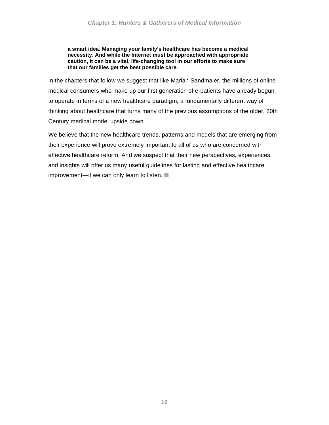**a smart idea. Managing your family's healthcare has become a medical necessity. And while the Internet must be approached with appropriate caution, it can be a vital, life-changing tool in our efforts to make sure that our families get the best possible care.** 

In the chapters that follow we suggest that like Marian Sandmaier, the millions of online medical consumers who make up our first generation of e-patients have already begun to operate in terms of a new healthcare paradigm, a fundamentally different way of thinking about healthcare that turns many of the previous assumptions of the older, 20th Century medical model upside down.

We believe that the new healthcare trends, patterns and models that are emerging from their experience will prove extremely important to all of us who are concerned with effective healthcare reform. And we suspect that their new perspectives, experiences, and insights will offer us many useful guidelines for lasting and effective healthcare improvement—if we can only learn to listen.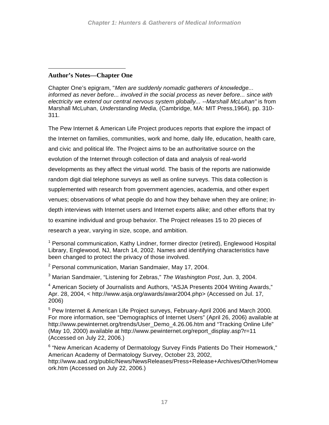## **Author's Notes—Chapter One**

 $\overline{a}$ 

Chapter One's epigram, "*Men are suddenly nomadic gatherers of knowledge... informed as never before... involved in the social process as never before... since with electricity we extend our central nervous system globally... --Marshall McLuhan"* is from Marshall McLuhan, *Understanding Media*, (Cambridge, MA: MIT Press,1964), pp. 310- 311.

The Pew Internet & American Life Project produces reports that explore the impact of the Internet on families, communities, work and home, daily life, education, health care, and civic and political life. The Project aims to be an authoritative source on the evolution of the Internet through collection of data and analysis of real-world developments as they affect the virtual world. The basis of the reports are nationwide random digit dial telephone surveys as well as online surveys. This data collection is supplemented with research from government agencies, academia, and other expert venues; observations of what people do and how they behave when they are online; indepth interviews with Internet users and Internet experts alike; and other efforts that try to examine individual and group behavior. The Project releases 15 to 20 pieces of research a year, varying in size, scope, and ambition.

<sup>1</sup> Personal communication, Kathy Lindner, former director (retired), Englewood Hospital Library, Englewood, NJ, March 14, 2002. Names and identifying characteristics have been changed to protect the privacy of those involved.

<sup>2</sup> Personal communication, Marian Sandmaier, May 17, 2004.

3 Marian Sandmaier, "Listening for Zebras," *The Washington Post*, Jun. 3, 2004.

<sup>4</sup> American Society of Journalists and Authors, "ASJA Presents 2004 Writing Awards," Apr. 28, 2004, < http://www.asja.org/awards/awar2004.php> (Accessed on Jul. 17, 2006)

<sup>5</sup> Pew Internet & American Life Project surveys, February-April 2006 and March 2000. For more information, see "Demographics of Internet Users" (April 26, 2006) available at http://www.pewinternet.org/trends/User\_Demo\_4.26.06.htm and "Tracking Online Life" (May 10, 2000) available at http://www.pewinternet.org/report\_display.asp?r=11 (Accessed on July 22, 2006.)

<sup>6</sup> "New American Academy of Dermatology Survey Finds Patients Do Their Homework," American Academy of Dermatology Survey, October 23, 2002, http://www.aad.org/public/News/NewsReleases/Press+Release+Archives/Other/Homew ork.htm (Accessed on July 22, 2006.)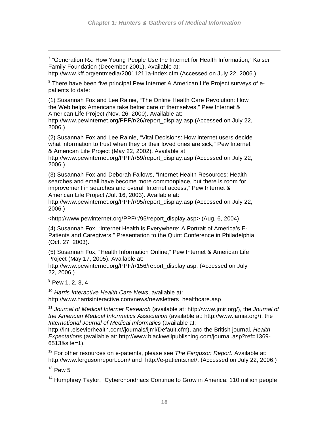<sup>7</sup> "Generation Rx: How Young People Use the Internet for Health Information," Kaiser Family Foundation (December 2001). Available at:

http://www.kff.org/entmedia/20011211a-index.cfm (Accessed on July 22, 2006.)

 $8$  There have been five principal Pew Internet & American Life Project surveys of epatients to date:

(1) Susannah Fox and Lee Rainie, "The Online Health Care Revolution: How the Web helps Americans take better care of themselves," Pew Internet & American Life Project *(*Nov. 26, 2000). Available at:

http://www.pewinternet.org/PPF/r/26/report\_display.asp (Accessed on July 22, 2006.)

(2) Susannah Fox and Lee Rainie, "Vital Decisions: How Internet users decide what information to trust when they or their loved ones are sick," Pew Internet & American Life Project (May 22, 2002). Available at:

http://www.pewinternet.org/PPF/r/59/report\_display.asp (Accessed on July 22, 2006.)

(3) Susannah Fox and Deborah Fallows, "Internet Health Resources: Health searches and email have become more commonplace, but there is room for improvement in searches and overall Internet access," Pew Internet & American Life Project *(*Jul. 16, 2003). Available at:

http://www.pewinternet.org/PPF/r/95/report\_display.asp (Accessed on July 22, 2006.)

<http://www.pewinternet.org/PPF/r/95/report\_display.asp> (Aug. 6, 2004)

(4) Susannah Fox, "Internet Health is Everywhere: A Portrait of America's E-Patients and Caregivers," Presentation to the Quint Conference in Philadelphia (Oct. 27, 2003).

(5) Susannah Fox, "Health Information Online," Pew Internet & American Life Project (May 17, 2005). Available at:

http://www.pewinternet.org/PPF/r/156/report\_display.asp. (Accessed on July 22, 2006.)

 $^9$  Pew 1, 2, 3, 4

 $\overline{a}$ 

<sup>10</sup> *Harris Interactive Health Care News*, available at: http://www.harrisinteractive.com/news/newsletters\_healthcare.asp

<sup>11</sup> *Journal of Medical Internet Research* (available at: http://www.jmir.org/), the *Journal of the American Medical Informatics Association* (available at: http://www.jamia.org/), the *International Journal of Medical Informatics* (available at:

http://intl.elsevierhealth.com//journals/ijmi/Default.cfm), and the British journal, *Health Expectations* (available at: http://www.blackwellpublishing.com/journal.asp?ref=1369- 6513&site=1).

<sup>12</sup> For other resources on e-patients, please see *The Ferguson Report*. Available at: http://www.fergusonreport.com/ and http://e-patients.net/. (Accessed on July 22, 2006.)

 $13$  Pew 5

<sup>14</sup> Humphrey Taylor, "Cyberchondriacs Continue to Grow in America: 110 million people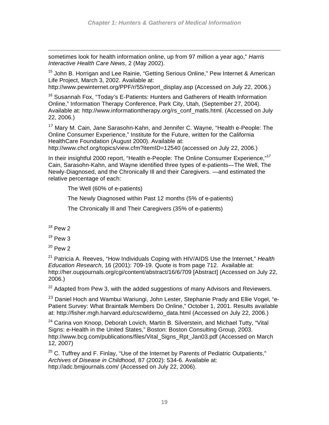sometimes look for health information online, up from 97 million a year ago," *Harris Interactive Health Care News*, 2 (May 2002).

<sup>15</sup> John B. Horrigan and Lee Rainie, "Getting Serious Online," Pew Internet & American Life Project, March 3, 2002. Available at:

http://www.pewinternet.org/PPF/r/55/report\_display.asp (Accessed on July 22, 2006.)

<sup>16</sup> Susannah Fox, "Today's E-Patients: Hunters and Gatherers of Health Information Online," Information Therapy Conference, Park City, Utah, (September 27, 2004). Available at: http://www.informationtherapy.org/rs\_conf\_matls.html. (Accessed on July 22, 2006.)

<sup>17</sup> Mary M. Cain, Jane Sarasohn-Kahn, and Jennifer C. Wayne, "Health e-People: The Online Consumer Experience," Institute for the Future, written for the California HealthCare Foundation (August 2000). Available at:

http://www.chcf.org/topics/view.cfm?itemID=12540 (accessed on July 22, 2006.)

In their insightful 2000 report, "Health e-People: The Online Consumer Experience,"<sup>17</sup> Cain, Sarasohn-Kahn, and Wayne identified three types of e-patients—The Well, The Newly-Diagnosed, and the Chronically Ill and their Caregivers. —and estimated the relative percentage of each:

The Well (60% of e-patients)

The Newly Diagnosed within Past 12 months (5% of e-patients)

The Chronically Ill and Their Caregivers (35% of e-patients)

18 Pew 2

 $\overline{a}$ 

 $19$  Pew 3

 $20$  Pew 2

21 Patricia A. Reeves, "How Individuals Coping with HIV/AIDS Use the Internet," *Health Education Research*, 16 (2001): 709-19. Quote is from page 712. Available at: http://her.oupjournals.org/cgi/content/abstract/16/6/709 [Abstract] (Accessed on July 22, 2006.)

 $22$  Adapted from Pew 3, with the added suggestions of many Advisors and Reviewers.

<sup>23</sup> Daniel Hoch and Wambui Wariungi, John Lester, Stephanie Prady and Ellie Vogel, "e-Patient Survey: What Braintalk Members Do Online," October 1, 2001. Results available at: http://fisher.mgh.harvard.edu/cscw/demo\_data.html (Accessed on July 22, 2006.)

<sup>24</sup> Carina von Knoop, Deborah Lovich, Martin B. Silverstein, and Michael Tutty, "Vital Signs: e-Health in the United States," Boston: Boston Consulting Group, 2003. http://www.bcg.com/publications/files/Vital\_Signs\_Rpt\_Jan03.pdf (Accessed on March 12, 2007)

 $25$  C. Tuffrey and F. Finlay, "Use of the Internet by Parents of Pediatric Outpatients," *Archives of Disease in Childhood*, 87 (2002): 534-6. Available at: http://adc.bmjjournals.com/ (Accessed on July 22, 2006).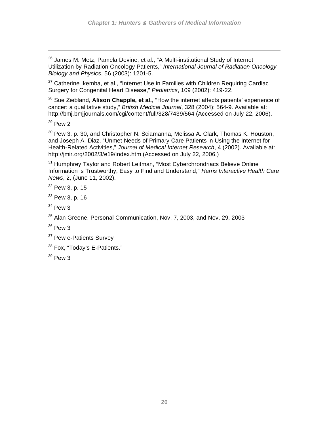<sup>26</sup> James M. Metz, Pamela Devine, et al., "A Multi-institutional Study of Internet Utilization by Radiation Oncology Patients," *International Journal of Radiation Oncology Biology and Physics*, 56 (2003): 1201-5.

 $27$  Catherine Ikemba, et al., "Internet Use in Families with Children Requiring Cardiac Surgery for Congenital Heart Disease," *Pediatrics*, 109 (2002): 419-22.

28 Sue Ziebland, **Alison Chapple, et al.**, "How the internet affects patients' experience of cancer: a qualitative study," *British Medical Journal*, 328 (2004): 564-9. Available at: http://bmj.bmjjournals.com/cgi/content/full/328/7439/564 (Accessed on July 22, 2006).

29 Pew 2

 $\overline{a}$ 

<sup>30</sup> Pew 3. p. 30, and Christopher N. Sciamanna, Melissa A. Clark, Thomas K. Houston, and Joseph A. Diaz, "Unmet Needs of Primary Care Patients in Using the Internet for Health-Related Activities," *Journal of Medical Internet Research*, 4 (2002). Available at: http://jmir.org/2002/3/e19/index.htm (Accessed on July 22, 2006.)

<sup>31</sup> Humphrey Taylor and Robert Leitman, "Most Cyberchrondriacs Believe Online Information is Trustworthy, Easy to Find and Understand," *Harris Interactive Health Care News*, 2, (June 11, 2002).

 $32$  Pew 3, p. 15

 $33$  Pew 3, p. 16

 $34$  Pew 3

<sup>35</sup> Alan Greene, Personal Communication, Nov. 7, 2003, and Nov. 29, 2003

 $36$  Pew 3

<sup>37</sup> Pew e-Patients Survey

<sup>38</sup> Fox, "Today's E-Patients."

 $39$  Pew 3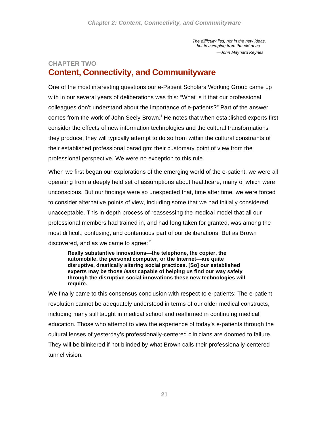*The difficulty lies, not in the new ideas, but in escaping from the old ones... —John Maynard Keynes* 

# **CHAPTER TWO Content, Connectivity, and Communityware**

One of the most interesting questions our e-Patient Scholars Working Group came up with in our several years of deliberations was this: "What is it that our professional colleagues don't understand about the importance of e-patients?" Part of the answer comes from the work of John Seely Brown.<sup>1</sup> He notes that when established experts first consider the effects of new information technologies and the cultural transformations they produce, they will typically attempt to do so from within the cultural constraints of their established professional paradigm: their customary point of view from the professional perspective. We were no exception to this rule.

When we first began our explorations of the emerging world of the e-patient, we were all operating from a deeply held set of assumptions about healthcare, many of which were unconscious. But our findings were so unexpected that, time after time, we were forced to consider alternative points of view, including some that we had initially considered unacceptable. This in-depth process of reassessing the medical model that all our professional members had trained in, and had long taken for granted, was among the most difficult, confusing, and contentious part of our deliberations. But as Brown discovered, and as we came to agree:  $2^2$ 

**Really substantive innovations—the telephone, the copier, the automobile, the personal computer, or the Internet—are quite disruptive, drastically altering social practices. [So] our established experts may be those** *least* **capable of helping us find our way safely through the disruptive social innovations these new technologies will require.**

We finally came to this consensus conclusion with respect to e-patients: The e-patient revolution cannot be adequately understood in terms of our older medical constructs, including many still taught in medical school and reaffirmed in continuing medical education. Those who attempt to view the experience of today's e-patients through the cultural lenses of yesterday's professionally-centered clinicians are doomed to failure. They will be blinkered if not blinded by what Brown calls their professionally-centered tunnel vision.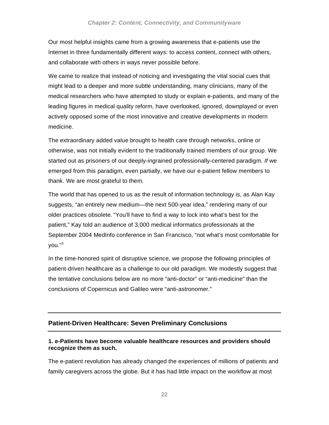Our most helpful insights came from a growing awareness that e-patients use the Internet in three fundamentally different ways: to access content, connect with others, and collaborate with others in ways never possible before.

We came to realize that instead of noticing and investigating the vital social cues that might lead to a deeper and more subtle understanding, many clinicians, many of the medical researchers who have attempted to study or explain e-patients, and many of the leading figures in medical quality reform, have overlooked, ignored, downplayed or even actively opposed some of the most innovative and creative developments in modern medicine.

The extraordinary added value brought to health care through networks, online or otherwise, was not initially evident to the traditionally trained members of our group. We started out as prisoners of our deeply-ingrained professionally-centered paradigm. *If* we emerged from this paradigm, even partially, we have our e-patient fellow members to thank. We are most grateful to them.

The world that has opened to us as the result of information technology is, as Alan Kay suggests, "an entirely new medium—the next 500-year idea," rendering many of our older practices obsolete. "You'll have to find a way to lock into what's best for the patient," Kay told an audience of 3,000 medical informatics professionals at the September 2004 MedInfo conference in San Francisco, "not what's most comfortable for you."<sup>3</sup>

In the time-honored spirit of disruptive science, we propose the following principles of patient-driven healthcare as a challenge to our old paradigm. We modestly suggest that the tentative conclusions below are no more "anti-doctor" or "anti-medicine" than the conclusions of Copernicus and Galileo were "anti-astronomer."

## **Patient-Driven Healthcare: Seven Preliminary Conclusions**

## **1. e-Patients have become valuable healthcare resources and providers should recognize them as such.**

The e-patient revolution has already changed the experiences of millions of patients and family caregivers across the globe. But it has had little impact on the workflow at most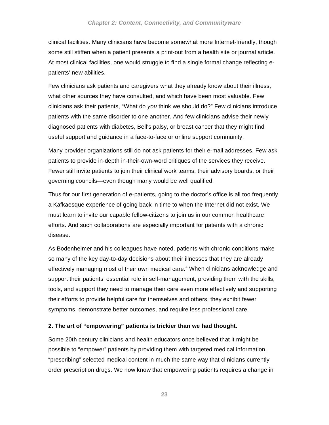clinical facilities. Many clinicians have become somewhat more Internet-friendly, though some still stiffen when a patient presents a print-out from a health site or journal article. At most clinical facilities, one would struggle to find a single formal change reflecting epatients' new abilities.

Few clinicians ask patients and caregivers what they already know about their illness, what other sources they have consulted, and which have been most valuable. Few clinicians ask their patients, "What do *you* think we should do?" Few clinicians introduce patients with the same disorder to one another. And few clinicians advise their newly diagnosed patients with diabetes, Bell's palsy, or breast cancer that they might find useful support and guidance in a face-to-face or online support community.

Many provider organizations still do not ask patients for their e-mail addresses. Few ask patients to provide in-depth in-their-own-word critiques of the services they receive. Fewer still invite patients to join their clinical work teams, their advisory boards, or their governing councils—even though many would be well qualified.

Thus for our first generation of e-patients, going to the doctor's office is all too frequently a Kafkaesque experience of going back in time to when the Internet did not exist. We must learn to invite our capable fellow-citizens to join us in our common healthcare efforts. And such collaborations are especially important for patients with a chronic disease.

As Bodenheimer and his colleagues have noted, patients with chronic conditions make so many of the key day-to-day decisions about their illnesses that they are already effectively managing most of their own medical care. $4$  When clinicians acknowledge and support their patients' essential role in self-management, providing them with the skills, tools, and support they need to manage their care even more effectively and supporting their efforts to provide helpful care for themselves and others, they exhibit fewer symptoms, demonstrate better outcomes, and require less professional care.

#### **2. The art of "empowering" patients is trickier than we had thought.**

Some 20th century clinicians and health educators once believed that it might be possible to "empower" patients by providing them with targeted medical information, "prescribing" selected medical content in much the same way that clinicians currently order prescription drugs. We now know that empowering patients requires a change in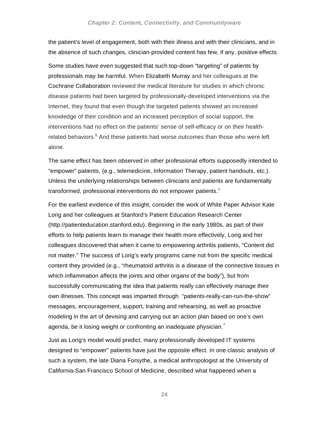the patient's level of engagement, both with their illness and with their clinicians, and in the absence of such changes, clinician-provided content has few, if any, positive effects. Some studies have even suggested that such top-down "targeting" of patients by professionals may be harmful. When Elizabeth Murray and her colleagues at the Cochrane Collaboration reviewed the medical literature for studies in which chronic disease patients had been targeted by professionally-developed interventions via the Internet, they found that even though the targeted patients showed an increased knowledge of their condition and an increased perception of social support, the interventions had no effect on the patients' sense of self-efficacy or on their healthrelated behaviors.<sup>5</sup> And these patients had worse outcomes than those who were left alone.

The same effect has been observed in other professional efforts supposedly intended to "empower" patients, (e.g., telemedicine, Information Therapy, patient handouts, etc.). Unless the underlying relationships between clinicians and patients are fundamentally transformed, professional interventions do not empower patients.<sup>6</sup>

For the earliest evidence of this insight, consider the work of White Paper Advisor Kate Lorig and her colleagues at Stanford's Patient Education Research Center (http://patienteducation.stanford.edu). Beginning in the early 1980s, as part of their efforts to help patients learn to manage their health more effectively, Lorig and her colleagues discovered that when it came to empowering arthritis patients, "Content did not matter." The success of Lorig's early programs came not from the specific medical content they provided (e.g., "rheumatoid arthritis is a disease of the connective tissues in which inflammation affects the joints and other organs of the body"), but from successfully communicating the idea that patients really can effectively manage their own illnesses. This concept was imparted through "patients-really-can-run-the-show" messages, encouragement, support, training and rehearsing, as well as proactive modeling in the art of devising and carrying out an action plan based on one's own agenda, be it losing weight or confronting an inadequate physician.<sup>7</sup>

Just as Lorig's model would predict, many professionally developed IT systems designed to "empower" patients have just the opposite effect. In one classic analysis of such a system, the late Diana Forsythe, a medical anthropologist at the University of California-San Francisco School of Medicine, described what happened when a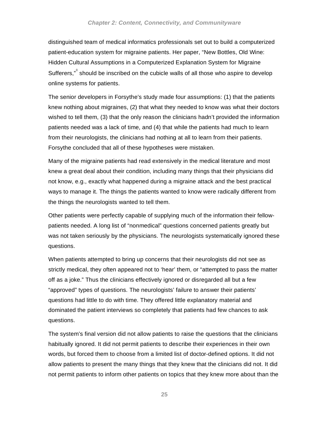distinguished team of medical informatics professionals set out to build a computerized patient-education system for migraine patients. Her paper, "New Bottles, Old Wine: Hidden Cultural Assumptions in a Computerized Explanation System for Migraine Sufferers," $8$  should be inscribed on the cubicle walls of all those who aspire to develop online systems for patients.

The senior developers in Forsythe's study made four assumptions: (1) that the patients knew nothing about migraines, (2) that what they needed to know was what their doctors wished to tell them, (3) that the only reason the clinicians hadn't provided the information patients needed was a lack of time, and (4) that while the patients had much to learn from their neurologists, the clinicians had nothing at all to learn from their patients. Forsythe concluded that all of these hypotheses were mistaken.

Many of the migraine patients had read extensively in the medical literature and most knew a great deal about their condition, including many things that their physicians did not know, e.g., exactly what happened during a migraine attack and the best practical ways to manage it. The things the patients wanted to know were radically different from the things the neurologists wanted to tell them.

Other patients were perfectly capable of supplying much of the information their fellowpatients needed. A long list of "nonmedical" questions concerned patients greatly but was not taken seriously by the physicians. The neurologists systematically ignored these questions.

When patients attempted to bring up concerns that their neurologists did not see as strictly medical, they often appeared not to 'hear' them, or "attempted to pass the matter off as a joke." Thus the clinicians effectively ignored or disregarded all but a few "approved" types of questions. The neurologists' failure to answer their patients' questions had little to do with time. They offered little explanatory material and dominated the patient interviews so completely that patients had few chances to ask questions.

The system's final version did not allow patients to raise the questions that the clinicians habitually ignored. It did not permit patients to describe their experiences in their own words, but forced them to choose from a limited list of doctor-defined options. It did not allow patients to present the many things that they knew that the clinicians did not. It did not permit patients to inform other patients on topics that they knew more about than the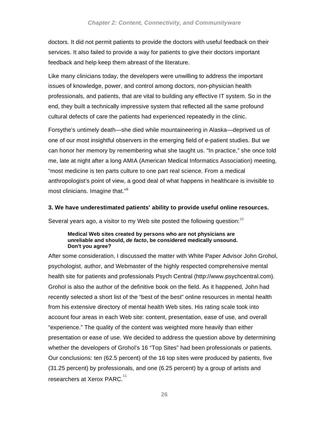doctors. It did not permit patients to provide the doctors with useful feedback on their services. It also failed to provide a way for patients to give their doctors important feedback and help keep them abreast of the literature.

Like many clinicians today, the developers were unwilling to address the important issues of knowledge, power, and control among doctors, non-physician health professionals, and patients, that are vital to building any effective IT system. So in the end, they built a technically impressive system that reflected all the same profound cultural defects of care the patients had experienced repeatedly in the clinic.

Forsythe's untimely death—she died while mountaineering in Alaska—deprived us of one of our most insightful observers in the emerging field of e-patient studies. But we can honor her memory by remembering what she taught us. "In practice," she once told me, late at night after a long AMIA (American Medical Informatics Association) meeting, "most medicine is ten parts culture to one part real science. From a medical anthropologist's point of view, a good deal of what happens in healthcare is invisible to most clinicians. Imagine that."<sup>9</sup>

#### **3. We have underestimated patients' ability to provide useful online resources.**

Several years ago, a visitor to my Web site posted the following question:  $10<sup>10</sup>$ 

#### **Medical Web sites created by persons who are not physicians are unreliable and should,** *de facto***, be considered medically unsound. Don't you agree?**

After some consideration, I discussed the matter with White Paper Advisor John Grohol, psychologist, author, and Webmaster of the highly respected comprehensive mental health site for patients and professionals Psych Central (http://www.psychcentral.com). Grohol is also the author of the definitive book on the field. As it happened, John had recently selected a short list of the "best of the best" online resources in mental health from his extensive directory of mental health Web sites. His rating scale took into account four areas in each Web site: content, presentation, ease of use, and overall "experience." The quality of the content was weighted more heavily than either presentation or ease of use. We decided to address the question above by determining whether the developers of Grohol's 16 "Top Sites" had been professionals or patients. Our conclusions: ten (62.5 percent) of the 16 top sites were produced by patients, five (31.25 percent) by professionals, and one (6.25 percent) by a group of artists and researchers at Xerox PARC. $^{\rm 11}$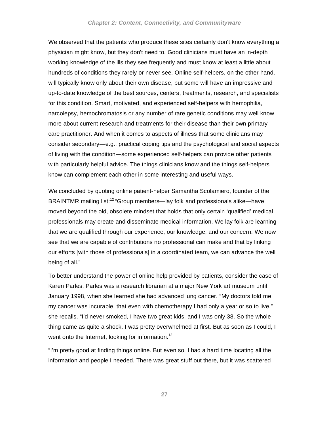We observed that the patients who produce these sites certainly don't know everything a physician might know, but they don't need to. Good clinicians must have an in-depth working knowledge of the ills they see frequently and must know at least a little about hundreds of conditions they rarely or never see. Online self-helpers, on the other hand, will typically know only about their own disease, but some will have an impressive and up-to-date knowledge of the best sources, centers, treatments, research, and specialists for this condition. Smart, motivated, and experienced self-helpers with hemophilia, narcolepsy, hemochromatosis or any number of rare genetic conditions may well know more about current research and treatments for their disease than their own primary care practitioner. And when it comes to aspects of illness that some clinicians may consider secondary—e.g., practical coping tips and the psychological and social aspects of living with the condition—some experienced self-helpers can provide other patients with particularly helpful advice. The things clinicians know and the things self-helpers know can complement each other in some interesting and useful ways.

We concluded by quoting online patient-helper Samantha Scolamiero, founder of the BRAINTMR mailing list:<sup>12</sup> "Group members—lay folk and professionals alike—have moved beyond the old, obsolete mindset that holds that only certain 'qualified' medical professionals may create and disseminate medical information. We lay folk are learning that we are qualified through our experience, our knowledge, and our concern. We now see that we are capable of contributions no professional can make and that by linking our efforts [with those of professionals] in a coordinated team, we can advance the well being of all."

To better understand the power of online help provided by patients, consider the case of Karen Parles. Parles was a research librarian at a major New York art museum until January 1998, when she learned she had advanced lung cancer. "My doctors told me my cancer was incurable, that even with chemotherapy I had only a year or so to live," she recalls. "I'd never smoked, I have two great kids, and I was only 38. So the whole thing came as quite a shock. I was pretty overwhelmed at first. But as soon as I could, I went onto the Internet, looking for information.<sup>13</sup>

"I'm pretty good at finding things online. But even so, I had a hard time locating all the information and people I needed. There was great stuff out there, but it was scattered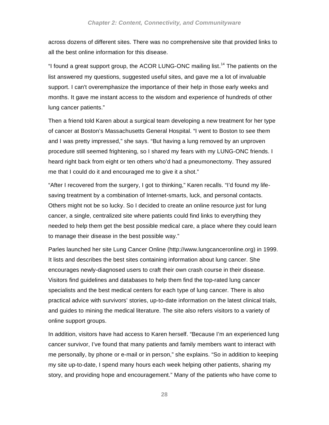across dozens of different sites. There was no comprehensive site that provided links to all the best online information for this disease.

"I found a great support group, the ACOR LUNG-ONC mailing list.<sup>14</sup> The patients on the list answered my questions, suggested useful sites, and gave me a lot of invaluable support. I can't overemphasize the importance of their help in those early weeks and months. It gave me instant access to the wisdom and experience of hundreds of other lung cancer patients."

Then a friend told Karen about a surgical team developing a new treatment for her type of cancer at Boston's Massachusetts General Hospital. "I went to Boston to see them and I was pretty impressed," she says. "But having a lung removed by an unproven procedure still seemed frightening, so I shared my fears with my LUNG-ONC friends. I heard right back from eight or ten others who'd had a pneumonectomy. They assured me that I could do it and encouraged me to give it a shot."

"After I recovered from the surgery, I got to thinking," Karen recalls. "I'd found my lifesaving treatment by a combination of Internet-smarts, luck, and personal contacts. Others might not be so lucky. So I decided to create an online resource just for lung cancer, a single, centralized site where patients could find links to everything they needed to help them get the best possible medical care, a place where they could learn to manage their disease in the best possible way."

Parles launched her site Lung Cancer Online (http://www.lungcanceronline.org) in 1999. It lists and describes the best sites containing information about lung cancer. She encourages newly-diagnosed users to craft their own crash course in their disease. Visitors find guidelines and databases to help them find the top-rated lung cancer specialists and the best medical centers for each type of lung cancer. There is also practical advice with survivors' stories, up-to-date information on the latest clinical trials, and guides to mining the medical literature. The site also refers visitors to a variety of online support groups.

In addition, visitors have had access to Karen herself. "Because I'm an experienced lung cancer survivor, I've found that many patients and family members want to interact with me personally, by phone or e-mail or in person," she explains. "So in addition to keeping my site up-to-date, I spend many hours each week helping other patients, sharing my story, and providing hope and encouragement." Many of the patients who have come to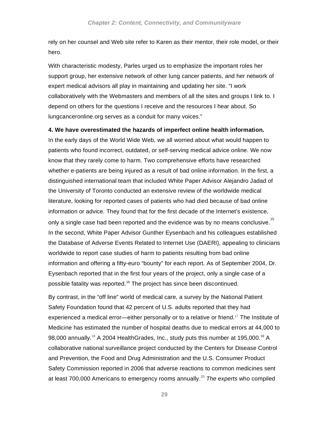rely on her counsel and Web site refer to Karen as their mentor, their role model, or their hero.

With characteristic modesty, Parles urged us to emphasize the important roles her support group, her extensive network of other lung cancer patients, and her network of expert medical advisors all play in maintaining and updating her site. "I work collaboratively with the Webmasters and members of all the sites and groups I link to. I depend on others for the questions I receive and the resources I hear about. So lungcanceronline.org serves as a conduit for many voices."

**4. We have overestimated the hazards of imperfect online health information.** 

In the early days of the World Wide Web, we all worried about what would happen to patients who found incorrect, outdated, or self-serving medical advice online. We now know that they rarely come to harm. Two comprehensive efforts have researched whether e-patients are being injured as a result of bad online information. In the first, a distinguished international team that included White Paper Advisor Alejandro Jadad of the University of Toronto conducted an extensive review of the worldwide medical literature, looking for reported cases of patients who had died because of bad online information or advice. They found that for the first decade of the Internet's existence, only a single case had been reported and the evidence was by no means conclusive. <sup>15</sup> In the second, White Paper Advisor Gunther Eysenbach and his colleagues established the Database of Adverse Events Related to Internet Use (DAERI), appealing to clinicians worldwide to report case studies of harm to patients resulting from bad online information and offering a fifty-euro "bounty" for each report. As of September 2004, Dr. Eysenbach reported that in the first four years of the project, only a single case of a possible fatality was reported.<sup>16</sup> The project has since been discontinued.

By contrast, in the "off line" world of medical care, a survey by the National Patient Safety Foundation found that 42 percent of U.S. adults reported that they had experienced a medical error—either personally or to a relative or friend.<sup>17</sup> The Institute of Medicine has estimated the number of hospital deaths due to medical errors at 44,000 to 98,000 annually.<sup>18</sup> A 2004 HealthGrades, Inc., study puts this number at 195,000.<sup>19</sup> A collaborative national surveillance project conducted by the Centers for Disease Control and Prevention, the Food and Drug Administration and the U.S. Consumer Product Safety Commission reported in 2006 that adverse reactions to common medicines sent at least 700,000 Americans to emergency rooms annually.<sup>20</sup> *The experts* who compiled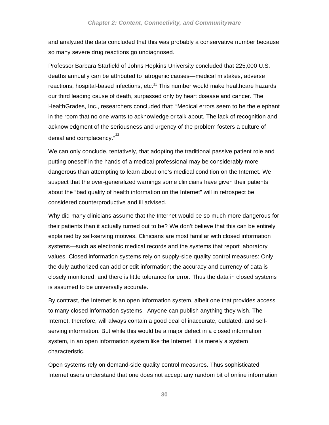and analyzed the data concluded that this was probably a conservative number because so many severe drug reactions go undiagnosed.

Professor Barbara Starfield of Johns Hopkins University concluded that 225,000 U.S. deaths annually can be attributed to iatrogenic causes—medical mistakes, adverse reactions, hospital-based infections, etc. $21$  This number would make healthcare hazards our third leading cause of death, surpassed only by heart disease and cancer. The HealthGrades, Inc., researchers concluded that: "Medical errors seem to be the elephant in the room that no one wants to acknowledge or talk about. The lack of recognition and acknowledgment of the seriousness and urgency of the problem fosters a culture of denial and complacency."<sup>22</sup>

We can only conclude, tentatively, that adopting the traditional passive patient role and putting oneself in the hands of a medical professional may be considerably more dangerous than attempting to learn about one's medical condition on the Internet. We suspect that the over-generalized warnings some clinicians have given their patients about the "bad quality of health information on the Internet" will in retrospect be considered counterproductive and ill advised.

Why did many clinicians assume that the Internet would be so much more dangerous for their patients than it actually turned out to be? We don't believe that this can be entirely explained by self-serving motives. Clinicians are most familiar with closed information systems—such as electronic medical records and the systems that report laboratory values. Closed information systems rely on supply-side quality control measures: Only the duly authorized can add or edit information; the accuracy and currency of data is closely monitored; and there is little tolerance for error. Thus the data in closed systems is assumed to be universally accurate.

By contrast, the Internet is an open information system, albeit one that provides access to many closed information systems. Anyone can publish anything they wish. The Internet, therefore, will always contain a good deal of inaccurate, outdated, and selfserving information. But while this would be a major defect in a closed information system, in an open information system like the Internet, it is merely a system characteristic.

Open systems rely on demand-side quality control measures. Thus sophisticated Internet users understand that one does not accept any random bit of online information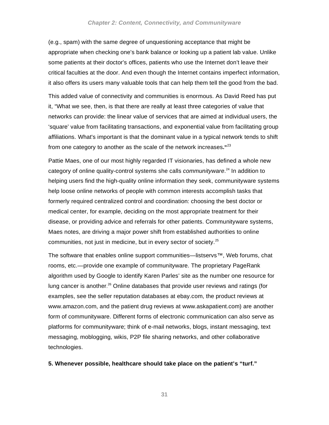(e.g., spam) with the same degree of unquestioning acceptance that might be appropriate when checking one's bank balance or looking up a patient lab value. Unlike some patients at their doctor's offices, patients who use the Internet don't leave their critical faculties at the door. And even though the Internet contains imperfect information, it also offers its users many valuable tools that can help them tell the good from the bad.

This added value of connectivity and communities is enormous. As David Reed has put it, "What we see, then, is that there are really at least three categories of value that networks can provide: the linear value of services that are aimed at individual users, the 'square' value from facilitating transactions, and exponential value from facilitating group affiliations. What's important is that the dominant value in a typical network tends to shift from one category to another as the scale of the network increases**."**<sup>23</sup>

Pattie Maes, one of our most highly regarded IT visionaries, has defined a whole new category of online quality-control systems she calls *communityware*. 24 In addition to helping users find the high-quality online information they seek, communityware systems help loose online networks of people with common interests accomplish tasks that formerly required centralized control and coordination: choosing the best doctor or medical center, for example, deciding on the most appropriate treatment for their disease, or providing advice and referrals for other patients. Communityware systems, Maes notes, are driving a major power shift from established authorities to online communities, not just in medicine, but in every sector of society.<sup>25</sup>

The software that enables online support communities—listservs™, Web forums, chat rooms, etc.—provide one example of communityware. The proprietary PageRank algorithm used by Google to identify Karen Parles' site as the number one resource for lung cancer is another.<sup>26</sup> Online databases that provide user reviews and ratings (for examples, see the seller reputation databases at ebay.com, the product reviews at www.amazon.com, and the patient drug reviews at www.askapatient.com) are another form of communityware. Different forms of electronic communication can also serve as platforms for communityware; think of e-mail networks, blogs, instant messaging, text messaging, moblogging, wikis, P2P file sharing networks, and other collaborative technologies.

**5. Whenever possible, healthcare should take place on the patient's "turf."**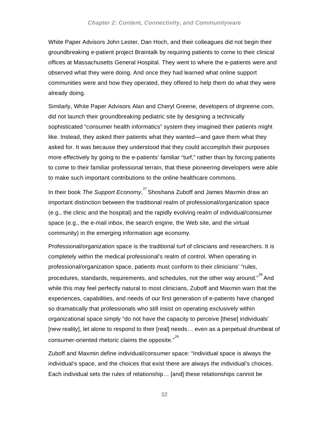White Paper Advisors John Lester, Dan Hoch, and their colleagues did not begin their groundbreaking e-patient project Braintalk by requiring patients to come to their clinical offices at Massachusetts General Hospital. They went to where the e-patients were and observed what they were doing. And once they had learned what online support communities were and how they operated, they offered to help them do what they were already doing.

Similarly, White Paper Advisors Alan and Cheryl Greene, developers of drgreene.com, did not launch their groundbreaking pediatric site by designing a technically sophisticated "consumer health informatics" system they imagined their patients might like. Instead, they asked their patients what they wanted—and gave them what they asked for. It was because they understood that they could accomplish their purposes more effectively by going to the e-patients' familiar "turf," rather than by forcing patients to come to their familiar professional terrain, that these pioneering developers were able to make such important contributions to the online healthcare commons.

In their book *The Support Economy*, <sup>27</sup> Shoshana Zuboff and James Maxmin draw an important distinction between the traditional realm of professional/organization space (e.g., the clinic and the hospital) and the rapidly evolving realm of individual/consumer space (e.g., the e-mail inbox, the search engine, the Web site, and the virtual community) in the emerging information age economy*.* 

Professional/organization space is the traditional turf of clinicians and researchers. It is completely within the medical professional's realm of control. When operating in professional/organization space, patients must conform to their clinicians' "rules, procedures, standards, requirements, and schedules, not the other way around."<sup>28</sup> And while this may feel perfectly natural to most clinicians, Zuboff and Maxmin warn that the experiences, capabilities, and needs of our first generation of e-patients have changed so dramatically that professionals who still insist on operating exclusively within organizational space simply "do not have the capacity to perceive [these] individuals' [new reality], let alone to respond to their [real] needs… even as a perpetual drumbeat of consumer-oriented rhetoric claims the opposite."<sup>29</sup>

Zuboff and Maxmin define individual/consumer space: "Individual space is always the individual's space, and the choices that exist there are always the individual's choices. Each individual sets the rules of relationship… [and] these relationships cannot be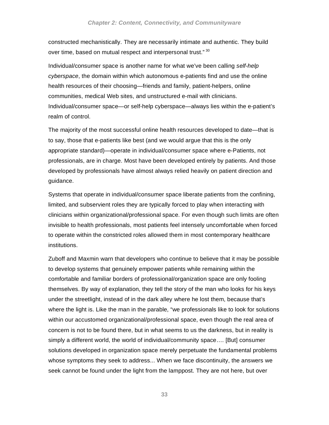constructed mechanistically. They are necessarily intimate and authentic. They build over time, based on mutual respect and interpersonal trust." 30

Individual/consumer space is another name for what we've been calling *self-help cyberspace*, the domain within which autonomous e-patients find and use the online health resources of their choosing—friends and family, patient-helpers, online communities, medical Web sites, and unstructured e-mail with clinicians. Individual/consumer space—or self-help cyberspace—always lies within the e-patient's realm of control.

The majority of the most successful online health resources developed to date—that is to say, those that e-patients like best (and we would argue that this is the only appropriate standard)—operate in individual/consumer space where e-Patients, not professionals, are in charge. Most have been developed entirely by patients. And those developed by professionals have almost always relied heavily on patient direction and guidance.

Systems that operate in individual/consumer space liberate patients from the confining, limited, and subservient roles they are typically forced to play when interacting with clinicians within organizational/professional space. For even though such limits are often invisible to health professionals, most patients feel intensely uncomfortable when forced to operate within the constricted roles allowed them in most contemporary healthcare institutions.

Zuboff and Maxmin warn that developers who continue to believe that it may be possible to develop systems that genuinely empower patients while remaining within the comfortable and familiar borders of professional/organization space are only fooling themselves. By way of explanation, they tell the story of the man who looks for his keys under the streetlight, instead of in the dark alley where he lost them, because that's where the light is. Like the man in the parable, "we professionals like to look for solutions within our accustomed organizational/professional space, even though the real area of concern is not to be found there, but in what seems to us the darkness, but in reality is simply a different world, the world of individual/community space…. [But] consumer solutions developed in organization space merely perpetuate the fundamental problems whose symptoms they seek to address... When we face discontinuity, the answers we seek cannot be found under the light from the lamppost. They are not here, but over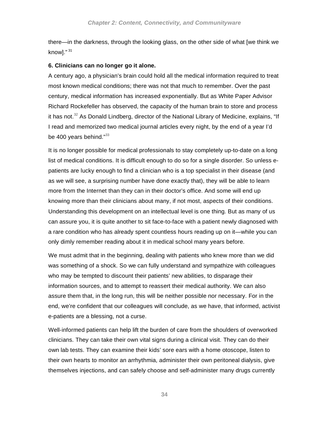there—in the darkness, through the looking glass, on the other side of what [we think we know]."<sup>31</sup>

## **6. Clinicians can no longer go it alone.**

A century ago, a physician's brain could hold all the medical information required to treat most known medical conditions; there was not that much to remember. Over the past century, medical information has increased exponentially. But as White Paper Advisor Richard Rockefeller has observed, the capacity of the human brain to store and process it has not.<sup>32</sup> As Donald Lindberg, director of the National Library of Medicine, explains, "If I read and memorized two medical journal articles every night, by the end of a year I'd be 400 years behind."<sup>33</sup>

It is no longer possible for medical professionals to stay completely up-to-date on a long list of medical conditions. It is difficult enough to do so for a single disorder. So unless epatients are lucky enough to find a clinician who is a top specialist in their disease (and as we will see, a surprising number have done exactly that), they will be able to learn more from the Internet than they can in their doctor's office. And some will end up knowing more than their clinicians about many, if not most, aspects of their conditions. Understanding this development on an intellectual level is one thing. But as many of us can assure you, it is quite another to sit face-to-face with a patient newly diagnosed with a rare condition who has already spent countless hours reading up on it—while you can only dimly remember reading about it in medical school many years before.

We must admit that in the beginning, dealing with patients who knew more than we did was something of a shock. So we can fully understand and sympathize with colleagues who may be tempted to discount their patients' new abilities, to disparage their information sources, and to attempt to reassert their medical authority. We can also assure them that, in the long run, this will be neither possible nor necessary. For in the end, we're confident that our colleagues will conclude, as we have, that informed, activist e-patients are a blessing, not a curse.

Well-informed patients can help lift the burden of care from the shoulders of overworked clinicians. They can take their own vital signs during a clinical visit. They can do their own lab tests. They can examine their kids' sore ears with a home otoscope, listen to their own hearts to monitor an arrhythmia, administer their own peritoneal dialysis, give themselves injections, and can safely choose and self-administer many drugs currently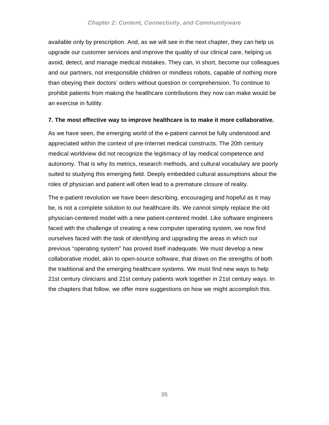available only by prescription. And, as we will see in the next chapter, they can help us upgrade our customer services and improve the quality of our clinical care, helping us avoid, detect, and manage medical mistakes. They can, in short, become our colleagues and our partners, not irresponsible children or mindless robots, capable of nothing more than obeying their doctors' orders without question or comprehension. To continue to prohibit patients from making the healthcare contributions they now can make would be an exercise in futility.

## **7. The most effective way to improve healthcare is to make it more collaborative.**

As we have seen, the emerging world of the e-patient cannot be fully understood and appreciated within the context of pre-Internet medical constructs. The 20th century medical worldview did not recognize the legitimacy of lay medical competence and autonomy. That is why its metrics, research methods, and cultural vocabulary are poorly suited to studying this emerging field. Deeply embedded cultural assumptions about the roles of physician and patient will often lead to a premature closure of reality.

The e-patient revolution we have been describing, encouraging and hopeful as it may be, is not a complete solution to our healthcare ills. We cannot simply replace the old physician-centered model with a new patient-centered model. Like software engineers faced with the challenge of creating a new computer operating system, we now find ourselves faced with the task of identifying and upgrading the areas in which our previous "operating system" has proved itself inadequate. We must develop a new collaborative model, akin to open-source software, that draws on the strengths of both the traditional and the emerging healthcare systems. We must find new ways to help 21st century clinicians and 21st century patients work together in 21st century ways. In the chapters that follow, we offer more suggestions on how we might accomplish this.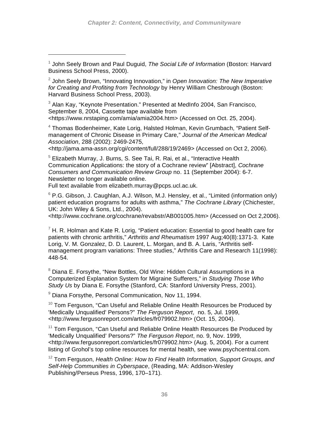2 John Seely Brown, "Innovating Innovation," in *Open Innovation: The New Imperative for Creating and Profiting from Technology* by Henry William Chesbrough (Boston: Harvard Business School Press, 2003).

 $3$  Alan Kay, "Keynote Presentation." Presented at MedInfo 2004, San Francisco, September 8, 2004, Cassette tape available from <https://www.nrstaping.com/amia/amia2004.htm> (Accessed on Oct. 25, 2004).

<sup>4</sup> Thomas Bodenheimer, Kate Lorig, Halsted Holman, Kevin Grumbach, "Patient Selfmanagement of Chronic Disease in Primary Care," *Journal of the American Medical Association*, 288 (2002): 2469-2475,

<http://jama.ama-assn.org/cgi/content/full/288/19/2469> (Accessed on Oct 2, 2006).

<sup>5</sup> Elizabeth Murray, J. Burns, S. See Tai, R. Rai, et al., "Interactive Health Communication Applications: the story of a Cochrane review" [Abstract], *Cochrane Consumers and Communication Review Group* no. 11 (September 2004): 6-7. Newsletter no longer available online.

Full text available from elizabeth.murray@pcps.ucl.ac.uk.

 $\overline{a}$ 

<sup>6</sup> P.G. Gibson, J. Caughlan, A.J. Wilson, M.J. Hensley, et al., "Limited (information only) patient education programs for adults with asthma," *The Cochrane Library* (Chichester, UK: John Wiley & Sons, Ltd., 2004).

<http://www.cochrane.org/cochrane/revabstr/AB001005.htm> (Accessed on Oct 2,2006).

 $7$  H. R. Holman and Kate R. Lorig, "Patient education: Essential to good health care for patients with chronic arthritis," *Arthritis and Rheumatism* 1997 Aug;40(8):1371-3. Kate Lorig, V. M. Gonzalez, D. D. Laurent, L. Morgan, and B. A. Laris, "Arthritis selfmanagement program variations: Three studies," Arthritis Care and Research 11(1998): 448-54.

<sup>8</sup> Diana E. Forsythe, "New Bottles, Old Wine: Hidden Cultural Assumptions in a Computerized Explanation System for Migraine Sufferers," in *Studying Those Who Study Us* by Diana E. Forsythe (Stanford, CA: Stanford University Press, 2001).

9 Diana Forsythe, Personal Communication, Nov 11, 1994.

 $10$  Tom Ferguson, "Can Useful and Reliable Online Health Resources be Produced by 'Medically Unqualified' Persons?" *The Ferguson Report*, no. 5, Jul. 1999, <http://www.fergusonreport.com/articles/fr079902.htm> (Oct. 15, 2004).

 $11$  Tom Ferguson, "Can Useful and Reliable Online Health Resources Be Produced by 'Medically Unqualified' Persons?" *The Ferguson Report*, no. 9, Nov. 1999, <http://www.fergusonreport.com/articles/fr079902.htm> (Aug. 5, 2004). For a current listing of Grohol's top online resources for mental health, see www.psychcentral.com.

<sup>12</sup> Tom Ferguson, *Health Online: How to Find Health Information, Support Groups, and Self-Help Communities in Cyberspace*, (Reading, MA: Addison-Wesley Publishing/Perseus Press, 1996, 170–171).

<sup>1</sup> John Seely Brown and Paul Duguid, *The Social Life of Information* (Boston: Harvard Business School Press, 2000).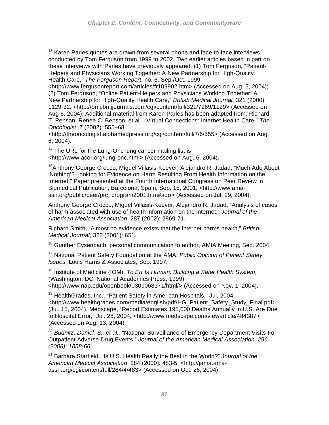$13$  Karen Parles quotes are drawn from several phone and face-to-face interviews conducted by Tom Ferguson from 1999 to 2002. Two earlier articles based in part on these interviews with Parles have previously appeared: (1) Tom Ferguson, "Patient-Helpers and Physicians Working Together: A New Partnership for High-Quality Health Care," *The Ferguson Report*, no. 6, Sep./Oct. 1999,

<http://www.fergusonreport.com/articles/fr109902.htm> (Accessed on Aug. 5, 2004); (2) Tom Ferguson, "Online Patient-Helpers and Physicians Working Together: A New Partnership for High-Quality Health Care," *British Medical Journal*, 321 (2000): 1129-32. <http://bmj.bmjjournals.com/cgi/content/full/321/7269/1129> (Accessed on Aug 6, 2004); Additional material from Karen Parles has been adapted from: Richard T. Penson, Renee C. Benson, et al., "Virtual Connections: Internet Health Care," *The Oncologist*, 7 (2002): 555–68.

<http://theoncologist.alphamedpress.org/cgi/content/full/7/6/555> (Accessed on Aug. 6, 2004).

<sup>14</sup> The URL for the Lung-Onc lung cancer mailing list is <http://www.acor.org/lung-onc.html> (Accessed on Aug. 6, 2004).

 $\overline{a}$ 

<sup>15</sup>Anthony George Crocco, Miguel Villasis-Keever, Alejandro R. Jadad, "Much Ado About 'Nothing'? Looking for Evidence on Harm Resulting From Health Information on the Internet." Paper presented at the Fourth International Congress on Peer Review in Biomedical Publication, Barcelona, Spain, Sep. 15, 2001, <http://www.amassn.org/public/peer/prc\_program2001.htm#ado> (Accessed on Jul. 29, 2004).

Anthony George Crocco, Miguel Villasis-Keever, Alejandro R. Jadad, "Analysis of cases of harm associated with use of health information on the internet," *Journal of the American Medical Association*, 287 (2002): 2869-71.

Richard Smith, "Almost no evidence exists that the internet harms health," *British Medical Journal*, 323 (2001): 651.

 $16$  Gunther Eysenbach, personal communication to author, AMIA Meeting, Sep. 2004.

17 National Patient Safety Foundation at the AMA: *Public Opinion of Patient Safety Issues*, Louis Harris & Associates, Sep. 1997.

18 Institute of Medicine (IOM), *To Err Is Human: Building a Safer Health System*, (Washington, DC: National Academies Press, 1999). <http://www.nap.edu/openbook/0309068371/html/> (Accessed on Nov. 1, 2004).

 $19$  Health Grades, Inc., "Patient Safety in American Hospitals," Jul. 2004, <http://www.healthgrades.com/media/english/pdf/HG\_Patient\_Safety\_Study\_Final.pdf> (Jul. 15, 2004). Medscape, "Report Estimates 195,000 Deaths Annually in U.S. Are Due to Hospital Error," Jul. 28, 2004, <http://www.medscape.com/viewarticle/484387> (Accessed on Aug. 13, 2004).

*20 Budnitz, Daniel, S., et al.,* "National Surveillance of Emergency Department Visits For Outpatient Adverse Drug Events," *Journal of the American Medical Association, 296 (2006): 1858-66.* 

21 Barbara Starfield, "Is U.S. Health Really the Best in the World?" *Journal of the American Medical Association*, 284 (2000): 483-5. <http://jama.amaassn.org/cgi/content/full/284/4/483> (Accessed on Oct. 26, 2004).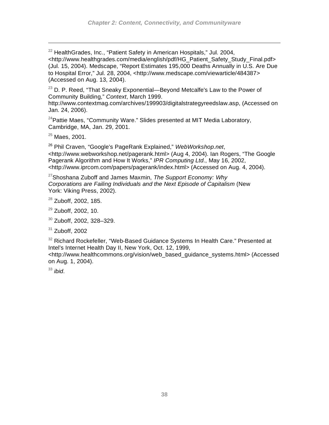<sup>22</sup> HealthGrades, Inc., "Patient Safety in American Hospitals," Jul. 2004, <http://www.healthgrades.com/media/english/pdf/HG\_Patient\_Safety\_Study\_Final.pdf> (Jul. 15, 2004). Medscape, "Report Estimates 195,000 Deaths Annually in U.S. Are Due to Hospital Error," Jul. 28, 2004, <http://www.medscape.com/viewarticle/484387> (Accessed on Aug. 13, 2004).

<sup>23</sup> D. P. Reed, "That Sneaky Exponential—Beyond Metcalfe's Law to the Power of Community Building," *Context*, March 1999.

http://www.contextmag.com/archives/199903/digitalstrategyreedslaw.asp, (Accessed on Jan. 24, 2006).

 $24$ Pattie Maes, "Community Ware." Slides presented at MIT Media Laboratory, Cambridge, MA, Jan. 29, 2001.

 $^{25}$  Maes, 2001.

 $\overline{a}$ 

26 Phil Craven, "Google's PageRank Explained," *WebWorkshop.net*, <http://www.webworkshop.net/pagerank.html> (Aug 4, 2004). Ian Rogers, "The Google Pagerank Algorithm and How It Works," *IPR Computing Ltd*., May 16, 2002, <http://www.iprcom.com/papers/pagerank/index.html> (Accessed on Aug. 4, 2004).

27Shoshana Zuboff and James Maxmin, *The Support Economy: Why Corporations are Failing Individuals and the Next Episode of Capitalism* (New York: Viking Press, 2002).

<sup>28</sup> Zuboff, 2002, 185.

 $^{29}$  Zuboff, 2002, 10.

 $30$  Zuboff, 2002, 328-329.

 $31$  Zuboff, 2002

 $32$  Richard Rockefeller, "Web-Based Guidance Svstems In Health Care." Presented at Intel's Internet Health Day II, New York, Oct. 12, 1999,

<http://www.healthcommons.org/vision/web\_based\_guidance\_systems.html> (Accessed on Aug. 1, 2004).

<sup>33</sup> *ibid*.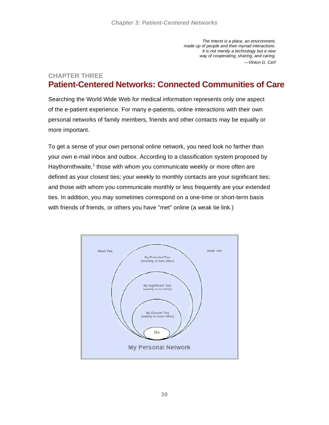*The Interet is a place, an environment, made up of people and their myriad interactions. It is not merely a technology but a new way of cooperating, sharing, and caring. —Vinton G. Cerf* 

# **CHAPTER THREE Patient-Centered Networks: Connected Communities of Care**

Searching the World Wide Web for medical information represents only one aspect of the e-patient experience. For many e-patients, online interactions with their own personal networks of family members, friends and other contacts may be equally or more important.

To get a sense of your own personal online network, you need look no farther than your own e-mail inbox and outbox. According to a classification system proposed by Haythornthwaite,<sup>1</sup> those with whom you communicate weekly or more often are defined as your closest ties; your weekly to monthly contacts are your significant ties; and those with whom you communicate monthly or less frequently are your extended ties. In addition, you may sometimes correspond on a one-time or short-term basis with friends of friends, or others you have "met" online (a weak tie link.)

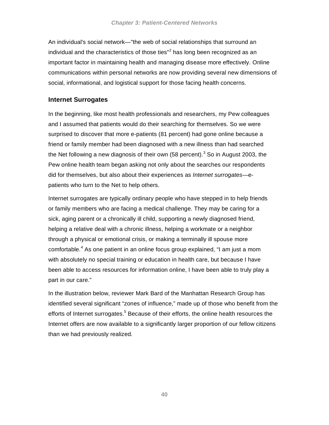An individual's social network—"the web of social relationships that surround an individual and the characteristics of those ties"<sup>2</sup> has long been recognized as an important factor in maintaining health and managing disease more effectively. Online communications within personal networks are now providing several new dimensions of social, informational, and logistical support for those facing health concerns.

# **Internet Surrogates**

In the beginning, like most health professionals and researchers, my Pew colleagues and I assumed that patients would do their searching for themselves. So we were surprised to discover that more e-patients (81 percent) had gone online because a friend or family member had been diagnosed with a new illness than had searched the Net following a new diagnosis of their own (58 percent).<sup>3</sup> So in August 2003, the Pew online health team began asking not only about the searches our respondents did for themselves, but also about their experiences as *Internet surrogates—*epatients who turn to the Net to help others.

Internet surrogates are typically ordinary people who have stepped in to help friends or family members who are facing a medical challenge. They may be caring for a sick, aging parent or a chronically ill child, supporting a newly diagnosed friend, helping a relative deal with a chronic illness, helping a workmate or a neighbor through a physical or emotional crisis, or making a terminally ill spouse more comfortable.<sup>4</sup> As one patient in an online focus group explained, "I am just a mom with absolutely no special training or education in health care, but because I have been able to access resources for information online, I have been able to truly play a part in our care."

In the illustration below, reviewer Mark Bard of the Manhattan Research Group has identified several significant "zones of influence," made up of those who benefit from the efforts of Internet surrogates.<sup>5</sup> Because of their efforts, the online health resources the Internet offers are now available to a significantly larger proportion of our fellow citizens than we had previously realized.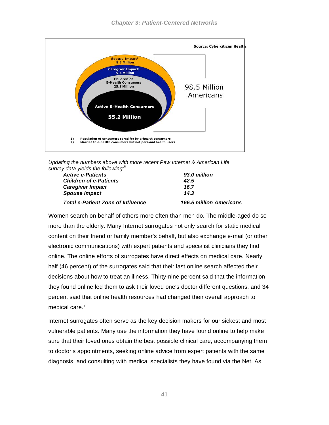

*Updating the numbers above with more recent Pew Internet & American Life survey data yields the following:<sup>6</sup>*

| <b>Active e-Patients</b>                 | 93.0 million                   |
|------------------------------------------|--------------------------------|
| <b>Children of e-Patients</b>            | 42.5                           |
| <b>Caregiver Impact</b>                  | 16.7                           |
| <b>Spouse Impact</b>                     | 14.3                           |
| <b>Total e-Patient Zone of Influence</b> | <b>166.5 million Americans</b> |

Women search on behalf of others more often than men do. The middle-aged do so more than the elderly. Many Internet surrogates not only search for static medical content on their friend or family member's behalf, but also exchange e-mail (or other electronic communications) with expert patients and specialist clinicians they find online. The online efforts of surrogates have direct effects on medical care. Nearly half (46 percent) of the surrogates said that their last online search affected their decisions about how to treat an illness. Thirty-nine percent said that the information they found online led them to ask their loved one's doctor different questions, and 34 percent said that online health resources had changed their overall approach to medical care. $7$ 

Internet surrogates often serve as the key decision makers for our sickest and most vulnerable patients. Many use the information they have found online to help make sure that their loved ones obtain the best possible clinical care, accompanying them to doctor's appointments, seeking online advice from expert patients with the same diagnosis, and consulting with medical specialists they have found via the Net. As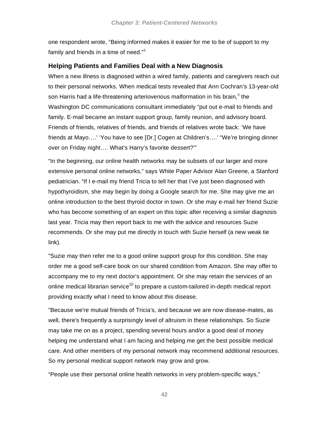one respondent wrote, "Being informed makes it easier for me to be of support to my family and friends in a time of need." $8$ 

## **Helping Patients and Families Deal with a New Diagnosis**

When a new illness is diagnosed within a wired family, patients and caregivers reach out to their personal networks. When medical tests revealed that Ann Cochran's 13-year-old son Harris had a life-threatening arteriovenous malformation in his brain, $^9$  the Washington DC communications consultant immediately "put out e-mail to friends and family. E-mail became an instant support group, family reunion, and advisory board. Friends of friends, relatives of friends, and friends of relatives wrote back: 'We have friends at Mayo….' 'You have to see [Dr.] Cogen at Children's….' "We're bringing dinner over on Friday night…. What's Harry's favorite dessert?'"

"In the beginning, our online health networks may be subsets of our larger and more extensive personal online networks," says White Paper Advisor Alan Greene, a Stanford pediatrician. "If I e-mail my friend Tricia to tell her that I've just been diagnosed with hypothyroidism, she may begin by doing a Google search for me. She may give me an online introduction to the best thyroid doctor in town. Or she may e-mail her friend Suzie who has become something of an expert on this topic after receiving a similar diagnosis last year. Tricia may then report back to me with the advice and resources Suzie recommends. Or she may put me directly in touch with Suzie herself (a new weak tie link).

"Suzie may then refer me to a good online support group for this condition. She may order me a good self-care book on our shared condition from Amazon. She may offer to accompany me to my next doctor's appointment. Or she may retain the services of an online medical librarian service<sup>10</sup> to prepare a custom-tailored in-depth medical report providing exactly what I need to know about this disease.

"Because we're mutual friends of Tricia's, and because we are now disease-mates, as well, there's frequently a surprisingly level of altruism in these relationships. So Suzie may take me on as a project, spending several hours and/or a good deal of money helping me understand what I am facing and helping me get the best possible medical care. And other members of my personal network may recommend additional resources. So my personal medical support network may grow and grow.

"People use their personal online health networks in very problem-specific ways,"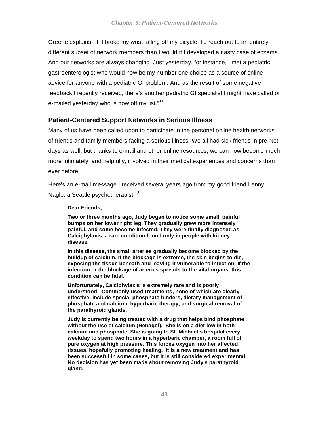Greene explains. "If I broke my wrist falling off my bicycle, I'd reach out to an entirely different subset of network members than I would if I developed a nasty case of eczema. And our networks are always changing. Just yesterday, for instance, I met a pediatric gastroenterologist who would now be my number one choice as a source of online advice for anyone with a pediatric GI problem. And as the result of some negative feedback I recently received, there's another pediatric GI specialist I might have called or e-mailed yesterday who is now off my list."<sup>11</sup>

# **Patient-Centered Support Networks in Serious Illness**

Many of us have been called upon to participate in the personal online health networks of friends and family members facing a serious illness. We all had sick friends in pre-Net days as well, but thanks to e-mail and other online resources, we can now become much more intimately, and helpfully, involved in their medical experiences and concerns than ever before.

Here's an e-mail message I received several years ago from my good friend Lenny Nagle, a Seattle psychotherapist: $12$ 

#### **Dear Friends,**

**Two or three months ago, Judy began to notice some small, painful bumps on her lower right leg. They gradually grew more intensely painful, and some become infected. They were finally diagnosed as Calciphylaxis, a rare condition found only in people with kidney disease.** 

**In this disease, the small arteries gradually become blocked by the buildup of calcium. If the blockage is extreme, the skin begins to die, exposing the tissue beneath and leaving it vulnerable to infection. If the infection or the blockage of arteries spreads to the vital organs, this condition can be fatal.** 

**Unfortunately, Calciphylaxis is extremely rare and is poorly understood. Commonly used treatments, none of which are clearly effective, include special phosphate binders, dietary management of phosphate and calcium, hyperbaric therapy, and surgical removal of the parathyroid glands.** 

**Judy is currently being treated with a drug that helps bind phosphate without the use of calcium (Renagel). She is on a diet low in both calcium and phosphate. She is going to St. Michael's hospital every weekday to spend two hours in a hyperbaric chamber, a room full of pure oxygen at high pressure. This forces oxygen into her affected tissues, hopefully promoting healing. It is a new treatment and has been successful in some cases, but it is still considered experimental. No decision has yet been made about removing Judy's parathyroid gland.**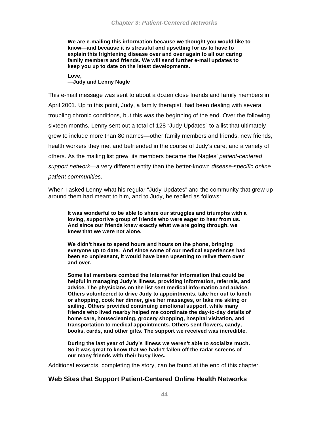**We are e-mailing this information because we thought you would like to know—and because it is stressful and upsetting for us to have to explain this frightening disease over and over again to all our caring family members and friends. We will send further e-mail updates to keep you up to date on the latest developments.** 

## **Love, —Judy and Lenny Nagle**

This e-mail message was sent to about a dozen close friends and family members in April 2001. Up to this point, Judy, a family therapist, had been dealing with several troubling chronic conditions, but this was the beginning of the end. Over the following sixteen months, Lenny sent out a total of 128 "Judy Updates" to a list that ultimately grew to include more than 80 names—other family members and friends, new friends, health workers they met and befriended in the course of Judy's care, and a variety of others. As the mailing list grew, its members became the Nagles' *patient-centered support network*—a very different entity than the better-known *disease-specific online patient communities*.

When I asked Lenny what his regular "Judy Updates" and the community that grew up around them had meant to him, and to Judy, he replied as follows:

**It was wonderful to be able to share our struggles and triumphs with a loving, supportive group of friends who were eager to hear from us. And since our friends knew exactly what we are going through, we knew that we were not alone.** 

**We didn't have to spend hours and hours on the phone, bringing everyone up to date. And since some of our medical experiences had been so unpleasant, it would have been upsetting to relive them over and over.** 

**Some list members combed the Internet for information that could be helpful in managing Judy's illness, providing information, referrals, and advice. The physicians on the list sent medical information and advice. Others volunteered to drive Judy to appointments, take her out to lunch or shopping, cook her dinner, give her massages, or take me skiing or sailing. Others provided continuing emotional support, while many friends who lived nearby helped me coordinate the day-to-day details of home care, housecleaning, grocery shopping, hospital visitation, and transportation to medical appointments. Others sent flowers, candy, books, cards, and other gifts. The support we received was incredible.** 

**During the last year of Judy's illness we weren't able to socialize much. So it was great to know that we hadn't fallen off the radar screens of our many friends with their busy lives.** 

Additional excerpts, completing the story, can be found at the end of this chapter.

## **Web Sites that Support Patient-Centered Online Health Networks**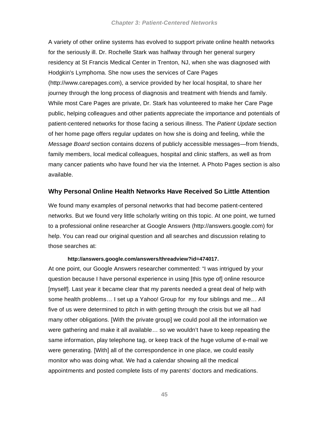A variety of other online systems has evolved to support private online health networks for the seriously ill. Dr. Rochelle Stark was halfway through her general surgery residency at St Francis Medical Center in Trenton, NJ, when she was diagnosed with Hodgkin's Lymphoma. She now uses the services of Care Pages (http://www.carepages.com), a service provided by her local hospital, to share her journey through the long process of diagnosis and treatment with friends and family. While most Care Pages are private, Dr. Stark has volunteered to make her Care Page public, helping colleagues and other patients appreciate the importance and potentials of patient-centered networks for those facing a serious illness. The *Patient Update* section of her home page offers regular updates on how she is doing and feeling, while the *Message Board* section contains dozens of publicly accessible messages—from friends, family members, local medical colleagues, hospital and clinic staffers, as well as from many cancer patients who have found her via the Internet. A Photo Pages section is also available.

## **Why Personal Online Health Networks Have Received So Little Attention**

We found many examples of personal networks that had become patient-centered networks. But we found very little scholarly writing on this topic. At one point, we turned to a professional online researcher at Google Answers (http://answers.google.com) for help. You can read our original question and all searches and discussion relating to those searches at:

#### **http://answers.google.com/answers/threadview?id=474017.**

At one point, our Google Answers researcher commented: "I was intrigued by your question because I have personal experience in using [this type of] online resource [myself]. Last year it became clear that my parents needed a great deal of help with some health problems… I set up a Yahoo! Group for my four siblings and me… All five of us were determined to pitch in with getting through the crisis but we all had many other obligations. [With the private group] we could pool all the information we were gathering and make it all available… so we wouldn't have to keep repeating the same information, play telephone tag, or keep track of the huge volume of e-mail we were generating. [With] all of the correspondence in one place, we could easily monitor who was doing what. We had a calendar showing all the medical appointments and posted complete lists of my parents' doctors and medications.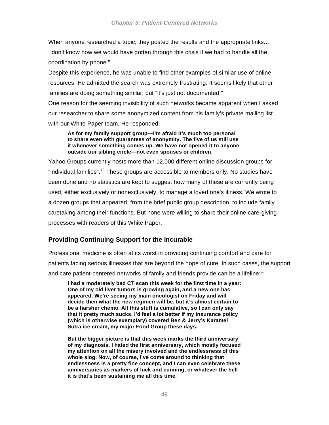When anyone researched a topic, they posted the results and the appropriate links.**..** I don't know how we would have gotten through this crisis if we had to handle all the coordination by phone."

Despite this experience, he was unable to find other examples of similar use of online resources. He admitted the search was extremely frustrating. It seems likely that other families are doing something similar, but "it's just not documented."

One reason for the seeming invisibility of such networks became apparent when I asked our researcher to share some anonymized content from his family's private mailing list with our White Paper team. He responded:

**As for my family support group—I'm afraid it's much too personal to share even with guarantees of anonymity. The five of us still use it whenever something comes up. We have not opened it to anyone outside our sibling circle—not even spouses or children.** 

Yahoo Groups currently hosts more than 12,000 different online discussion groups for "individual families".<sup>13</sup> These groups are accessible to members only. No studies have been done and no statistics are kept to suggest how many of these are currently being used, either exclusively or nonexclusively, to manage a loved one's illness. We wrote to a dozen groups that appeared, from the brief public group description, to include family caretaking among their functions. But none were willing to share their online care-giving processes with readers of this White Paper.

# **Providing Continuing Support for the Incurable**

Professional medicine is often at its worst in providing continuing comfort and care for patients facing serious illnesses that are beyond the hope of cure. In such cases, the support and care patient-centered networks of family and friends provide can be a lifeline:<sup>14</sup>

**I had a moderately bad CT scan this week for the first time in a year: One of my old liver tumors is growing again, and a new one has appeared. We're seeing my main oncologist on Friday and will decide then what the new regimen will be, but it's almost certain to be a harsher chemo. All this stuff is cumulative, so I can only say that it pretty much sucks. I'd feel a lot better if my insurance policy (which is otherwise exemplary) covered Ben & Jerry's Karamel Sutra ice cream, my major Food Group these days.** 

**But the bigger picture is that this week marks the third anniversary of my diagnosis. I hated the first anniversary, which mostly focused my attention on all the misery involved and the endlessness of this whole slog. Now, of course, I've come around to thinking that endlessness is a pretty fine concept, and I can even celebrate these anniversaries as markers of luck and cunning, or whatever the hell it is that's been sustaining me all this time.**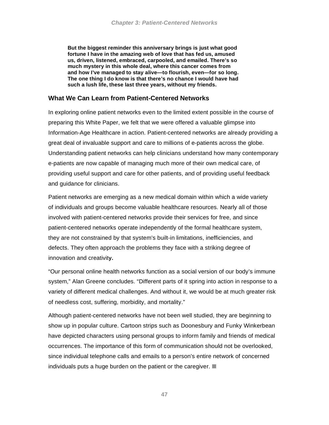**But the biggest reminder this anniversary brings is just what good fortune I have in the amazing web of love that has fed us, amused us, driven, listened, embraced, carpooled, and emailed. There's so much mystery in this whole deal, where this cancer comes from and how I've managed to stay alive—to flourish, even—for so long. The one thing I do know is that there's no chance I would have had such a lush life, these last three years, without my friends.**

# **What We Can Learn from Patient-Centered Networks**

In exploring online patient networks even to the limited extent possible in the course of preparing this White Paper, we felt that we were offered a valuable glimpse into Information-Age Healthcare in action. Patient-centered networks are already providing a great deal of invaluable support and care to millions of e-patients across the globe. Understanding patient networks can help clinicians understand how many contemporary e-patients are now capable of managing much more of their own medical care, of providing useful support and care for other patients, and of providing useful feedback and guidance for clinicians.

Patient networks are emerging as a new medical domain within which a wide variety of individuals and groups become valuable healthcare resources. Nearly all of those involved with patient-centered networks provide their services for free, and since patient-centered networks operate independently of the formal healthcare system, they are not constrained by that system's built-in limitations, inefficiencies, and defects. They often approach the problems they face with a striking degree of innovation and creativit**y.** 

"Our personal online health networks function as a social version of our body's immune system," Alan Greene concludes. "Different parts of it spring into action in response to a variety of different medical challenges. And without it, we would be at much greater risk of needless cost, suffering, morbidity, and mortality."

Although patient-centered networks have not been well studied, they are beginning to show up in popular culture. Cartoon strips such as Doonesbury and Funky Winkerbean have depicted characters using personal groups to inform family and friends of medical occurrences. The importance of this form of communication should not be overlooked, since individual telephone calls and emails to a person's entire network of concerned individuals puts a huge burden on the patient or the caregiver.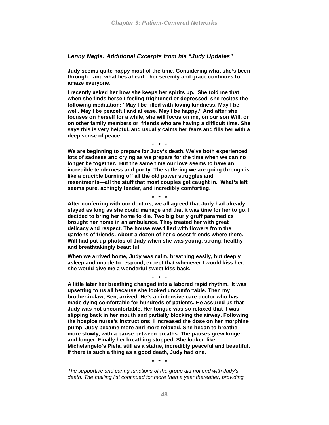*Lenny Nagle: Additional Excerpts from his "Judy Updates"* 

**Judy seems quite happy most of the time. Considering what she's been through—and what lies ahead—her serenity and grace continues to amaze everyone.** 

**I recently asked her how she keeps her spirits up. She told me that when she finds herself feeling frightened or depressed, she recites the following meditation: "May I be filled with loving kindness. May I be well. May I be peaceful and at ease. May I be happy." And after she focuses on herself for a while, she will focus on me, on our son Will, or on other family members or friends who are having a difficult time. She says this is very helpful, and usually calms her fears and fills her with a deep sense of peace.** 

**\* \* \* We are beginning to prepare for Judy's death. We've both experienced lots of sadness and crying as we prepare for the time when we can no longer be together. But the same time our love seems to have an incredible tenderness and purity. The suffering we are going through is like a crucible burning off all the old power struggles and resentments—all the stuff that most couples get caught in. What's left seems pure, achingly tender, and incredibly comforting.** 

**\* \* \*** 

**After conferring with our doctors, we all agreed that Judy had already stayed as long as she could manage and that it was time for her to go. I decided to bring her home to die. Two big burly gruff paramedics brought her home in an ambulance. They treated her with great delicacy and respect. The house was filled with flowers from the gardens of friends. About a dozen of her closest friends where there. Will had put up photos of Judy when she was young, strong, healthy and breathtakingly beautiful.** 

**When we arrived home, Judy was calm, breathing easily, but deeply asleep and unable to respond, except that whenever I would kiss her, she would give me a wonderful sweet kiss back.** 

**\* \* \* A little later her breathing changed into a labored rapid rhythm. It was upsetting to us all because she looked uncomfortable. Then my brother-in-law, Ben, arrived. He's an intensive care doctor who has made dying comfortable for hundreds of patients. He assured us that Judy was not uncomfortable. Her tongue was so relaxed that it was slipping back in her mouth and partially blocking the airway. Following the hospice nurse's instructions, I increased the dose on her morphine pump. Judy became more and more relaxed. She began to breathe more slowly, with a pause between breaths. The pauses grew longer and longer. Finally her breathing stopped. She looked like Michelangelo's Pieta, still as a statue, incredibly peaceful and beautiful. If there is such a thing as a good death, Judy had one.** 

**\* \* \*** 

*The supportive and caring functions of the group did not end with Judy's death. The mailing list continued for more than a year thereafter, providing*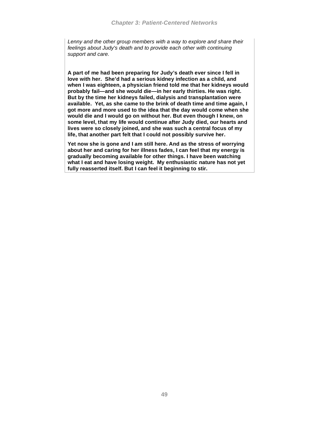*Lenny and the other group members with a way to explore and share their feelings about Judy's death and to provide each other with continuing support and care.* 

**A part of me had been preparing for Judy's death ever since I fell in love with her. She'd had a serious kidney infection as a child, and when I was eighteen, a physician friend told me that her kidneys would probably fail—and she would die—in her early thirties. He was right. But by the time her kidneys failed, dialysis and transplantation were available. Yet, as she came to the brink of death time and time again, I got more and more used to the idea that the day would come when she would die and I would go on without her. But even though I knew, on some level, that my life would continue after Judy died, our hearts and lives were so closely joined, and she was such a central focus of my life, that another part felt that I could not possibly survive her.** 

**Yet now she is gone and I am still here. And as the stress of worrying about her and caring for her illness fades, I can feel that my energy is gradually becoming available for other things. I have been watching what I eat and have losing weight. My enthusiastic nature has not yet fully reasserted itself. But I can feel it beginning to stir.**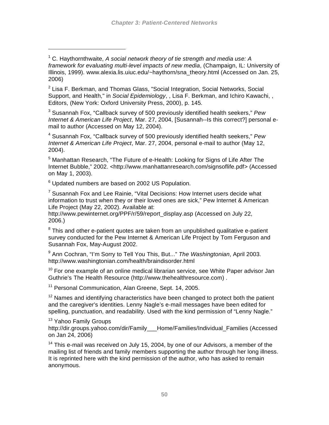<sup>1</sup> C. Haythornthwaite, A social network theory of tie strength and media use: A *framework for evaluating multi-level impacts of new media*, (Champaign, IL: University of Illinois, 1999). www.alexia.lis.uiuc.edu/~haythorn/sna\_theory.html (Accessed on Jan. 25, 2006)

<sup>2</sup> Lisa F. Berkman, and Thomas Glass, "Social Integration, Social Networks, Social Support, and Health," in *Social Epidemiology*, , Lisa F. Berkman, and Ichiro Kawachi, , Editors, (New York: Oxford University Press, 2000), p. 145.

3 Susannah Fox, "Callback survey of 500 previously identified health seekers," *Pew Internet & American Life Project*, Mar. 27, 2004, [Susannah--Is this correct?] personal email to author (Accessed on May 12, 2004).

4 Susannah Fox, "Callback survey of 500 previously identified health seekers," *Pew Internet & American Life Project*, Mar. 27, 2004, personal e-mail to author (May 12, 2004).

<sup>5</sup> Manhattan Research, "The Future of e-Health: Looking for Signs of Life After The Internet Bubble," 2002. <http://www.manhattanresearch.com/signsoflife.pdf> (Accessed on May 1, 2003).

 $6$  Updated numbers are based on 2002 US Population.

 $7$  Susannah Fox and Lee Rainie, "Vital Decisions: How Internet users decide what information to trust when they or their loved ones are sick," Pew Internet & American Life Project (May 22, 2002). Available at:

http://www.pewinternet.org/PPF/r/59/report\_display.asp (Accessed on July 22, 2006.)

<sup>8</sup> This and other e-patient quotes are taken from an unpublished qualitative e-patient survey conducted for the Pew Internet & American Life Project by Tom Ferguson and Susannah Fox, May-August 2002.

9 Ann Cochran, "I'm Sorry to Tell You This, But..." *The Washingtonian*, April 2003. http://www.washingtonian.com/health/braindisorder.html

 $10$  For one example of an online medical librarian service, see White Paper advisor Jan Guthrie's The Health Resource (http://www.thehealthresource.com) .

<sup>11</sup> Personal Communication, Alan Greene, Sept. 14, 2005.

 $12$  Names and identifying characteristics have been changed to protect both the patient and the caregiver's identities. Lenny Nagle's e-mail messages have been edited for spelling, punctuation, and readability. Used with the kind permission of "Lenny Nagle."

<sup>13</sup> Yahoo Family Groups

 $\overline{a}$ 

http://dir.groups.yahoo.com/dir/Family\_\_\_Home/Families/Individual\_Families (Accessed on Jan 24, 2006)

 $14$  This e-mail was received on July 15, 2004, by one of our Advisors, a member of the mailing list of friends and family members supporting the author through her long illness. It is reprinted here with the kind permission of the author, who has asked to remain anonymous.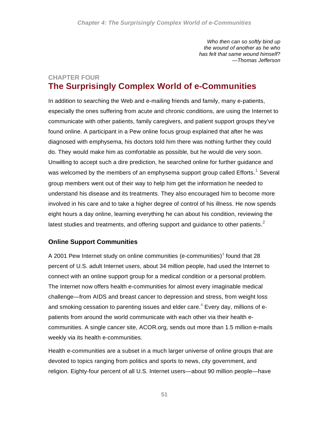*Who then can so softly bind up the wound of another as he who has felt that same wound himself? —Thomas Jefferson* 

# **CHAPTER FOUR The Surprisingly Complex World of e-Communities**

In addition to searching the Web and e-mailing friends and family, many e-patients, especially the ones suffering from acute and chronic conditions, are using the Internet to communicate with other patients, family caregivers, and patient support groups they've found online. A participant in a Pew online focus group explained that after he was diagnosed with emphysema, his doctors told him there was nothing further they could do. They would make him as comfortable as possible, but he would die very soon. Unwilling to accept such a dire prediction, he searched online for further guidance and was welcomed by the members of an emphysema support group called Efforts.<sup>1</sup> Several group members went out of their way to help him get the information he needed to understand his disease and its treatments. They also encouraged him to become more involved in his care and to take a higher degree of control of his illness. He now spends eight hours a day online, learning everything he can about his condition, reviewing the latest studies and treatments, and offering support and guidance to other patients.<sup>2</sup>

# **Online Support Communities**

A 2001 Pew Internet study on online communities (e-communities) $3$  found that 28 percent of U.S. adult Internet users, about 34 million people, had used the Internet to connect with an online support group for a medical condition or a personal problem. The Internet now offers health e-communities for almost every imaginable medical challenge—from AIDS and breast cancer to depression and stress, from weight loss and smoking cessation to parenting issues and elder care. $4$  Every day, millions of epatients from around the world communicate with each other via their health ecommunities. A single cancer site, ACOR.org, sends out more than 1.5 million e-mails weekly via its health e-communities.

Health e-communities are a subset in a much larger universe of online groups that are devoted to topics ranging from politics and sports to news, city government, and religion. Eighty-four percent of all U.S. Internet users—about 90 million people—have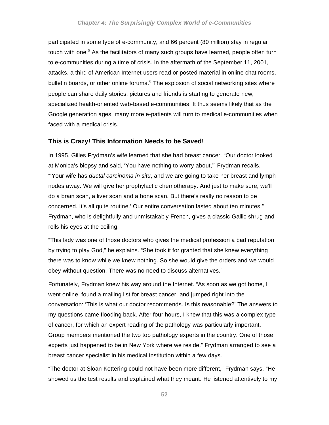## *Chapter 4: The Surprisingly Complex World of e-Communities*

participated in some type of e-community, and 66 percent (80 million) stay in regular touch with one.<sup>5</sup> As the facilitators of many such groups have learned, people often turn to e-communities during a time of crisis. In the aftermath of the September 11, 2001, attacks, a third of American Internet users read or posted material in online chat rooms, bulletin boards, or other online forums.<sup>6</sup> The explosion of social networking sites where people can share daily stories, pictures and friends is starting to generate new, specialized health-oriented web-based e-communities. It thus seems likely that as the Google generation ages, many more e-patients will turn to medical e-communities when faced with a medical crisis.

## **This is Crazy! This Information Needs to be Saved!**

In 1995, Gilles Frydman's wife learned that she had breast cancer. "Our doctor looked at Monica's biopsy and said, 'You have nothing to worry about,'" Frydman recalls. "'Your wife has *ductal carcinoma in situ*, and we are going to take her breast and lymph nodes away. We will give her prophylactic chemotherapy. And just to make sure, we'll do a brain scan, a liver scan and a bone scan. But there's really no reason to be concerned. It's all quite routine.' Our entire conversation lasted about ten minutes." Frydman, who is delightfully and unmistakably French, gives a classic Gallic shrug and rolls his eyes at the ceiling.

"This lady was one of those doctors who gives the medical profession a bad reputation by trying to play God," he explains. "She took it for granted that she knew everything there was to know while we knew nothing. So she would give the orders and we would obey without question. There was no need to discuss alternatives."

Fortunately, Frydman knew his way around the Internet. "As soon as we got home, I went online, found a mailing list for breast cancer, and jumped right into the conversation: 'This is what our doctor recommends. Is this reasonable?' The answers to my questions came flooding back. After four hours, I knew that this was a complex type of cancer, for which an expert reading of the pathology was particularly important. Group members mentioned the two top pathology experts in the country. One of those experts just happened to be in New York where we reside." Frydman arranged to see a breast cancer specialist in his medical institution within a few days.

"The doctor at Sloan Kettering could not have been more different," Frydman says. "He showed us the test results and explained what they meant. He listened attentively to my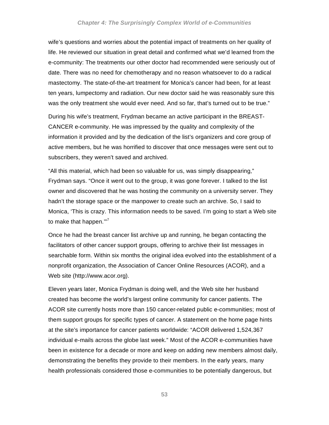#### *Chapter 4: The Surprisingly Complex World of e-Communities*

wife's questions and worries about the potential impact of treatments on her quality of life. He reviewed our situation in great detail and confirmed what we'd learned from the e-community: The treatments our other doctor had recommended were seriously out of date. There was no need for chemotherapy and no reason whatsoever to do a radical mastectomy. The state-of-the-art treatment for Monica's cancer had been, for at least ten years, lumpectomy and radiation. Our new doctor said he was reasonably sure this was the only treatment she would ever need. And so far, that's turned out to be true."

During his wife's treatment, Frydman became an active participant in the BREAST-CANCER e-community. He was impressed by the quality and complexity of the information it provided and by the dedication of the list's organizers and core group of active members, but he was horrified to discover that once messages were sent out to subscribers, they weren't saved and archived.

"All this material, which had been so valuable for us, was simply disappearing," Frydman says. "Once it went out to the group, it was gone forever. I talked to the list owner and discovered that he was hosting the community on a university server. They hadn't the storage space or the manpower to create such an archive. So, I said to Monica, 'This is crazy. This information needs to be saved. I'm going to start a Web site to make that happen."<sup>7</sup>

Once he had the breast cancer list archive up and running, he began contacting the facilitators of other cancer support groups, offering to archive their list messages in searchable form. Within six months the original idea evolved into the establishment of a nonprofit organization, the Association of Cancer Online Resources (ACOR), and a Web site (http://www.acor.org).

Eleven years later, Monica Frydman is doing well, and the Web site her husband created has become the world's largest online community for cancer patients. The ACOR site currently hosts more than 150 cancer-related public e-communities; most of them support groups for specific types of cancer. A statement on the home page hints at the site's importance for cancer patients worldwide: "ACOR delivered 1,524,367 individual e-mails across the globe last week." Most of the ACOR e-communities have been in existence for a decade or more and keep on adding new members almost daily, demonstrating the benefits they provide to their members. In the early years, many health professionals considered those e-communities to be potentially dangerous, but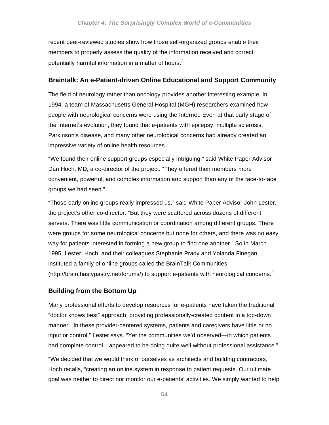recent peer-reviewed studies show how those self-organized groups enable their members to properly assess the quality of the information received and correct potentially harmful information in a matter of hours.<sup>8</sup>

## **Braintalk: An e-Patient-driven Online Educational and Support Community**

The field of neurology rather than oncology provides another interesting example. In 1994, a team of Massachusetts General Hospital (MGH) researchers examined how people with neurological concerns were using the Internet. Even at that early stage of the Internet's evolution, they found that e-patients with epilepsy, multiple sclerosis, Parkinson's disease, and many other neurological concerns had already created an impressive variety of online health resources.

"We found their online support groups especially intriguing," said White Paper Advisor Dan Hoch, MD, a co-director of the project. "They offered their members more convenient, powerful, and complex information and support than any of the face-to-face groups we had seen."

"Those early online groups really impressed us," said White Paper Advisor John Lester, the project's other co-director. "But they were scattered across dozens of different servers. There was little communication or coordination among different groups. There were groups for some neurological concerns but none for others, and there was no easy way for patients interested in forming a new group to find one another." So in March 1995, Lester, Hoch, and their colleagues Stephanie Prady and Yolanda Finegan instituted a family of online groups called the BrainTalk Communities (http://brain.hastypastry.net/forums/) to support e-patients with neurological concerns. $9$ 

# **Building from the Bottom Up**

Many professional efforts to develop resources for e-patients have taken the traditional "doctor knows best" approach, providing professionally-created content in a top-down manner. "In these provider-centered systems, patients and caregivers have little or no input or control," Lester says. "Yet the communities we'd observed—in which patients had complete control—appeared to be doing quite well without professional assistance."

"We decided that we would think of ourselves as architects and building contractors," Hoch recalls, "creating an online system in response to patient requests. Our ultimate goal was neither to direct nor monitor our e-patients' activities. We simply wanted to help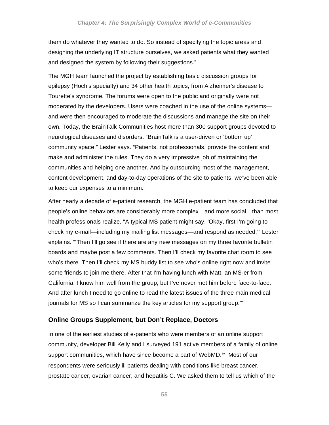them do whatever they wanted to do. So instead of specifying the topic areas and designing the underlying IT structure ourselves, we asked patients what they wanted and designed the system by following their suggestions."

The MGH team launched the project by establishing basic discussion groups for epilepsy (Hoch's specialty) and 34 other health topics, from Alzheimer's disease to Tourette's syndrome. The forums were open to the public and originally were not moderated by the developers. Users were coached in the use of the online systems and were then encouraged to moderate the discussions and manage the site on their own. Today, the BrainTalk Communities host more than 300 support groups devoted to neurological diseases and disorders. "BrainTalk is a user-driven or 'bottom up' community space," Lester says. "Patients, not professionals, provide the content and make and administer the rules. They do a very impressive job of maintaining the communities and helping one another. And by outsourcing most of the management, content development, and day-to-day operations of the site to patients, we've been able to keep our expenses to a minimum."

After nearly a decade of e-patient research, the MGH e-patient team has concluded that people's online behaviors are considerably more complex—and more social—than most health professionals realize. "A typical MS patient might say, 'Okay, first I'm going to check my e-mail—including my mailing list messages—and respond as needed,'" Lester explains. "'Then I'll go see if there are any new messages on my three favorite bulletin boards and maybe post a few comments. Then I'll check my favorite chat room to see who's there. Then I'll check my MS buddy list to see who's online right now and invite some friends to join me there. After that I'm having lunch with Matt, an MS-er from California. I know him well from the group, but I've never met him before face-to-face. And after lunch I need to go online to read the latest issues of the three main medical journals for MS so I can summarize the key articles for my support group.'"

#### **Online Groups Supplement, but Don't Replace, Doctors**

In one of the earliest studies of e-patients who were members of an online support community, developer Bill Kelly and I surveyed 191 active members of a family of online support communities, which have since become a part of WebMD.<sup>10</sup> Most of our respondents were seriously ill patients dealing with conditions like breast cancer, prostate cancer, ovarian cancer, and hepatitis C. We asked them to tell us which of the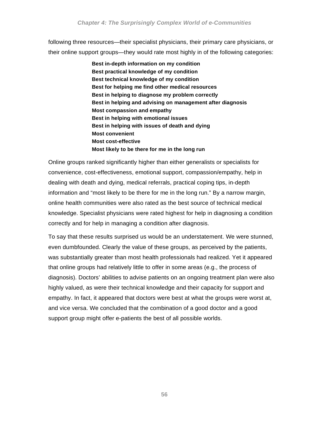following three resources—their specialist physicians, their primary care physicians, or their online support groups—they would rate most highly in of the following categories:

> **Best in-depth information on my condition Best practical knowledge of my condition Best technical knowledge of my condition Best for helping me find other medical resources Best in helping to diagnose my problem correctly Best in helping and advising on management after diagnosis Most compassion and empathy Best in helping with emotional issues Best in helping with issues of death and dying Most convenient Most cost-effective Most likely to be there for me in the long run**

Online groups ranked significantly higher than either generalists or specialists for convenience, cost-effectiveness, emotional support, compassion/empathy, help in dealing with death and dying, medical referrals, practical coping tips, in-depth information and "most likely to be there for me in the long run." By a narrow margin, online health communities were also rated as the best source of technical medical knowledge. Specialist physicians were rated highest for help in diagnosing a condition correctly and for help in managing a condition after diagnosis.

To say that these results surprised us would be an understatement. We were stunned, even dumbfounded. Clearly the value of these groups, as perceived by the patients, was substantially greater than most health professionals had realized. Yet it appeared that online groups had relatively little to offer in some areas (e.g., the process of diagnosis). Doctors' abilities to advise patients on an ongoing treatment plan were also highly valued, as were their technical knowledge and their capacity for support and empathy. In fact, it appeared that doctors were best at what the groups were worst at, and vice versa. We concluded that the combination of a good doctor and a good support group might offer e-patients the best of all possible worlds.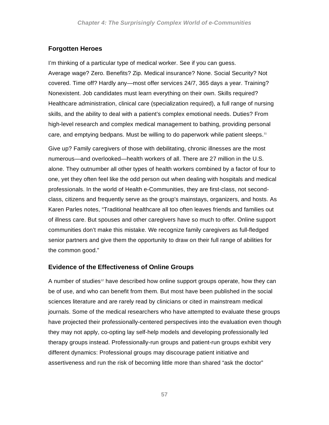# **Forgotten Heroes**

I'm thinking of a particular type of medical worker. See if you can guess. Average wage? Zero. Benefits? Zip. Medical insurance? None. Social Security? Not covered. Time off? Hardly any—most offer services 24/7, 365 days a year. Training? Nonexistent. Job candidates must learn everything on their own. Skills required? Healthcare administration, clinical care (specialization required), a full range of nursing skills, and the ability to deal with a patient's complex emotional needs. Duties? From high-level research and complex medical management to bathing, providing personal care, and emptying bedpans. Must be willing to do paperwork while patient sleeps.<sup>11</sup>

Give up? Family caregivers of those with debilitating, chronic illnesses are the most numerous—and overlooked—health workers of all. There are 27 million in the U.S. alone. They outnumber all other types of health workers combined by a factor of four to one, yet they often feel like the odd person out when dealing with hospitals and medical professionals. In the world of Health e-Communities, they are first-class, not secondclass, citizens and frequently serve as the group's mainstays, organizers, and hosts. As Karen Parles notes, "Traditional healthcare all too often leaves friends and families out of illness care. But spouses and other caregivers have so much to offer. Online support communities don't make this mistake. We recognize family caregivers as full-fledged senior partners and give them the opportunity to draw on their full range of abilities for the common good."

## **Evidence of the Effectiveness of Online Groups**

A number of studies<sup>12</sup> have described how online support groups operate, how they can be of use, and who can benefit from them. But most have been published in the social sciences literature and are rarely read by clinicians or cited in mainstream medical journals. Some of the medical researchers who have attempted to evaluate these groups have projected their professionally-centered perspectives into the evaluation even though they may not apply, co-opting lay self-help models and developing professionally led therapy groups instead. Professionally-run groups and patient-run groups exhibit very different dynamics: Professional groups may discourage patient initiative and assertiveness and run the risk of becoming little more than shared "ask the doctor"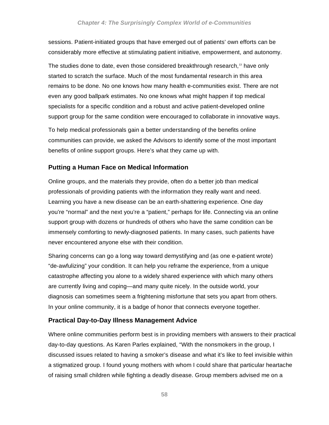sessions. Patient-initiated groups that have emerged out of patients' own efforts can be considerably more effective at stimulating patient initiative, empowerment, and autonomy.

The studies done to date, even those considered breakthrough research,<sup>13</sup> have only started to scratch the surface. Much of the most fundamental research in this area remains to be done. No one knows how many health e-communities exist. There are not even any good ballpark estimates. No one knows what might happen if top medical specialists for a specific condition and a robust and active patient-developed online support group for the same condition were encouraged to collaborate in innovative ways.

To help medical professionals gain a better understanding of the benefits online communities can provide, we asked the Advisors to identify some of the most important benefits of online support groups. Here's what they came up with.

# **Putting a Human Face on Medical Information**

Online groups, and the materials they provide, often do a better job than medical professionals of providing patients with the information they really want and need. Learning you have a new disease can be an earth-shattering experience. One day you're "normal" and the next you're a "patient," perhaps for life. Connecting via an online support group with dozens or hundreds of others who have the same condition can be immensely comforting to newly-diagnosed patients. In many cases, such patients have never encountered anyone else with their condition.

Sharing concerns can go a long way toward demystifying and (as one e-patient wrote) "de-awfulizing" your condition. It can help you reframe the experience, from a unique catastrophe affecting you alone to a widely shared experience with which many others are currently living and coping—and many quite nicely. In the outside world, your diagnosis can sometimes seem a frightening misfortune that sets you apart from others. In your online community, it is a badge of honor that connects everyone together.

# **Practical Day-to-Day Illness Management Advice**

Where online communities perform best is in providing members with answers to their practical day-to-day questions. As Karen Parles explained, "With the nonsmokers in the group, I discussed issues related to having a smoker's disease and what it's like to feel invisible within a stigmatized group. I found young mothers with whom I could share that particular heartache of raising small children while fighting a deadly disease. Group members advised me on a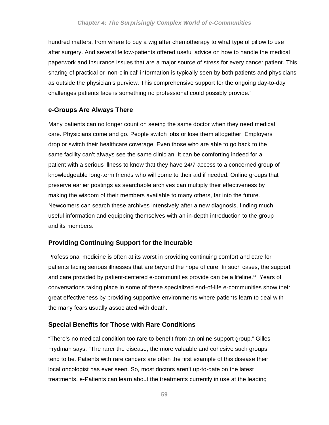hundred matters, from where to buy a wig after chemotherapy to what type of pillow to use after surgery. And several fellow-patients offered useful advice on how to handle the medical paperwork and insurance issues that are a major source of stress for every cancer patient. This sharing of practical or 'non-clinical' information is typically seen by both patients and physicians as outside the physician's purview. This comprehensive support for the ongoing day-to-day challenges patients face is something no professional could possibly provide."

# **e-Groups Are Always There**

Many patients can no longer count on seeing the same doctor when they need medical care. Physicians come and go. People switch jobs or lose them altogether. Employers drop or switch their healthcare coverage. Even those who are able to go back to the same facility can't always see the same clinician. It can be comforting indeed for a patient with a serious illness to know that they have 24/7 access to a concerned group of knowledgeable long-term friends who will come to their aid if needed. Online groups that preserve earlier postings as searchable archives can multiply their effectiveness by making the wisdom of their members available to many others, far into the future. Newcomers can search these archives intensively after a new diagnosis, finding much useful information and equipping themselves with an in-depth introduction to the group and its members.

# **Providing Continuing Support for the Incurable**

Professional medicine is often at its worst in providing continuing comfort and care for patients facing serious illnesses that are beyond the hope of cure. In such cases, the support and care provided by patient-centered e-communities provide can be a lifeline.<sup>14</sup> Years of conversations taking place in some of these specialized end-of-life e-communities show their great effectiveness by providing supportive environments where patients learn to deal with the many fears usually associated with death.

# **Special Benefits for Those with Rare Conditions**

"There's no medical condition too rare to benefit from an online support group," Gilles Frydman says. "The rarer the disease, the more valuable and cohesive such groups tend to be. Patients with rare cancers are often the first example of this disease their local oncologist has ever seen. So, most doctors aren't up-to-date on the latest treatments. e-Patients can learn about the treatments currently in use at the leading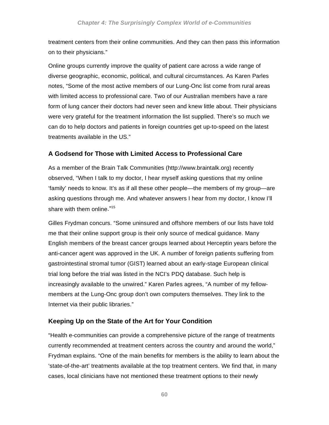treatment centers from their online communities. And they can then pass this information on to their physicians."

Online groups currently improve the quality of patient care across a wide range of diverse geographic, economic, political, and cultural circumstances. As Karen Parles notes, "Some of the most active members of our Lung-Onc list come from rural areas with limited access to professional care. Two of our Australian members have a rare form of lung cancer their doctors had never seen and knew little about. Their physicians were very grateful for the treatment information the list supplied. There's so much we can do to help doctors and patients in foreign countries get up-to-speed on the latest treatments available in the US."

# **A Godsend for Those with Limited Access to Professional Care**

As a member of the Brain Talk Communities (http://www.braintalk.org) recently observed, "When I talk to my doctor, I hear myself asking questions that my online 'family' needs to know. It's as if all these other people—the members of my group—are asking questions through me. And whatever answers I hear from my doctor, I know I'll share with them online."<sup>15</sup>

Gilles Frydman concurs. "Some uninsured and offshore members of our lists have told me that their online support group is their only source of medical guidance. Many English members of the breast cancer groups learned about Herceptin years before the anti-cancer agent was approved in the UK. A number of foreign patients suffering from gastrointestinal stromal tumor (GIST) learned about an early-stage European clinical trial long before the trial was listed in the NCI's PDQ database. Such help is increasingly available to the unwired." Karen Parles agrees, "A number of my fellowmembers at the Lung-Onc group don't own computers themselves. They link to the Internet via their public libraries."

# **Keeping Up on the State of the Art for Your Condition**

"Health e-communities can provide a comprehensive picture of the range of treatments currently recommended at treatment centers across the country and around the world," Frydman explains. "One of the main benefits for members is the ability to learn about the 'state-of-the-art' treatments available at the top treatment centers. We find that, in many cases, local clinicians have not mentioned these treatment options to their newly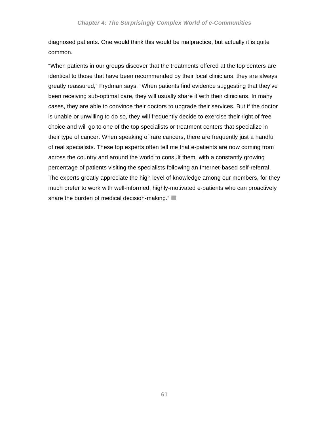diagnosed patients. One would think this would be malpractice, but actually it is quite common.

"When patients in our groups discover that the treatments offered at the top centers are identical to those that have been recommended by their local clinicians, they are always greatly reassured," Frydman says. "When patients find evidence suggesting that they've been receiving sub-optimal care, they will usually share it with their clinicians. In many cases, they are able to convince their doctors to upgrade their services. But if the doctor is unable or unwilling to do so, they will frequently decide to exercise their right of free choice and will go to one of the top specialists or treatment centers that specialize in their type of cancer. When speaking of rare cancers, there are frequently just a handful of real specialists. These top experts often tell me that e-patients are now coming from across the country and around the world to consult them, with a constantly growing percentage of patients visiting the specialists following an Internet-based self-referral. The experts greatly appreciate the high level of knowledge among our members, for they much prefer to work with well-informed, highly-motivated e-patients who can proactively share the burden of medical decision-making."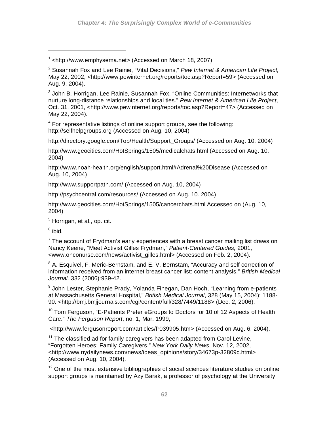$3$  John B. Horrigan, Lee Rainie, Susannah Fox, "Online Communities: Internetworks that nurture long-distance relationships and local ties." *Pew Internet & American Life Project*, Oct. 31, 2001, <http://www.pewinternet.org/reports/toc.asp?Report=47> (Accessed on May 22, 2004).

<sup>4</sup> For representative listings of online support groups, see the following: http://selfhelpgroups.org (Accessed on Aug. 10, 2004)

http://directory.google.com/Top/Health/Support\_Groups/ (Accessed on Aug. 10, 2004)

http://www.geocities.com/HotSprings/1505/medicalchats.html (Accessed on Aug. 10, 2004)

http://www.noah-health.org/english/support.html#Adrenal%20Disease (Accessed on Aug. 10, 2004)

http://www.supportpath.com/ (Accessed on Aug. 10, 2004)

http://psychcentral.com/resources/ (Accessed on Aug. 10. 2004)

http://www.geocities.com/HotSprings/1505/cancerchats.html Accessed on (Aug. 10, 2004)

<sup>5</sup> Horrigan, et al., op. cit.

 $^6$  ibid.

 $\overline{a}$ 

 $7$  The account of Frydman's early experiences with a breast cancer mailing list draws on Nancy Keene, "Meet Activist Gilles Frydman," *Patient-Centered Guides,* 2001, <www.onconurse.com/news/activist\_gilles.html> (Accessed on Feb. 2, 2004).

<sup>8</sup> A. Esquivel, F. Meric-Bernstam, and E. V. Bernstam, "Accuracy and self correction of information received from an internet breast cancer list: content analysis." *British Medical Journal,* 332 (2006):939-42.

<sup>9</sup> John Lester, Stephanie Prady, Yolanda Finegan, Dan Hoch, "Learning from e-patients at Massachusetts General Hospital," *British Medical Journal*, 328 (May 15, 2004): 1188- 90. <http://bmj.bmjjournals.com/cgi/content/full/328/7449/1188> (Dec. 2, 2006).

 $10$  Tom Ferguson, "E-Patients Prefer eGroups to Doctors for 10 of 12 Aspects of Health Care." *The Ferguson Report*, no. 1, Mar. 1999,

<http://www.fergusonreport.com/articles/fr039905.htm> (Accessed on Aug. 6, 2004).

 $11$  The classified ad for family caregivers has been adapted from Carol Levine, "Forgotten Heroes: Family Caregivers," *New York Daily News*, Nov. 12, 2002, <http://www.nydailynews.com/news/ideas\_opinions/story/34673p-32809c.html> (Accessed on Aug. 10, 2004).

 $12$  One of the most extensive bibliographies of social sciences literature studies on online support groups is maintained by Azy Barak, a professor of psychology at the University

<sup>&</sup>lt;sup>1</sup> <http://www.emphysema.net> (Accessed on March 18, 2007)

<sup>2</sup> Susannah Fox and Lee Rainie, "Vital Decisions," *Pew Internet & American Life Project,* May 22, 2002, <http://www.pewinternet.org/reports/toc.asp?Report=59> (Accessed on Aug. 9, 2004).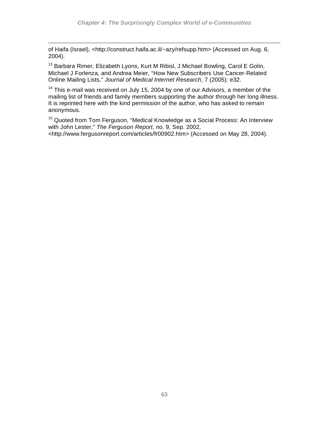of Haifa (Israel), <http://construct.haifa.ac.il/~azy/refsupp.htm> (Accessed on Aug. 6, 2004).

 $\overline{a}$ 

<sup>13</sup> Barbara Rimer, Elizabeth Lyons, Kurt M Ribisl, J Michael Bowling, Carol E Golin, Michael J Forlenza, and Andrea Meier, "How New Subscribers Use Cancer-Related Online Mailing Lists," *Journal of Medical Internet Research*, 7 (2005): e32.

<sup>14</sup> This e-mail was received on July 15, 2004 by one of our Advisors, a member of the mailing list of friends and family members supporting the author through her long illness. It is reprinted here with the kind permission of the author, who has asked to remain anonymous.

<sup>15</sup> Quoted from Tom Ferguson, "Medical Knowledge as a Social Process: An Interview with John Lester," *The Ferguson Report*, no. 9, Sep. 2002, <http://www.fergusonreport.com/articles/fr00902.htm> (Accessed on May 28, 2004).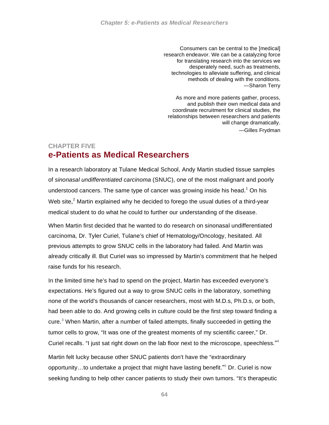Consumers can be central to the [medical] research endeavor. We can be a catalyzing force for translating research into the services we desperately need, such as treatments, technologies to alleviate suffering, and clinical methods of dealing with the conditions. —Sharon Terry

As more and more patients gather, process, and publish their own medical data and coordinate recruitment for clinical studies, the relationships between researchers and patients will change dramatically. —Gilles Frydman

# **CHAPTER FIVE e-Patients as Medical Researchers**

In a research laboratory at Tulane Medical School, Andy Martin studied tissue samples of *sinonasal undifferentiated carcinoma* (SNUC), one of the most malignant and poorly understood cancers. The same type of cancer was growing inside his head.<sup>1</sup> On his Web site,<sup>2</sup> Martin explained why he decided to forego the usual duties of a third-year medical student to do what he could to further our understanding of the disease.

When Martin first decided that he wanted to do research on sinonasal undifferentiated carcinoma, Dr. Tyler Curiel, Tulane's chief of Hematology/Oncology, hesitated. All previous attempts to grow SNUC cells in the laboratory had failed. And Martin was already critically ill. But Curiel was so impressed by Martin's commitment that he helped raise funds for his research.

In the limited time he's had to spend on the project, Martin has exceeded everyone's expectations. He's figured out a way to grow SNUC cells in the laboratory, something none of the world's thousands of cancer researchers, most with M.D.s, Ph.D.s, or both, had been able to do. And growing cells in culture could be the first step toward finding a cure.<sup>3</sup> When Martin, after a number of failed attempts, finally succeeded in getting the tumor cells to grow, "It was one of the greatest moments of my scientific career," Dr. Curiel recalls. "I just sat right down on the lab floor next to the microscope, speechless." 4

Martin felt lucky because other SNUC patients don't have the "extraordinary opportunity…to undertake a project that might have lasting benefit." <sup>5</sup> Dr. Curiel is now seeking funding to help other cancer patients to study their own tumors. "It's therapeutic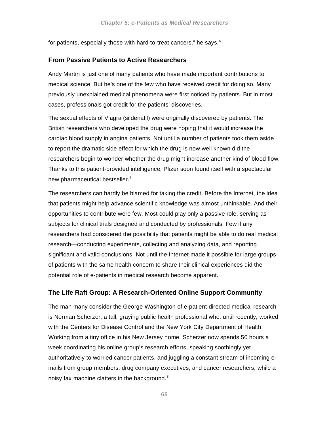for patients, especially those with hard-to-treat cancers," he says. $^{\circ}$ 

#### **From Passive Patients to Active Researchers**

Andy Martin is just one of many patients who have made important contributions to medical science. But he's one of the few who have received credit for doing so. Many previously unexplained medical phenomena were first noticed by patients. But in most cases, professionals got credit for the patients' discoveries.

The sexual effects of Viagra (sildenafil) were originally discovered by patients. The British researchers who developed the drug were hoping that it would increase the cardiac blood supply in angina patients. Not until a number of patients took them aside to report the dramatic side effect for which the drug is now well known did the researchers begin to wonder whether the drug might increase another kind of blood flow. Thanks to this patient-provided intelligence, Pfizer soon found itself with a spectacular new pharmaceutical bestseller.<sup>7</sup>

The researchers can hardly be blamed for taking the credit. Before the Internet, the idea that patients might help advance scientific knowledge was almost unthinkable. And their opportunities to contribute were few. Most could play only a passive role, serving as subjects for clinical trials designed and conducted by professionals. Few if any researchers had considered the possibility that patients might be able to do real medical research—conducting experiments, collecting and analyzing data, and reporting significant and valid conclusions. Not until the Internet made it possible for large groups of patients with the same health concern to share their clinical experiences did the potential role of e-patients in medical research become apparent.

## **The Life Raft Group: A Research-Oriented Online Support Community**

The man many consider the George Washington of e-patient-directed medical research is Norman Scherzer, a tall, graying public health professional who, until recently, worked with the Centers for Disease Control and the New York City Department of Health. Working from a tiny office in his New Jersey home, Scherzer now spends 50 hours a week coordinating his online group's research efforts, speaking soothingly yet authoritatively to worried cancer patients, and juggling a constant stream of incoming emails from group members, drug company executives, and cancer researchers, while a noisy fax machine clatters in the background. $^8$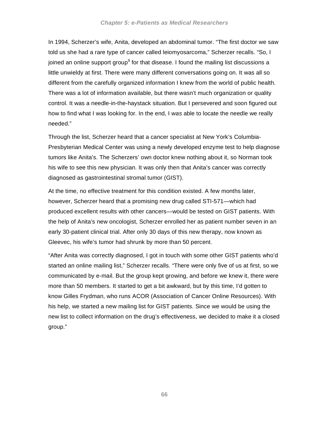In 1994, Scherzer's wife, Anita, developed an abdominal tumor. "The first doctor we saw told us she had a rare type of cancer called leiomyosarcoma," Scherzer recalls. "So, I joined an online support group $^9$  for that disease. I found the mailing list discussions a little unwieldy at first. There were many different conversations going on. It was all so different from the carefully organized information I knew from the world of public health. There was a lot of information available, but there wasn't much organization or quality control. It was a needle-in-the-haystack situation. But I persevered and soon figured out how to find what I was looking for. In the end, I *was* able to locate the needle we really needed."

Through the list, Scherzer heard that a cancer specialist at New York's Columbia-Presbyterian Medical Center was using a newly developed enzyme test to help diagnose tumors like Anita's. The Scherzers' own doctor knew nothing about it, so Norman took his wife to see this new physician. It was only then that Anita's cancer was correctly diagnosed as gastrointestinal stromal tumor (GIST).

At the time, no effective treatment for this condition existed. A few months later, however, Scherzer heard that a promising new drug called STI-571—which had produced excellent results with other cancers—would be tested on GIST patients. With the help of Anita's new oncologist, Scherzer enrolled her as patient number seven in an early 30-patient clinical trial. After only 30 days of this new therapy, now known as Gleevec, his wife's tumor had shrunk by more than 50 percent.

"After Anita was correctly diagnosed, I got in touch with some other GIST patients who'd started an online mailing list," Scherzer recalls. "There were only five of us at first, so we communicated by e-mail. But the group kept growing, and before we knew it, there were more than 50 members. It started to get a bit awkward, but by this time, I'd gotten to know Gilles Frydman, who runs ACOR (Association of Cancer Online Resources). With his help, we started a new mailing list for GIST patients. Since we would be using the new list to collect information on the drug's effectiveness, we decided to make it a closed group."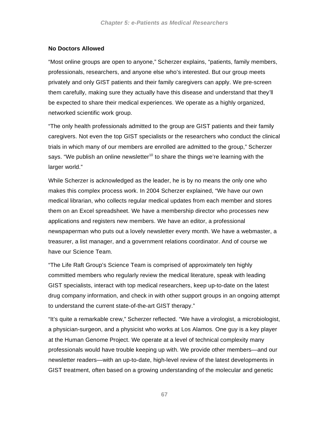#### **No Doctors Allowed**

"Most online groups are open to anyone," Scherzer explains, "patients, family members, professionals, researchers, and anyone else who's interested. But our group meets privately and only GIST patients and their family caregivers can apply. We pre-screen them carefully, making sure they actually have this disease and understand that they'll be expected to share their medical experiences. We operate as a highly organized, networked scientific work group.

"The only health professionals admitted to the group are GIST patients and their family caregivers. Not even the top GIST specialists or the researchers who conduct the clinical trials in which many of our members are enrolled are admitted to the group," Scherzer says. "We publish an online newsletter<sup>10</sup> to share the things we're learning with the larger world."

While Scherzer is acknowledged as the leader, he is by no means the only one who makes this complex process work. In 2004 Scherzer explained, "We have our own medical librarian, who collects regular medical updates from each member and stores them on an Excel spreadsheet. We have a membership director who processes new applications and registers new members. We have an editor, a professional newspaperman who puts out a lovely newsletter every month. We have a webmaster, a treasurer, a list manager, and a government relations coordinator. And of course we have our Science Team.

"The Life Raft Group's Science Team is comprised of approximately ten highly committed members who regularly review the medical literature, speak with leading GIST specialists, interact with top medical researchers, keep up-to-date on the latest drug company information, and check in with other support groups in an ongoing attempt to understand the current state-of-the-art GIST therapy."

"It's quite a remarkable crew," Scherzer reflected. "We have a virologist, a microbiologist, a physician-surgeon, and a physicist who works at Los Alamos. One guy is a key player at the Human Genome Project. We operate at a level of technical complexity many professionals would have trouble keeping up with. We provide other members—and our newsletter readers—with an up-to-date, high-level review of the latest developments in GIST treatment, often based on a growing understanding of the molecular and genetic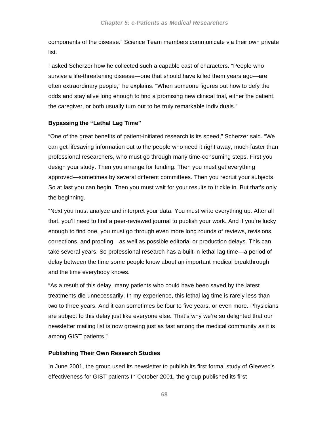components of the disease." Science Team members communicate via their own private list.

I asked Scherzer how he collected such a capable cast of characters. "People who survive a life-threatening disease—one that should have killed them years ago—are often extraordinary people," he explains. "When someone figures out how to defy the odds and stay alive long enough to find a promising new clinical trial, either the patient, the caregiver, or both usually turn out to be truly remarkable individuals."

#### **Bypassing the "Lethal Lag Time"**

"One of the great benefits of patient-initiated research is its speed," Scherzer said. "We can get lifesaving information out to the people who need it right away, much faster than professional researchers, who must go through many time-consuming steps. First you design your study. Then you arrange for funding. Then you must get everything approved—sometimes by several different committees. Then you recruit your subjects. So at last you can begin. Then you must wait for your results to trickle in. But that's only the beginning.

"Next you must analyze and interpret your data. You must write everything up. After all that, you'll need to find a peer-reviewed journal to publish your work. And if you're lucky enough to find one, you must go through even more long rounds of reviews, revisions, corrections, and proofing—as well as possible editorial or production delays. This can take several years. So professional research has a built-in lethal lag time—a period of delay between the time some people know about an important medical breakthrough and the time everybody knows.

"As a result of this delay, many patients who could have been saved by the latest treatments die unnecessarily. In my experience, this lethal lag time is rarely less than two to three years. And it can sometimes be four to five years, or even more. Physicians are subject to this delay just like everyone else. That's why we're so delighted that our newsletter mailing list is now growing just as fast among the medical community as it is among GIST patients."

#### **Publishing Their Own Research Studies**

In June 2001, the group used its newsletter to publish its first formal study of Gleevec's effectiveness for GIST patients In October 2001, the group published its first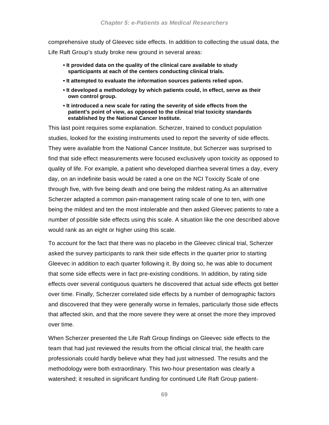comprehensive study of Gleevec side effects. In addition to collecting the usual data, the Life Raft Group's study broke new ground in several areas:

- **It provided data on the quality of the clinical care available to study sparticipants at each of the centers conducting clinical trials.**
- **It attempted to evaluate the information sources patients relied upon.**
- **It developed a methodology by which patients could, in effect, serve as their own control group.**
- **It introduced a new scale for rating the severity of side effects from the patient's point of view, as opposed to the clinical trial toxicity standards established by the National Cancer Institute.**

This last point requires some explanation. Scherzer, trained to conduct population studies, looked for the existing instruments used to report the severity of side effects. They were available from the National Cancer Institute, but Scherzer was surprised to find that side effect measurements were focused exclusively upon toxicity as opposed to quality of life. For example, a patient who developed diarrhea several times a day, every day, on an indefinite basis would be rated a one on the NCI Toxicity Scale of one through five, with five being death and one being the mildest rating.As an alternative Scherzer adapted a common pain-management rating scale of one to ten, with one being the mildest and ten the most intolerable and then asked Gleevec patients to rate a number of possible side effects using this scale. A situation like the one described above would rank as an eight or higher using this scale.

To account for the fact that there was no placebo in the Gleevec clinical trial, Scherzer asked the survey participants to rank their side effects in the quarter prior to starting Gleevec in addition to each quarter following it. By doing so, he was able to document that some side effects were in fact pre-existing conditions. In addition, by rating side effects over several contiguous quarters he discovered that actual side effects got better over time. Finally, Scherzer correlated side effects by a number of demographic factors and discovered that they were generally worse in females, particularly those side effects that affected skin, and that the more severe they were at onset the more they improved over time.

When Scherzer presented the Life Raft Group findings on Gleevec side effects to the team that had just reviewed the results from the official clinical trial, the health care professionals could hardly believe what they had just witnessed. The results and the methodology were both extraordinary. This two-hour presentation was clearly a watershed; it resulted in significant funding for continued Life Raft Group patient-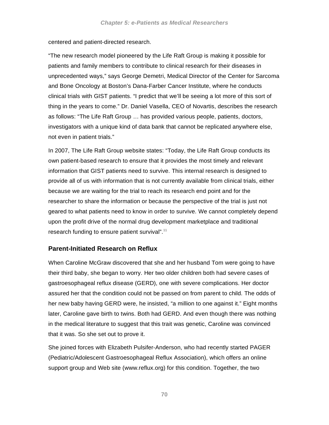centered and patient-directed research.

"The new research model pioneered by the Life Raft Group is making it possible for patients and family members to contribute to clinical research for their diseases in unprecedented ways," says George Demetri, Medical Director of the Center for Sarcoma and Bone Oncology at Boston's Dana-Farber Cancer Institute, where he conducts clinical trials with GIST patients. "I predict that we'll be seeing a lot more of this sort of thing in the years to come." Dr. Daniel Vasella, CEO of Novartis, describes the research as follows: "The Life Raft Group … has provided various people, patients, doctors, investigators with a unique kind of data bank that cannot be replicated anywhere else, not even in patient trials."

In 2007, The Life Raft Group website states: "Today, the Life Raft Group conducts its own patient-based research to ensure that it provides the most timely and relevant information that GIST patients need to survive. This internal research is designed to provide all of us with information that is not currently available from clinical trials, either because we are waiting for the trial to reach its research end point and for the researcher to share the information or because the perspective of the trial is just not geared to what patients need to know in order to survive. We cannot completely depend upon the profit drive of the normal drug development marketplace and traditional research funding to ensure patient survival".<sup>11</sup>

## **Parent-Initiated Research on Reflux**

When Caroline McGraw discovered that she and her husband Tom were going to have their third baby, she began to worry. Her two older children both had severe cases of gastroesophageal reflux disease (GERD), one with severe complications. Her doctor assured her that the condition could not be passed on from parent to child. The odds of her new baby having GERD were, he insisted, "a million to one against it." Eight months later, Caroline gave birth to twins. Both had GERD. And even though there was nothing in the medical literature to suggest that this trait was genetic, Caroline was convinced that it was. So she set out to prove it.

She joined forces with Elizabeth Pulsifer-Anderson, who had recently started PAGER (Pediatric/Adolescent Gastroesophageal Reflux Association), which offers an online support group and Web site (www.reflux.org) for this condition. Together, the two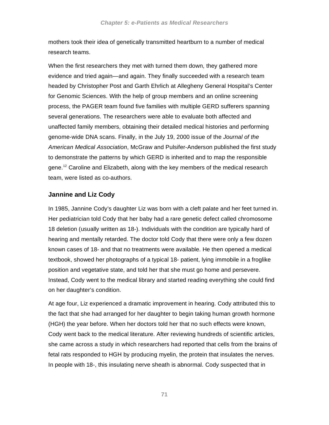mothers took their idea of genetically transmitted heartburn to a number of medical research teams.

When the first researchers they met with turned them down, they gathered more evidence and tried again—and again. They finally succeeded with a research team headed by Christopher Post and Garth Ehrlich at Allegheny General Hospital's Center for Genomic Sciences. With the help of group members and an online screening process, the PAGER team found five families with multiple GERD sufferers spanning several generations. The researchers were able to evaluate both affected and unaffected family members, obtaining their detailed medical histories and performing genome-wide DNA scans. Finally, in the July 19, 2000 issue of the *Journal of the American Medical Association*, McGraw and Pulsifer-Anderson published the first study to demonstrate the patterns by which GERD is inherited and to map the responsible gene.<sup>12</sup> Caroline and Elizabeth, along with the key members of the medical research team, were listed as co-authors.

## **Jannine and Liz Cody**

In 1985, Jannine Cody's daughter Liz was born with a cleft palate and her feet turned in. Her pediatrician told Cody that her baby had a rare genetic defect called chromosome 18 deletion (usually written as 18-). Individuals with the condition are typically hard of hearing and mentally retarded. The doctor told Cody that there were only a few dozen known cases of 18- and that no treatments were available. He then opened a medical textbook, showed her photographs of a typical 18- patient, lying immobile in a froglike position and vegetative state, and told her that she must go home and persevere. Instead, Cody went to the medical library and started reading everything she could find on her daughter's condition.

At age four, Liz experienced a dramatic improvement in hearing. Cody attributed this to the fact that she had arranged for her daughter to begin taking human growth hormone (HGH) the year before. When her doctors told her that no such effects were known, Cody went back to the medical literature. After reviewing hundreds of scientific articles, she came across a study in which researchers had reported that cells from the brains of fetal rats responded to HGH by producing myelin, the protein that insulates the nerves. In people with 18-, this insulating nerve sheath is abnormal. Cody suspected that in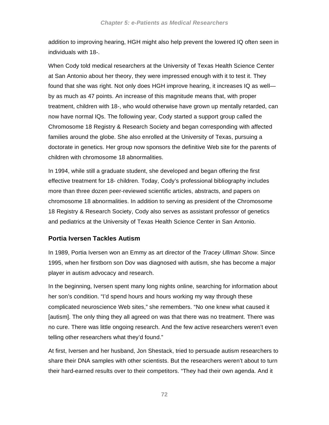addition to improving hearing, HGH might also help prevent the lowered IQ often seen in individuals with 18-.

When Cody told medical researchers at the University of Texas Health Science Center at San Antonio about her theory, they were impressed enough with it to test it. They found that she was right. Not only does HGH improve hearing, it increases IQ as well by as much as 47 points. An increase of this magnitude means that, with proper treatment, children with 18-, who would otherwise have grown up mentally retarded, can now have normal IQs. The following year, Cody started a support group called the Chromosome 18 Registry & Research Society and began corresponding with affected families around the globe. She also enrolled at the University of Texas, pursuing a doctorate in genetics. Her group now sponsors the definitive Web site for the parents of children with chromosome 18 abnormalities.

In 1994, while still a graduate student, she developed and began offering the first effective treatment for 18- children. Today, Cody's professional bibliography includes more than three dozen peer-reviewed scientific articles, abstracts, and papers on chromosome 18 abnormalities. In addition to serving as president of the Chromosome 18 Registry & Research Society, Cody also serves as assistant professor of genetics and pediatrics at the University of Texas Health Science Center in San Antonio.

## **Portia Iversen Tackles Autism**

In 1989, Portia Iversen won an Emmy as art director of the *Tracey Ullman Show*. Since 1995, when her firstborn son Dov was diagnosed with autism, she has become a major player in autism advocacy and research.

In the beginning, Iversen spent many long nights online, searching for information about her son's condition. "I'd spend hours and hours working my way through these complicated neuroscience Web sites," she remembers. "No one knew what caused it [autism]. The only thing they all agreed on was that there was no treatment. There was no cure. There was little ongoing research. And the few active researchers weren't even telling other researchers what they'd found."

At first, Iversen and her husband, Jon Shestack, tried to persuade autism researchers to share their DNA samples with other scientists. But the researchers weren't about to turn their hard-earned results over to their competitors. "They had their own agenda. And it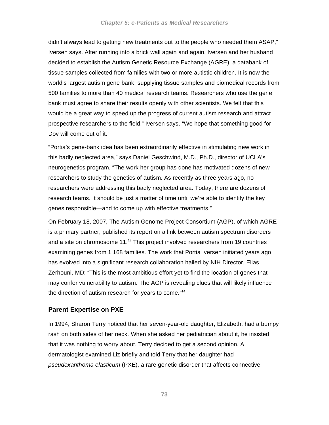didn't always lead to getting new treatments out to the people who needed them ASAP," Iversen says. After running into a brick wall again and again, Iversen and her husband decided to establish the Autism Genetic Resource Exchange (AGRE), a databank of tissue samples collected from families with two or more autistic children. It is now the world's largest autism gene bank, supplying tissue samples and biomedical records from 500 families to more than 40 medical research teams. Researchers who use the gene bank must agree to share their results openly with other scientists. We felt that this would be a great way to speed up the progress of current autism research and attract prospective researchers to the field," Iversen says. "We hope that something good for Dov will come out of it."

"Portia's gene-bank idea has been extraordinarily effective in stimulating new work in this badly neglected area," says Daniel Geschwind, M.D., Ph.D., director of UCLA's neurogenetics program. "The work her group has done has motivated dozens of new researchers to study the genetics of autism. As recently as three years ago, no researchers were addressing this badly neglected area. Today, there are dozens of research teams. It should be just a matter of time until we're able to identify the key genes responsible—and to come up with effective treatments."

On February 18, 2007, The Autism Genome Project Consortium (AGP), of which AGRE is a primary partner, published its report on a link between autism spectrum disorders and a site on chromosome  $11.^{13}$  This project involved researchers from 19 countries examining genes from 1,168 families. The work that Portia Iversen initiated years ago has evolved into a significant research collaboration hailed by NIH Director, Elias Zerhouni, MD: "This is the most ambitious effort yet to find the location of genes that may confer vulnerability to autism. The AGP is revealing clues that will likely influence the direction of autism research for years to come."14

#### **Parent Expertise on PXE**

In 1994, Sharon Terry noticed that her seven-year-old daughter, Elizabeth, had a bumpy rash on both sides of her neck. When she asked her pediatrician about it, he insisted that it was nothing to worry about. Terry decided to get a second opinion. A dermatologist examined Liz briefly and told Terry that her daughter had *pseudoxanthoma elasticum* (PXE), a rare genetic disorder that affects connective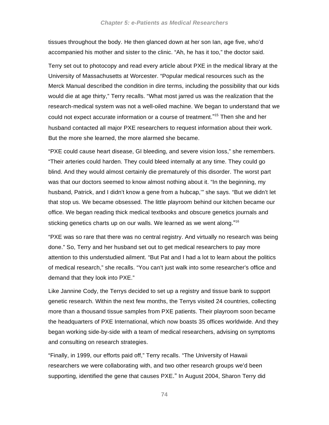tissues throughout the body. He then glanced down at her son Ian, age five, who'd accompanied his mother and sister to the clinic. "Ah, he has it too," the doctor said.

Terry set out to photocopy and read every article about PXE in the medical library at the University of Massachusetts at Worcester. "Popular medical resources such as the Merck Manual described the condition in dire terms, including the possibility that our kids would die at age thirty," Terry recalls. "What most jarred us was the realization that the research-medical system was not a well-oiled machine. We began to understand that we could not expect accurate information or a course of treatment." <sup>15</sup> Then she and her husband contacted all major PXE researchers to request information about their work. But the more she learned, the more alarmed she became.

"PXE could cause heart disease, GI bleeding, and severe vision loss," she remembers. "Their arteries could harden. They could bleed internally at any time. They could go blind. And they would almost certainly die prematurely of this disorder. The worst part was that our doctors seemed to know almost nothing about it. "In the beginning, my husband, Patrick, and I didn't know a gene from a hubcap,'" she says. "But we didn't let that stop us. We became obsessed. The little playroom behind our kitchen became our office. We began reading thick medical textbooks and obscure genetics journals and sticking genetics charts up on our walls. We learned as we went along."<sup>16</sup>

"PXE was so rare that there was no central registry. And virtually no research was being done." So, Terry and her husband set out to get medical researchers to pay more attention to this understudied ailment. "But Pat and I had a lot to learn about the politics of medical research," she recalls. "You can't just walk into some researcher's office and demand that they look into PXE."

Like Jannine Cody, the Terrys decided to set up a registry and tissue bank to support genetic research. Within the next few months, the Terrys visited 24 countries, collecting more than a thousand tissue samples from PXE patients. Their playroom soon became the headquarters of PXE International, which now boasts 35 offices worldwide. And they began working side-by-side with a team of medical researchers, advising on symptoms and consulting on research strategies.

"Finally, in 1999, our efforts paid off," Terry recalls. "The University of Hawaii researchers we were collaborating with, and two other research groups we'd been supporting, identified the gene that causes PXE." In August 2004, Sharon Terry did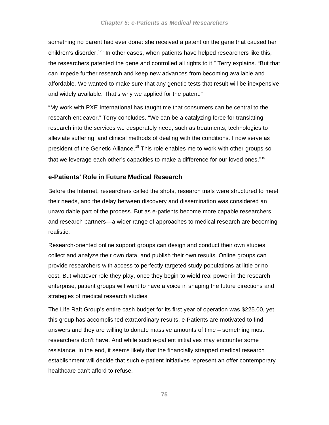something no parent had ever done: she received a patent on the gene that caused her children's disorder. <sup>17</sup> "In other cases, when patients have helped researchers like this, the researchers patented the gene and controlled all rights to it," Terry explains. "But that can impede further research and keep new advances from becoming available and affordable. We wanted to make sure that any genetic tests that result will be inexpensive and widely available. That's why we applied for the patent."

"My work with PXE International has taught me that consumers can be central to the research endeavor," Terry concludes. "We can be a catalyzing force for translating research into the services we desperately need, such as treatments, technologies to alleviate suffering, and clinical methods of dealing with the conditions. I now serve as president of the Genetic Alliance.<sup>18</sup> This role enables me to work with other groups so that we leverage each other's capacities to make a difference for our loved ones."19

# **e-Patients' Role in Future Medical Research**

Before the Internet, researchers called the shots, research trials were structured to meet their needs, and the delay between discovery and dissemination was considered an unavoidable part of the process. But as e-patients become more capable researchers and research partners—a wider range of approaches to medical research are becoming realistic.

Research-oriented online support groups can design and conduct their own studies, collect and analyze their own data, and publish their own results. Online groups can provide researchers with access to perfectly targeted study populations at little or no cost. But whatever role they play, once they begin to wield real power in the research enterprise, patient groups will want to have a voice in shaping the future directions and strategies of medical research studies.

The Life Raft Group's entire cash budget for its first year of operation was \$225.00, yet this group has accomplished extraordinary results. e-Patients are motivated to find answers and they are willing to donate massive amounts of time – something most researchers don't have. And while such e-patient initiatives may encounter some resistance, in the end, it seems likely that the financially strapped medical research establishment will decide that such e-patient initiatives represent an offer contemporary healthcare can't afford to refuse.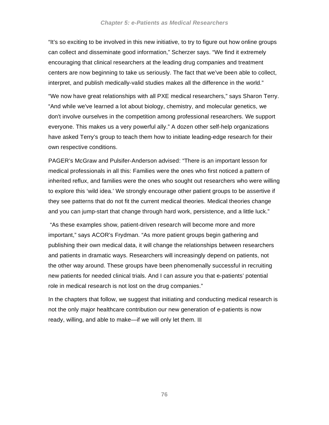"It's so exciting to be involved in this new initiative, to try to figure out how online groups can collect and disseminate good information," Scherzer says. "We find it extremely encouraging that clinical researchers at the leading drug companies and treatment centers are now beginning to take us seriously. The fact that we've been able to collect, interpret, and publish medically-valid studies makes all the difference in the world."

"We now have great relationships with all PXE medical researchers," says Sharon Terry. "And while we've learned a lot about biology, chemistry, and molecular genetics, we don't involve ourselves in the competition among professional researchers. We support everyone. This makes us a very powerful ally." A dozen other self-help organizations have asked Terry's group to teach them how to initiate leading-edge research for their own respective conditions.

PAGER's McGraw and Pulsifer-Anderson advised: "There is an important lesson for medical professionals in all this: Families were the ones who first noticed a pattern of inherited reflux, and families were the ones who sought out researchers who were willing to explore this 'wild idea.' We strongly encourage other patient groups to be assertive if they see patterns that do not fit the current medical theories. Medical theories change and you can jump-start that change through hard work, persistence, and a little luck."

 "As these examples show, patient-driven research will become more and more important," says ACOR's Frydman. "As more patient groups begin gathering and publishing their own medical data, it will change the relationships between researchers and patients in dramatic ways. Researchers will increasingly depend on patients, not the other way around. These groups have been phenomenally successful in recruiting new patients for needed clinical trials. And I can assure you that e-patients' potential role in medical research is not lost on the drug companies."

In the chapters that follow, we suggest that initiating and conducting medical research is not the only major healthcare contribution our new generation of e-patients is now ready, willing, and able to make—if we will only let them.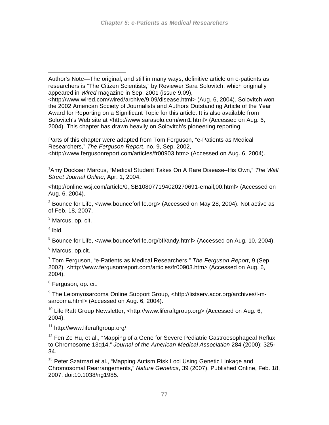<http://www.wired.com/wired/archive/9.09/disease.html> (Aug. 6, 2004). Solovitch won the 2002 American Society of Journalists and Authors Outstanding Article of the Year Award for Reporting on a Significant Topic for this article. It is also available from Solovitch's Web site at <http://www.sarasolo.com/wm1.html> (Accessed on Aug. 6, 2004). This chapter has drawn heavily on Solovitch's pioneering reporting.

Parts of this chapter were adapted from Tom Ferguson, "e-Patients as Medical Researchers," *The Ferguson Report*, no. 9, Sep. 2002, <http://www.fergusonreport.com/articles/fr00903.htm> (Accessed on Aug. 6, 2004).

1 Amy Dockser Marcus, "Medical Student Takes On A Rare Disease–His Own," *The Wall Street Journal Online*, Apr. 1, 2004.

<http://online.wsj.com/article/0,,SB108077194020270691-email,00.html> (Accessed on Aug. 6, 2004).

 $2$  Bounce for Life, <www.bounceforlife.org> (Accessed on May 28, 2004). Not active as of Feb. 18, 2007.

<sup>3</sup> Marcus, op. cit.

 $<sup>4</sup>$  ibid.</sup>

<sup>5</sup> Bounce for Life, <www.bounceforlife.org/bfl/andy.html> (Accessed on Aug. 10, 2004).

<sup>6</sup> Marcus, op.cit.

7 Tom Ferguson, "e-Patients as Medical Researchers," *The Ferguson Report*, 9 (Sep. 2002). <http://www.fergusonreport.com/articles/fr00903.htm> (Accessed on Aug. 6, 2004).

<sup>8</sup> Ferguson, op. cit.

<sup>9</sup> The Leiomyosarcoma Online Support Group, <http://listserv.acor.org/archives/l-msarcoma.html> (Accessed on Aug. 6, 2004).

 $10$  Life Raft Group Newsletter, <http://www.liferaftgroup.org> (Accessed on Aug. 6, 2004).

<sup>11</sup> http://www.liferaftgroup.org/

 $12$  Fen Ze Hu, et al., "Mapping of a Gene for Severe Pediatric Gastroesophageal Reflux to Chromosome 13q14," *Journal of the American Medical Association* 284 (2000): 325- 34.

<sup>13</sup> Peter Szatmari et al., "Mapping Autism Risk Loci Using Genetic Linkage and Chromosomal Rearrangements," *Nature Genetics*, 39 (2007). Published Online, Feb. 18, 2007. doi:10.1038/ng1985.

 $\overline{a}$ Author's Note—The original, and still in many ways, definitive article on e-patients as researchers is "The Citizen Scientists," by Reviewer Sara Solovitch, which originally appeared in *Wired* magazine in Sep. 2001 (issue 9.09),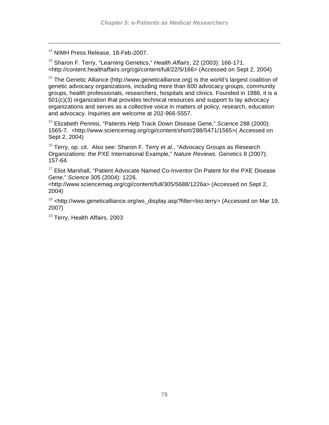<sup>14</sup> NIMH Press Release, 18-Feb-2007.

 $\overline{a}$ 

15 Sharon F. Terry, "Learning Genetics," *Health Affairs*, 22 (2003): 166-171. <http://content.healthaffairs.org/cgi/content/full/22/5/166> (Accessed on Sept 2, 2004)

 $15$  The Genetic Alliance (http://www.geneticalliance.org) is the world's largest coalition of genetic advocacy organizations, including more than 600 advocacy groups, community groups, health professionals, researchers, hospitals and clinics. Founded in 1986, it is a 501(c)(3) organization that provides technical resources and support to lay advocacy organizations and serves as a collective voice in matters of policy, research, education and advocacy. Inquiries are welcome at 202-966-5557.

15 Elizabeth Pennisi, "Patients Help Track Down Disease Gene," *Science* 288 (2000): 1565-7. <http://www.sciencemag.org/cgi/content/short/288/5471/1565>( Accessed on Sept 2, 2004)

 $16$  Terry, op. cit. Also see: Sharon F. Terry et al., "Advocacy Groups as Research Organizations: the PXE International Example," *Nature Reviews. Genetics* 8 (2007): 157-64.

<sup>17</sup> Eliot Marshall, "Patient Advocate Named Co-Inventor On Patent for the PXE Disease Gene," *Science* 305 (2004): 1226.

<http://www.sciencemag.org/cgi/content/full/305/5688/1226a> (Accessed on Sept 2, 2004)

<sup>18</sup> <http://www.geneticalliance.org/ws\_display.asp?filter=bio.terry> (Accessed on Mar 19, 2007)

<sup>19</sup> Terry, Health Affairs, 2003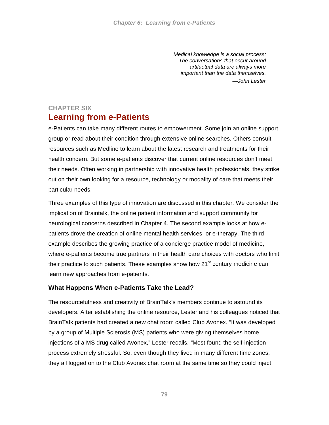*Medical knowledge is a social process: The conversations that occur around artifactual data are always more important than the data themselves. —John Lester*

# **CHAPTER SIX Learning from e-Patients**

e-Patients can take many different routes to empowerment. Some join an online support group or read about their condition through extensive online searches. Others consult resources such as Medline to learn about the latest research and treatments for their health concern. But some e-patients discover that current online resources don't meet their needs. Often working in partnership with innovative health professionals, they strike out on their own looking for a resource, technology or modality of care that meets their particular needs.

Three examples of this type of innovation are discussed in this chapter. We consider the implication of Braintalk, the online patient information and support community for neurological concerns described in Chapter 4. The second example looks at how epatients drove the creation of online mental health services, or e-therapy. The third example describes the growing practice of a concierge practice model of medicine, where e-patients become true partners in their health care choices with doctors who limit their practice to such patients. These examples show how  $21<sup>st</sup>$  century medicine can learn new approaches from e-patients.

## **What Happens When e-Patients Take the Lead?**

The resourcefulness and creativity of BrainTalk's members continue to astound its developers. After establishing the online resource, Lester and his colleagues noticed that BrainTalk patients had created a new chat room called Club Avonex. "It was developed by a group of Multiple Sclerosis (MS) patients who were giving themselves home injections of a MS drug called Avonex," Lester recalls. *"*Most found the self-injection process extremely stressful. So, even though they lived in many different time zones, they all logged on to the Club Avonex chat room at the same time so they could inject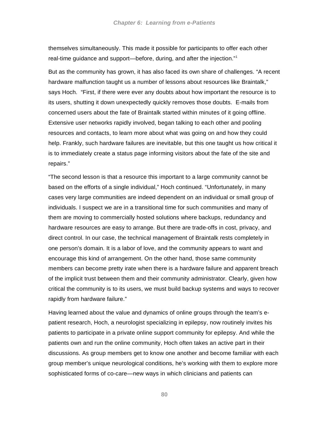themselves simultaneously. This made it possible for participants to offer each other real-time guidance and support—before, during, and after the injection."1

But as the community has grown, it has also faced its own share of challenges. "A recent hardware malfunction taught us a number of lessons about resources like Braintalk," says Hoch. "First, if there were ever any doubts about how important the resource is to its users, shutting it down unexpectedly quickly removes those doubts. E-mails from concerned users about the fate of Braintalk started within minutes of it going offline. Extensive user networks rapidly involved, began talking to each other and pooling resources and contacts, to learn more about what was going on and how they could help. Frankly, such hardware failures are inevitable, but this one taught us how critical it is to immediately create a status page informing visitors about the fate of the site and repairs."

"The second lesson is that a resource this important to a large community cannot be based on the efforts of a single individual," Hoch continued. "Unfortunately, in many cases very large communities are indeed dependent on an individual or small group of individuals. I suspect we are in a transitional time for such communities and many of them are moving to commercially hosted solutions where backups, redundancy and hardware resources are easy to arrange. But there are trade-offs in cost, privacy, and direct control. In our case, the technical management of Braintalk rests completely in one person's domain. It is a labor of love, and the community appears to want and encourage this kind of arrangement. On the other hand, those same community members can become pretty irate when there is a hardware failure and apparent breach of the implicit trust between them and their community administrator. Clearly, given how critical the community is to its users, we must build backup systems and ways to recover rapidly from hardware failure."

Having learned about the value and dynamics of online groups through the team's epatient research, Hoch, a neurologist specializing in epilepsy, now routinely invites his patients to participate in a private online support community for epilepsy. And while the patients own and run the online community, Hoch often takes an active part in their discussions. As group members get to know one another and become familiar with each group member's unique neurological conditions, he's working with them to explore more sophisticated forms of co-care—new ways in which clinicians and patients can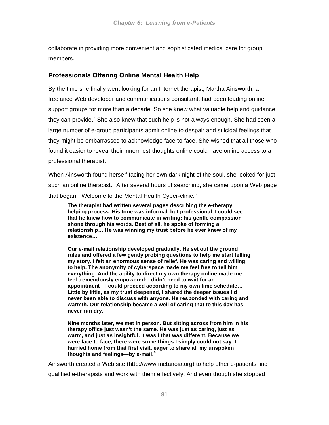collaborate in providing more convenient and sophisticated medical care for group members.

## **Professionals Offering Online Mental Health Help**

By the time she finally went looking for an Internet therapist, Martha Ainsworth, a freelance Web developer and communications consultant, had been leading online support groups for more than a decade. So she knew what valuable help and guidance they can provide.<sup>2</sup> She also knew that such help is not always enough. She had seen a large number of e-group participants admit online to despair and suicidal feelings that they might be embarrassed to acknowledge face-to-face. She wished that all those who found it easier to reveal their innermost thoughts online could have online access to a professional therapist.

When Ainsworth found herself facing her own dark night of the soul, she looked for just such an online therapist.<sup>3</sup> After several hours of searching, she came upon a Web page that began, "Welcome to the Mental Health Cyber-clinic."

**The therapist had written several pages describing the e-therapy helping process. His tone was informal, but professional. I could see that he knew how to communicate in writing; his gentle compassion shone through his words. Best of all, he spoke of forming a relationship… He was winning my trust before he ever knew of my existence…** 

**Our e-mail relationship developed gradually. He set out the ground rules and offered a few gently probing questions to help me start telling my story. I felt an enormous sense of relief. He was caring and willing to help. The anonymity of cyberspace made me feel free to tell him everything. And the ability to direct my own therapy online made me feel tremendously empowered: I didn't need to wait for an appointment—I could proceed according to my own time schedule… Little by little, as my trust deepened, I shared the deeper issues I'd never been able to discuss with anyone. He responded with caring and warmth. Our relationship became a well of caring that to this day has never run dry.** 

**Nine months later, we met in person. But sitting across from him in his therapy office just wasn't the same. He was just as caring, just as warm, and just as insightful. It was I that was different. Because we were face to face, there were some things I simply could not say. I hurried home from that first visit, eager to share all my unspoken thoughts and feelings—by e-mail.<sup>4</sup>**

Ainsworth created a Web site (http://www.metanoia.org) to help other e-patients find qualified e-therapists and work with them effectively. And even though she stopped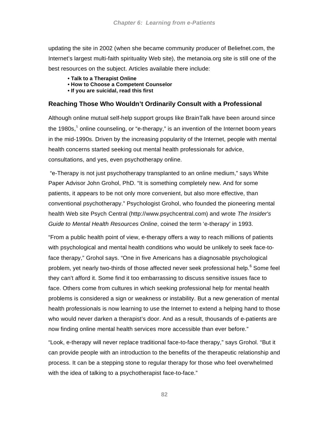updating the site in 2002 (when she became community producer of Beliefnet.com, the Internet's largest multi-faith spirituality Web site), the metanoia.org site is still one of the best resources on the subject. Articles available there include:

- **Talk to a Therapist Online**
- **How to Choose a Competent Counselor**
- **If you are suicidal, read this first**

## **Reaching Those Who Wouldn't Ordinarily Consult with a Professional**

Although online mutual self-help support groups like BrainTalk have been around since the 1980s,<sup>5</sup> online counseling, or "e-therapy," is an invention of the Internet boom years in the mid-1990s. Driven by the increasing popularity of the Internet, people with mental health concerns started seeking out mental health professionals for advice, consultations, and yes, even psychotherapy online.

 "e-Therapy is not just psychotherapy transplanted to an online medium," says White Paper Advisor John Grohol, PhD. "It is something completely new. And for some patients, it appears to be not only more convenient, but also more effective, than conventional psychotherapy." Psychologist Grohol, who founded the pioneering mental health Web site Psych Central (http://www.psychcentral.com) and wrote *The Insider's Guide to Mental Health Resources Online*, coined the term 'e-therapy' in 1993.

"From a public health point of view, e-therapy offers a way to reach millions of patients with psychological and mental health conditions who would be unlikely to seek face-toface therapy," Grohol says. "One in five Americans has a diagnosable psychological problem, yet nearly two-thirds of those affected never seek professional help.<sup>6</sup> Some feel they can't afford it. Some find it too embarrassing to discuss sensitive issues face to face. Others come from cultures in which seeking professional help for mental health problems is considered a sign or weakness or instability. But a new generation of mental health professionals is now learning to use the Internet to extend a helping hand to those who would never darken a therapist's door. And as a result, thousands of e-patients are now finding online mental health services more accessible than ever before."

"Look, e-therapy will never replace traditional face-to-face therapy," says Grohol. "But it can provide people with an introduction to the benefits of the therapeutic relationship and process. It can be a stepping stone to regular therapy for those who feel overwhelmed with the idea of talking to a psychotherapist face-to-face."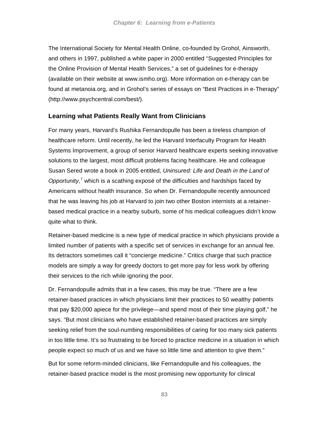The International Society for Mental Health Online, co-founded by Grohol, Ainsworth, and others in 1997, published a white paper in 2000 entitled "Suggested Principles for the Online Provision of Mental Health Services," a set of guidelines for e-therapy (available on their website at www.ismho.org). More information on e-therapy can be found at metanoia.org, and in Grohol's series of essays on "Best Practices in e-Therapy" (http://www.psychcentral.com/best/).

## **Learning what Patients Really Want from Clinicians**

For many years, Harvard's Rushika Fernandopulle has been a tireless champion of healthcare reform. Until recently, he led the Harvard Interfaculty Program for Health Systems Improvement, a group of senior Harvard healthcare experts seeking innovative solutions to the largest, most difficult problems facing healthcare. He and colleague Susan Sered wrote a book in 2005 entitled, *Uninsured: Life and Death in the Land of Opportunity,*<sup>7</sup> which is a scathing exposé of the difficulties and hardships faced by Americans without health insurance. So when Dr. Fernandopulle recently announced that he was leaving his job at Harvard to join two other Boston internists at a retainerbased medical practice in a nearby suburb, some of his medical colleagues didn't know quite what to think.

Retainer-based medicine is a new type of medical practice in which physicians provide a limited number of patients with a specific set of services in exchange for an annual fee. Its detractors sometimes call it "concierge medicine." Critics charge that such practice models are simply a way for greedy doctors to get more pay for less work by offering their services to the rich while ignoring the poor.

Dr. Fernandopulle admits that in a few cases, this may be true. "There are a few retainer-based practices in which physicians limit their practices to 50 wealthy patients that pay \$20,000 apiece for the privilege—and spend most of their time playing golf," he says. "But most clinicians who have established retainer-based practices are simply seeking relief from the soul-numbing responsibilities of caring for too many sick patients in too little time. It's so frustrating to be forced to practice medicine in a situation in which people expect so much of us and we have so little time and attention to give them."

But for some reform-minded clinicians, like Fernandopulle and his colleagues, the retainer-based practice model is the most promising new opportunity for clinical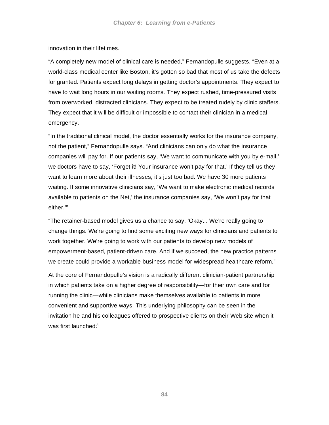innovation in their lifetimes.

"A completely new model of clinical care is needed," Fernandopulle suggests. "Even at a world-class medical center like Boston, it's gotten so bad that most of us take the defects for granted. Patients expect long delays in getting doctor's appointments. They expect to have to wait long hours in our waiting rooms. They expect rushed, time-pressured visits from overworked, distracted clinicians. They expect to be treated rudely by clinic staffers. They expect that it will be difficult or impossible to contact their clinician in a medical emergency.

"In the traditional clinical model, the doctor essentially works for the insurance company, not the patient," Fernandopulle says. "And clinicians can only do what the insurance companies will pay for. If our patients say, 'We want to communicate with you by e-mail,' we doctors have to say, 'Forget it! Your insurance won't pay for that.' If they tell us they want to learn more about their illnesses, it's just too bad. We have 30 more patients waiting. If some innovative clinicians say, 'We want to make electronic medical records available to patients on the Net,' the insurance companies say, 'We won't pay for that either.'"

"The retainer-based model gives us a chance to say, 'Okay... We're really going to change things. We're going to find some exciting new ways for clinicians and patients to work together. We're going to work with our patients to develop new models of empowerment-based, patient-driven care. And if we succeed, the new practice patterns we create could provide a workable business model for widespread healthcare reform."

At the core of Fernandopulle's vision is a radically different clinician-patient partnership in which patients take on a higher degree of responsibility—for their own care and for running the clinic—while clinicians make themselves available to patients in more convenient and supportive ways. This underlying philosophy can be seen in the invitation he and his colleagues offered to prospective clients on their Web site when it was first launched:<sup>8</sup>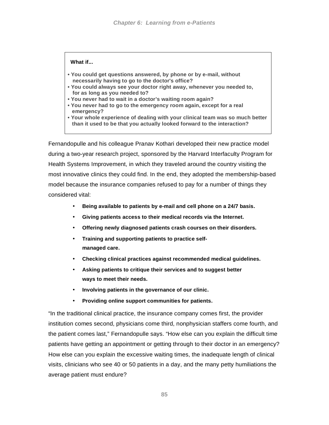#### **What if...**

- **You could get questions answered, by phone or by e-mail, without necessarily having to go to the doctor's office?**
- **You could always see your doctor right away, whenever you needed to, for as long as you needed to?**
- **You never had to wait in a doctor's waiting room again?**
- **You never had to go to the emergency room again, except for a real emergency?**
- **Your whole experience of dealing with your clinical team was so much better than it used to be that you actually looked forward to the interaction?**

Fernandopulle and his colleague Pranav Kothari developed their new practice model during a two-year research project, sponsored by the Harvard Interfaculty Program for Health Systems Improvement, in which they traveled around the country visiting the most innovative clinics they could find. In the end, they adopted the membership-based model because the insurance companies refused to pay for a number of things they considered vital:

- **Being available to patients by e-mail and cell phone on a 24/7 basis.**
- **Giving patients access to their medical records via the Internet.**
- **Offering newly diagnosed patients crash courses on their disorders.**
- **Training and supporting patients to practice selfmanaged care.**
- **Checking clinical practices against recommended medical guidelines.**
- **Asking patients to critique their services and to suggest better ways to meet their needs.**
- **Involving patients in the governance of our clinic.**
- **Providing online support communities for patients.**

"In the traditional clinical practice, the insurance company comes first, the provider institution comes second, physicians come third, nonphysician staffers come fourth, and the patient comes last," Fernandopulle says. "How else can you explain the difficult time patients have getting an appointment or getting through to their doctor in an emergency? How else can you explain the excessive waiting times, the inadequate length of clinical visits, clinicians who see 40 or 50 patients in a day, and the many petty humiliations the average patient must endure?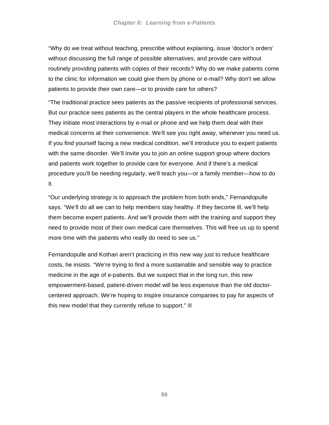"Why do we treat without teaching, prescribe without explaining, issue 'doctor's orders' without discussing the full range of possible alternatives, and provide care without routinely providing patients with copies of their records? Why do we make patients come to the clinic for information we could give them by phone or e-mail? Why don't we allow patients to provide their own care—or to provide care for others?

"The traditional practice sees patients as the passive recipients of professional services. But our practice sees patients as the central players in the whole healthcare process. They initiate most interactions by e-mail or phone and we help them deal with their medical concerns at their convenience. We'll see you right away, whenever you need us. If you find yourself facing a new medical condition, we'll introduce you to expert patients with the same disorder. We'll invite you to join an online support group where doctors and patients work together to provide care for everyone. And if there's a medical procedure you'll be needing regularly, we'll teach you—or a family member—how to do it.

"Our underlying strategy is to approach the problem from both ends," Fernandopulle says. "We'll do all we can to help members stay healthy. If they become ill, we'll help them become expert patients. And we'll provide them with the training and support they need to provide most of their own medical care themselves. This will free us up to spend more time with the patients who really do need to see us."

Fernandopulle and Kothari aren't practicing in this new way just to reduce healthcare costs, he insists. "We're trying to find a more sustainable and sensible way to practice medicine in the age of e-patients. But we suspect that in the long run, this new empowerment-based, patient-driven model will be less expensive than the old doctorcentered approach. We're hoping to inspire insurance companies to pay for aspects of this new model that they currently refuse to support."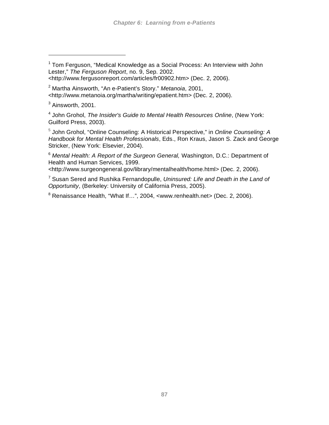$\overline{a}$ 

4 John Grohol, *The Insider's Guide to Mental Health Resources Online*, (New York: Guilford Press, 2003).

5 John Grohol, "Online Counseling: A Historical Perspective," in *Online Counseling: A Handbook for Mental Health Professionals*, Eds., Ron Kraus, Jason S. Zack and George Stricker, (New York: Elsevier, 2004).

<sup>6</sup> *Mental Health: A Report of the Surgeon General,* Washington, D.C.: Department of Health and Human Services, 1999.

<http://www.surgeongeneral.gov/library/mentalhealth/home.html> (Dec. 2, 2006).

7 Susan Sered and Rushika Fernandopulle, *Uninsured: Life and Death in the Land of Opportunity*, (Berkeley: University of California Press, 2005).

<sup>8</sup> Renaissance Health, "What If…", 2004, <www.renhealth.net> (Dec. 2, 2006).

<sup>&</sup>lt;sup>1</sup> Tom Ferguson, "Medical Knowledge as a Social Process: An Interview with John Lester," *The Ferguson Report*, no. 9, Sep. 2002.

<sup>&</sup>lt;http://www.fergusonreport.com/articles/fr00902.htm> (Dec. 2, 2006).

<sup>2</sup> Martha Ainsworth, "An e-Patient's Story." *Metanoia*, 2001, <http://www.metanoia.org/martha/writing/epatient.htm> (Dec. 2, 2006).

 $^3$  Ainsworth, 2001.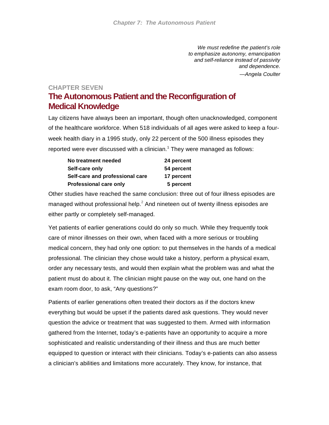*We must redefine the patient's role to emphasize autonomy, emancipation and self-reliance instead of passivity and dependence. —Angela Coulter*

## **CHAPTER SEVEN**

# **The Autonomous Patient and the Reconfiguration of Medical Knowledge**

Lay citizens have always been an important, though often unacknowledged, component of the healthcare workforce. When 518 individuals of all ages were asked to keep a fourweek health diary in a 1995 study, only 22 percent of the 500 illness episodes they reported were ever discussed with a clinician. $^1$  They were managed as follows:

| No treatment needed             | 24 percent |
|---------------------------------|------------|
| Self-care only                  | 54 percent |
| Self-care and professional care | 17 percent |
| <b>Professional care only</b>   | 5 percent  |

Other studies have reached the same conclusion: three out of four illness episodes are managed without professional help.<sup>2</sup> And nineteen out of twenty illness episodes are either partly or completely self-managed.

Yet patients of earlier generations could do only so much. While they frequently took care of minor illnesses on their own, when faced with a more serious or troubling medical concern, they had only one option: to put themselves in the hands of a medical professional. The clinician they chose would take a history, perform a physical exam, order any necessary tests, and would then explain what the problem was and what the patient must do about it. The clinician might pause on the way out, one hand on the exam room door, to ask, "Any questions?"

Patients of earlier generations often treated their doctors as if the doctors knew everything but would be upset if the patients dared ask questions. They would never question the advice or treatment that was suggested to them. Armed with information gathered from the Internet, today's e-patients have an opportunity to acquire a more sophisticated and realistic understanding of their illness and thus are much better equipped to question or interact with their clinicians. Today's e-patients can also assess a clinician's abilities and limitations more accurately. They know, for instance, that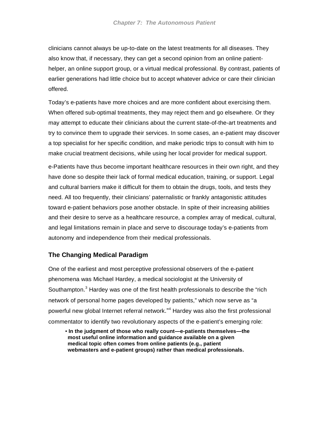clinicians cannot always be up-to-date on the latest treatments for all diseases. They also know that, if necessary, they can get a second opinion from an online patienthelper, an online support group, or a virtual medical professional. By contrast, patients of earlier generations had little choice but to accept whatever advice or care their clinician offered.

Today's e-patients have more choices and are more confident about exercising them. When offered sub-optimal treatments, they may reject them and go elsewhere. Or they may attempt to educate their clinicians about the current state-of-the-art treatments and try to convince them to upgrade their services. In some cases, an e-patient may discover a top specialist for her specific condition, and make periodic trips to consult with him to make crucial treatment decisions, while using her local provider for medical support.

e-Patients have thus become important healthcare resources in their own right, and they have done so despite their lack of formal medical education, training, or support. Legal and cultural barriers make it difficult for them to obtain the drugs, tools, and tests they need. All too frequently, their clinicians' paternalistic or frankly antagonistic attitudes toward e-patient behaviors pose another obstacle. In spite of their increasing abilities and their desire to serve as a healthcare resource, a complex array of medical, cultural, and legal limitations remain in place and serve to discourage today's e-patients from autonomy and independence from their medical professionals.

## **The Changing Medical Paradigm**

One of the earliest and most perceptive professional observers of the e-patient phenomena was Michael Hardey, a medical sociologist at the University of Southampton.<sup>3</sup> Hardey was one of the first health professionals to describe the "rich network of personal home pages developed by patients," which now serve as "a powerful new global Internet referral network."4 Hardey was also the first professional commentator to identify two revolutionary aspects of the e-patient's emerging role:

• **In the judgment of those who really count—e-patients themselves—the most useful online information and guidance available on a given medical topic often comes from online patients (e.g., patient webmasters and e-patient groups) rather than medical professionals.**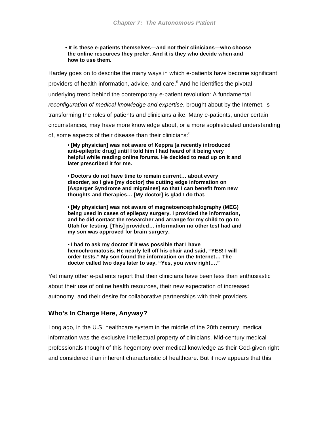#### **• It is these e-patients themselves—and not their clinicians—who choose the online resources they prefer. And it is they who decide when and how to use them.**

Hardey goes on to describe the many ways in which e-patients have become significant providers of health information, advice, and care. <sup>5</sup> And he identifies the pivotal underlying trend behind the contemporary e-patient revolution: A fundamental *reconfiguration of medical knowledge and expertise*, brought about by the Internet, is transforming the roles of patients and clinicians alike. Many e-patients, under certain circumstances, may have more knowledge about, or a more sophisticated understanding of, some aspects of their disease than their clinicians:<sup>6</sup>

**• [My physician] was not aware of Keppra [a recently introduced anti-epileptic drug] until I told him I had heard of it being very helpful while reading online forums. He decided to read up on it and later prescribed it for me.** 

**• Doctors do not have time to remain current… about every disorder, so I give [my doctor] the cutting edge information on [Asperger Syndrome and migraines] so that I can benefit from new thoughts and therapies… [My doctor] is glad I do that.** 

**• [My physician] was not aware of magnetoencephalography (MEG) being used in cases of epilepsy surgery. I provided the information, and he did contact the researcher and arrange for my child to go to Utah for testing. [This] provided… information no other test had and my son was approved for brain surgery.** 

**• I had to ask my doctor if it was possible that I have hemochromatosis. He nearly fell off his chair and said, "YES! I will order tests." My son found the information on the Internet… The doctor called two days later to say, "Yes, you were right…."** 

Yet many other e-patients report that their clinicians have been less than enthusiastic about their use of online health resources, their new expectation of increased autonomy, and their desire for collaborative partnerships with their providers.

## **Who's In Charge Here, Anyway?**

Long ago, in the U.S. healthcare system in the middle of the 20th century, medical information was the exclusive intellectual property of clinicians. Mid-century medical professionals thought of this hegemony over medical knowledge as their God-given right and considered it an inherent characteristic of healthcare. But it now appears that this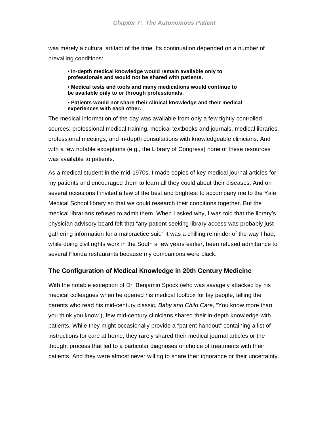was merely a cultural artifact of the time. Its continuation depended on a number of prevailing conditions:

**• In-depth medical knowledge would remain available only to professionals and would not be shared with patients.** 

**• Medical tests and tools and many medications would continue to be available only to or through professionals.** 

**• Patients would not share their clinical knowledge and their medical experiences with each other.** 

The medical information of the day was available from only a few tightly controlled sources: professional medical training, medical textbooks and journals, medical libraries, professional meetings, and in-depth consultations with knowledgeable clinicians. And with a few notable exceptions (e.g., the Library of Congress) none of these resources was available to patients.

As a medical student in the mid-1970s, I made copies of key medical journal articles for my patients and encouraged them to learn all they could about their diseases. And on several occasions I invited a few of the best and brightest to accompany me to the Yale Medical School library so that we could research their conditions together. But the medical librarians refused to admit them. When I asked why, I was told that the library's physician advisory board felt that "any patient seeking library access was probably just gathering information for a malpractice suit." It was a chilling reminder of the way I had, while doing civil rights work in the South a few years earlier, been refused admittance to several Florida restaurants because my companions were black.

## **The Configuration of Medical Knowledge in 20th Century Medicine**

With the notable exception of Dr. Benjamin Spock (who was savagely attacked by his medical colleagues when he opened his medical toolbox for lay people, telling the parents who read his mid-century classic, *Baby and Child Care*, "You know more than you think you know"), few mid-century clinicians shared their in-depth knowledge with patients. While they might occasionally provide a "patient handout" containing a list of instructions for care at home, they rarely shared their medical journal articles or the thought process that led to a particular diagnoses or choice of treatments with their patients. And they were almost never willing to share their ignorance or their uncertainty.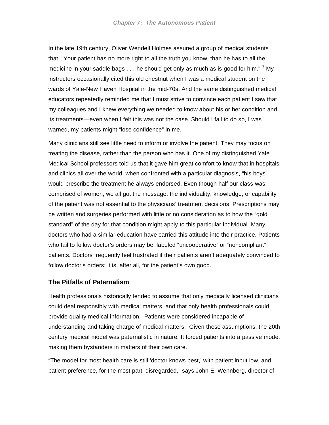In the late 19th century, Oliver Wendell Holmes assured a group of medical students that, "Your patient has no more right to all the truth you know, than he has to all the medicine in your saddle bags  $\dots$  he should get only as much as is good for him."  $\frac{7}{1}$  My instructors occasionally cited this old chestnut when I was a medical student on the wards of Yale-New Haven Hospital in the mid-70s. And the same distinguished medical educators repeatedly reminded me that I must strive to convince each patient I saw that my colleagues and I knew everything we needed to know about his or her condition and its treatments—even when I felt this was not the case. Should I fail to do so, I was warned, my patients might "lose confidence" in me.

Many clinicians still see little need to inform or involve the patient. They may focus on treating the disease, rather than the person who has it. One of my distinguished Yale Medical School professors told us that it gave him great comfort to know that in hospitals and clinics all over the world, when confronted with a particular diagnosis, "his boys" would prescribe the treatment he always endorsed. Even though half our class was comprised of women, we all got the message: the individuality, knowledge, or capability of the patient was not essential to the physicians' treatment decisions. Prescriptions may be written and surgeries performed with little or no consideration as to how the "gold standard" of the day for that condition might apply to this particular individual. Many doctors who had a similar education have carried this attitude into their practice. Patients who fail to follow doctor's orders may be labeled "uncooperative" or "noncompliant" patients. Doctors frequently feel frustrated if their patients aren't adequately convinced to follow doctor's orders; it is, after all, for the patient's own good.

#### **The Pitfalls of Paternalism**

Health professionals historically tended to assume that only medically licensed clinicians could deal responsibly with medical matters, and that only health professionals could provide quality medical information. Patients were considered incapable of understanding and taking charge of medical matters. Given these assumptions, the 20th century medical model was paternalistic in nature. It forced patients into a passive mode, making them bystanders in matters of their own care.

"The model for most health care is still 'doctor knows best,' with patient input low, and patient preference, for the most part, disregarded," says John E. Wennberg, director of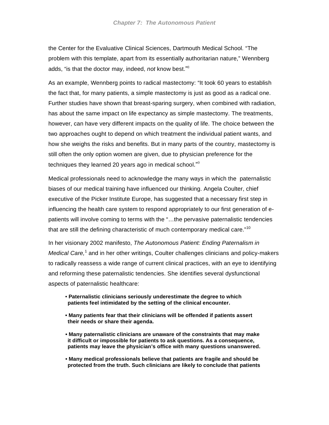the Center for the Evaluative Clinical Sciences, Dartmouth Medical School. "The problem with this template, apart from its essentially authoritarian nature," Wennberg adds, "is that the doctor may, indeed, *not* know best." 8

As an example, Wennberg points to radical mastectomy: "It took 60 years to establish the fact that, for many patients, a simple mastectomy is just as good as a radical one. Further studies have shown that breast-sparing surgery, when combined with radiation, has about the same impact on life expectancy as simple mastectomy. The treatments, however, can have very different impacts on the quality of life. The choice between the two approaches ought to depend on which treatment the individual patient wants, and how she weighs the risks and benefits. But in many parts of the country, mastectomy is still often the only option women are given, due to physician preference for the techniques they learned 20 years ago in medical school."<sup>9</sup>

Medical professionals need to acknowledge the many ways in which the paternalistic biases of our medical training have influenced our thinking. Angela Coulter, chief executive of the Picker Institute Europe, has suggested that a necessary first step in influencing the health care system to respond appropriately to our first generation of epatients will involve coming to terms with the "…the pervasive paternalistic tendencies that are still the defining characteristic of much contemporary medical care."<sup>10</sup>

In her visionary 2002 manifesto, *The Autonomous Patient: Ending Paternalism in*  Medical Care,<sup>1</sup> and in her other writings, Coulter challenges clinicians and policy-makers to radically reassess a wide range of current clinical practices, with an eye to identifying and reforming these paternalistic tendencies. She identifies several dysfunctional aspects of paternalistic healthcare:

- **Paternalistic clinicians seriously underestimate the degree to which patients feel intimidated by the setting of the clinical encounter.**
- **Many patients fear that their clinicians will be offended if patients assert their needs or share their agenda.**
- **Many paternalistic clinicians are unaware of the constraints that may make it difficult or impossible for patients to ask questions. As a consequence, patients may leave the physician's office with many questions unanswered.**
- **Many medical professionals believe that patients are fragile and should be protected from the truth. Such clinicians are likely to conclude that patients**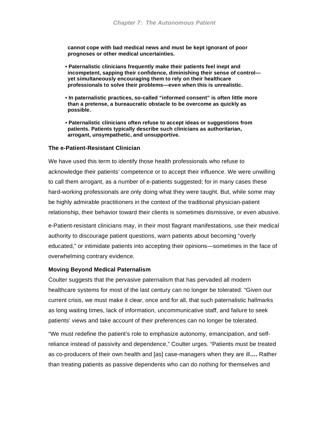**cannot cope with bad medical news and must be kept ignorant of poor prognoses or other medical uncertainties.** 

- **Paternalistic clinicians frequently make their patients feel inept and incompetent, sapping their confidence, diminishing their sense of control yet simultaneously encouraging them to rely on their healthcare professionals to solve their problems—even when this is unrealistic.**
- **In paternalistic practices, so-called "informed consent" is often little more than a pretense, a bureaucratic obstacle to be overcome as quickly as possible.**
- **Paternalistic clinicians often refuse to accept ideas or suggestions from patients. Patients typically describe such clinicians as authoritarian, arrogant, unsympathetic, and unsupportive.**

#### **The e-Patient-Resistant Clinician**

We have used this term to identify those health professionals who refuse to acknowledge their patients' competence or to accept their influence. We were unwilling to call them arrogant, as a number of e-patients suggested; for in many cases these hard-working professionals are only doing what they were taught. But, while some may be highly admirable practitioners in the context of the traditional physician-patient relationship, their behavior toward their clients is sometimes dismissive, or even abusive.

e-Patient-resistant clinicians may, in their most flagrant manifestations, use their medical authority to discourage patient questions, warn patients about becoming "overly educated," or intimidate patients into accepting their opinions—sometimes in the face of overwhelming contrary evidence.

### **Moving Beyond Medical Paternalism**

Coulter suggests that the pervasive paternalism that has pervaded all modern healthcare systems for most of the last century can no longer be tolerated: "Given our current crisis, we must make it clear, once and for all, that such paternalistic hallmarks as long waiting times, lack of information, uncommunicative staff, and failure to seek patients' views and take account of their preferences can no longer be tolerated.

"We must redefine the patient's role to emphasize autonomy, emancipation, and selfreliance instead of passivity and dependence," Coulter urges. "Patients must be treated as co-producers of their own health and [as] case-managers when they are ill**….** Rather than treating patients as passive dependents who can do nothing for themselves and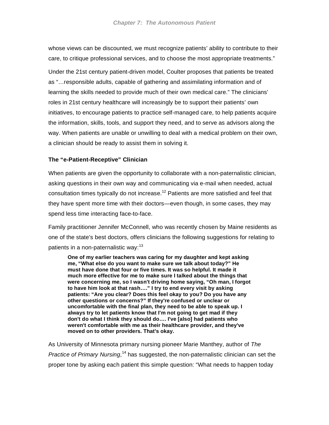whose views can be discounted, we must recognize patients' ability to contribute to their care, to critique professional services, and to choose the most appropriate treatments."

Under the 21st century patient-driven model, Coulter proposes that patients be treated as "…responsible adults, capable of gathering and assimilating information and of learning the skills needed to provide much of their own medical care." The clinicians' roles in 21st century healthcare will increasingly be to support their patients' own initiatives, to encourage patients to practice self-managed care, to help patients acquire the information, skills, tools, and support they need, and to serve as advisors along the way. When patients are unable or unwilling to deal with a medical problem on their own, a clinician should be ready to assist them in solving it.

### **The "e-Patient-Receptive" Clinician**

When patients are given the opportunity to collaborate with a non-paternalistic clinician, asking questions in their own way and communicating via e-mail when needed, actual consultation times typically do not increase.<sup>12</sup> Patients are more satisfied and feel that they have spent more time with their doctors—even though, in some cases, they may spend less time interacting face-to-face.

Family practitioner Jennifer McConnell, who was recently chosen by Maine residents as one of the state's best doctors, offers clinicians the following suggestions for relating to patients in a non-paternalistic way:<sup>13</sup>

**One of my earlier teachers was caring for my daughter and kept asking me, "What else do you want to make sure we talk about today?" He must have done that four or five times. It was so helpful. It made it much more effective for me to make sure I talked about the things that were concerning me, so I wasn't driving home saying, "Oh man, I forgot to have him look at that rash…." I try to end every visit by asking patients: "Are you clear? Does this feel okay to you? Do you have any other questions or concerns?" If they're confused or unclear or uncomfortable with the final plan, they need to be able to speak up. I always try to let patients know that I'm not going to get mad if they don't do what I think they should do…. I've [also] had patients who weren't comfortable with me as their healthcare provider, and they've moved on to other providers. That's okay.**

As University of Minnesota primary nursing pioneer Marie Manthey, author of *The*  Practice of Primary Nursing,<sup>14</sup> has suggested, the non-paternalistic clinician can set the proper tone by asking each patient this simple question: "What needs to happen today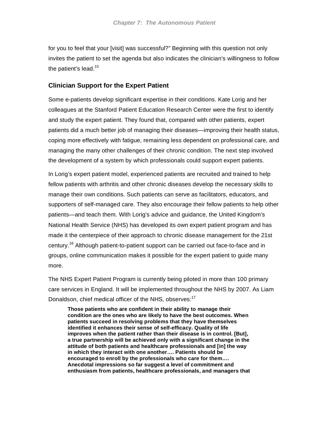for you to feel that your [visit] was successful?" Beginning with this question not only invites the patient to set the agenda but also indicates the clinician's willingness to follow the patient's lead.<sup>15</sup>

## **Clinician Support for the Expert Patient**

Some e-patients develop significant expertise in their conditions. Kate Lorig and her colleagues at the Stanford Patient Education Research Center were the first to identify and study the expert patient. They found that, compared with other patients, expert patients did a much better job of managing their diseases—improving their health status, coping more effectively with fatigue, remaining less dependent on professional care, and managing the many other challenges of their chronic condition. The next step involved the development of a system by which professionals could support expert patients.

In Lorig's expert patient model, experienced patients are recruited and trained to help fellow patients with arthritis and other chronic diseases develop the necessary skills to manage their own conditions. Such patients can serve as facilitators, educators, and supporters of self-managed care. They also encourage their fellow patients to help other patients—and teach them. With Lorig's advice and guidance, the United Kingdom's National Health Service (NHS) has developed its own expert patient program and has made it the centerpiece of their approach to chronic disease management for the 21st century.16 Although patient-to-patient support can be carried out face-to-face and in groups, online communication makes it possible for the expert patient to guide many more.

The NHS Expert Patient Program is currently being piloted in more than 100 primary care services in England. It will be implemented throughout the NHS by 2007. As Liam Donaldson, chief medical officer of the NHS, observes:<sup>17</sup>

**Those patients who are confident in their ability to manage their condition are the ones who are likely to have the best outcomes. When patients succeed in resolving problems that they have themselves identified it enhances their sense of self-efficacy. Quality of life improves when the patient rather than their disease is in control. [But], a true partnership will be achieved only with a significant change in the attitude of both patients and healthcare professionals and [in] the way in which they interact with one another…. Patients should be encouraged to enroll by the professionals who care for them…. Anecdotal impressions so far suggest a level of commitment and enthusiasm from patients, healthcare professionals, and managers that**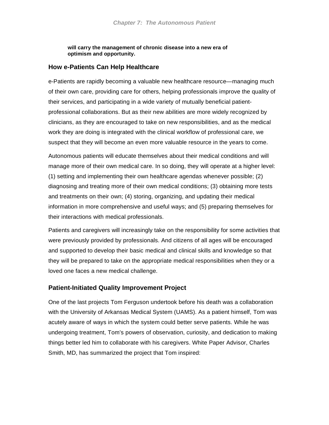**will carry the management of chronic disease into a new era of optimism and opportunity.** 

#### **How e-Patients Can Help Healthcare**

e-Patients are rapidly becoming a valuable new healthcare resource—managing much of their own care, providing care for others, helping professionals improve the quality of their services, and participating in a wide variety of mutually beneficial patientprofessional collaborations. But as their new abilities are more widely recognized by clinicians, as they are encouraged to take on new responsibilities, and as the medical work they are doing is integrated with the clinical workflow of professional care, we suspect that they will become an even more valuable resource in the years to come.

Autonomous patients will educate themselves about their medical conditions and will manage more of their own medical care. In so doing, they will operate at a higher level: (1) setting and implementing their own healthcare agendas whenever possible; (2) diagnosing and treating more of their own medical conditions; (3) obtaining more tests and treatments on their own; (4) storing, organizing, and updating their medical information in more comprehensive and useful ways; and (5) preparing themselves for their interactions with medical professionals.

Patients and caregivers will increasingly take on the responsibility for some activities that were previously provided by professionals. And citizens of all ages will be encouraged and supported to develop their basic medical and clinical skills and knowledge so that they will be prepared to take on the appropriate medical responsibilities when they or a loved one faces a new medical challenge.

## **Patient-Initiated Quality Improvement Project**

One of the last projects Tom Ferguson undertook before his death was a collaboration with the University of Arkansas Medical System (UAMS). As a patient himself, Tom was acutely aware of ways in which the system could better serve patients. While he was undergoing treatment, Tom's powers of observation, curiosity, and dedication to making things better led him to collaborate with his caregivers. White Paper Advisor, Charles Smith, MD, has summarized the project that Tom inspired: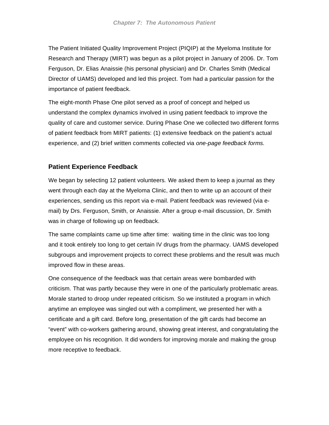The Patient Initiated Quality Improvement Project (PIQIP) at the Myeloma Institute for Research and Therapy (MIRT) was begun as a pilot project in January of 2006. Dr. Tom Ferguson, Dr. Elias Anaissie (his personal physician) and Dr. Charles Smith (Medical Director of UAMS) developed and led this project. Tom had a particular passion for the importance of patient feedback.

The eight-month Phase One pilot served as a proof of concept and helped us understand the complex dynamics involved in using patient feedback to improve the quality of care and customer service. During Phase One we collected two different forms of patient feedback from MIRT patients: (1) extensive feedback on the patient's actual experience, and (2) brief written comments collected via *one-page feedback forms.*

### **Patient Experience Feedback**

We began by selecting 12 patient volunteers*.* We asked them to keep a journal as they went through each day at the Myeloma Clinic, and then to write up an account of their experiences, sending us this report via e-mail. Patient feedback was reviewed (via email) by Drs. Ferguson, Smith, or Anaissie. After a group e-mail discussion, Dr. Smith was in charge of following up on feedback.

The same complaints came up time after time: waiting time in the clinic was too long and it took entirely too long to get certain IV drugs from the pharmacy. UAMS developed subgroups and improvement projects to correct these problems and the result was much improved flow in these areas.

One consequence of the feedback was that certain areas were bombarded with criticism. That was partly because they were in one of the particularly problematic areas. Morale started to droop under repeated criticism. So we instituted a program in which anytime an employee was singled out with a compliment, we presented her with a certificate and a gift card. Before long, presentation of the gift cards had become an "event" with co-workers gathering around, showing great interest, and congratulating the employee on his recognition. It did wonders for improving morale and making the group more receptive to feedback.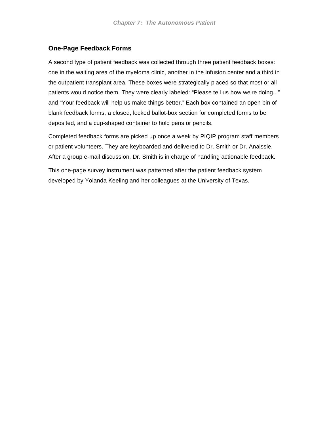## **One-Page Feedback Forms**

A second type of patient feedback was collected through three patient feedback boxes: one in the waiting area of the myeloma clinic, another in the infusion center and a third in the outpatient transplant area. These boxes were strategically placed so that most or all patients would notice them. They were clearly labeled: "Please tell us how we're doing..." and "Your feedback will help us make things better." Each box contained an open bin of blank feedback forms, a closed, locked ballot-box section for completed forms to be deposited, and a cup-shaped container to hold pens or pencils.

Completed feedback forms are picked up once a week by PIQIP program staff members or patient volunteers. They are keyboarded and delivered to Dr. Smith or Dr. Anaissie. After a group e-mail discussion, Dr. Smith is in charge of handling actionable feedback.

This one-page survey instrument was patterned after the patient feedback system developed by Yolanda Keeling and her colleagues at the University of Texas.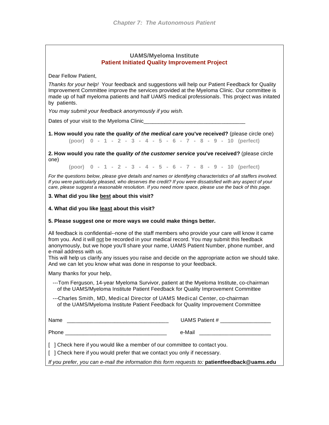| <b>UAMS/Myeloma Institute</b><br><b>Patient Initiated Quality Improvement Project</b>                                                                                                                                                                                                                                                                                                                                      |
|----------------------------------------------------------------------------------------------------------------------------------------------------------------------------------------------------------------------------------------------------------------------------------------------------------------------------------------------------------------------------------------------------------------------------|
| Dear Fellow Patient,                                                                                                                                                                                                                                                                                                                                                                                                       |
| Thanks for your help! Your feedback and suggestions will help our Patient Feedback for Quality<br>Improvement Committee improve the services provided at the Myeloma Clinic. Our committee is<br>made up of half myeloma patients and half UAMS medical professionals. This project was initated<br>by patients.                                                                                                           |
| You may submit your feedback anonymously if you wish.                                                                                                                                                                                                                                                                                                                                                                      |
| Dates of your visit to the Myeloma Clinic_______                                                                                                                                                                                                                                                                                                                                                                           |
| 1. How would you rate the quality of the medical care you've received? (please circle one)<br>(poor) $0 - 1 - 2 - 3 - 4 - 5 - 6 - 7 - 8 - 9 - 10$ (perfect)                                                                                                                                                                                                                                                                |
| 2. How would you rate the quality of the customer service you've received? (please circle<br>one)                                                                                                                                                                                                                                                                                                                          |
| (poor) 0 - 1 - 2 - 3 - 4 - 5 - 6 - 7 - 8 - 9 - 10 (perfect)                                                                                                                                                                                                                                                                                                                                                                |
| For the questions below, please give details and names or identifying characteristics of all staffers involved.<br>If you were particularly pleased, who deserves the credit? If you were dissatisfied with any aspect of your<br>care, please suggest a reasonable resolution. If you need more space, please use the back of this page.                                                                                  |
| 3. What did you like best about this visit?                                                                                                                                                                                                                                                                                                                                                                                |
| 4. What did you like least about this visit?                                                                                                                                                                                                                                                                                                                                                                               |
| 5. Please suggest one or more ways we could make things better.                                                                                                                                                                                                                                                                                                                                                            |
| All feedback is confidential--none of the staff members who provide your care will know it came<br>from you. And it will not be recorded in your medical record. You may submit this feedback<br>anonymously, but we hope you'll share your name, UAMS Patient Number, phone number, and<br>e-mail address with us.<br>This will help us clarify any issues you raise and decide on the appropriate action we should take. |
| And we can let you know what was done in response to your feedback.                                                                                                                                                                                                                                                                                                                                                        |
| Many thanks for your help,                                                                                                                                                                                                                                                                                                                                                                                                 |
| ---Tom Ferguson, 14-year Myeloma Survivor, patient at the Myeloma Institute, co-chairman<br>of the UAMS/Myeloma Institute Patient Feedback for Quality Improvement Committee                                                                                                                                                                                                                                               |
| ---Charles Smith, MD, Medical Director of UAMS Medical Center, co-chairman<br>of the UAMS/Myeloma Institute Patient Feedback for Quality Improvement Committee                                                                                                                                                                                                                                                             |
| UAMS Patient # ____________________<br>Name                                                                                                                                                                                                                                                                                                                                                                                |
|                                                                                                                                                                                                                                                                                                                                                                                                                            |
| [ ] Check here if you would like a member of our committee to contact you.<br>[ ] Check here if you would prefer that we contact you only if necessary.<br>If you prefer, you can e-mail the information this form requests to: patientfeedback@uams.edu                                                                                                                                                                   |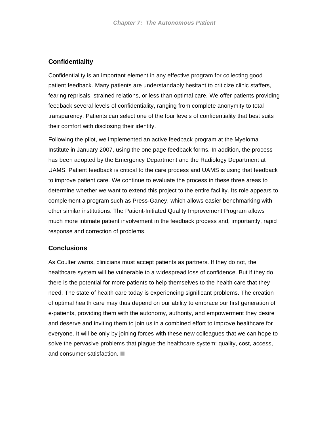## **Confidentiality**

Confidentiality is an important element in any effective program for collecting good patient feedback. Many patients are understandably hesitant to criticize clinic staffers, fearing reprisals, strained relations, or less than optimal care. We offer patients providing feedback several levels of confidentiality, ranging from complete anonymity to total transparency. Patients can select one of the four levels of confidentiality that best suits their comfort with disclosing their identity.

Following the pilot, we implemented an active feedback program at the Myeloma Institute in January 2007, using the one page feedback forms. In addition, the process has been adopted by the Emergency Department and the Radiology Department at UAMS. Patient feedback is critical to the care process and UAMS is using that feedback to improve patient care. We continue to evaluate the process in these three areas to determine whether we want to extend this project to the entire facility. Its role appears to complement a program such as Press-Ganey, which allows easier benchmarking with other similar institutions. The Patient-Initiated Quality Improvement Program allows much more intimate patient involvement in the feedback process and, importantly, rapid response and correction of problems.

## **Conclusions**

As Coulter warns, clinicians must accept patients as partners. If they do not, the healthcare system will be vulnerable to a widespread loss of confidence. But if they do, there is the potential for more patients to help themselves to the health care that they need. The state of health care today is experiencing significant problems. The creation of optimal health care may thus depend on our ability to embrace our first generation of e-patients, providing them with the autonomy, authority, and empowerment they desire and deserve and inviting them to join us in a combined effort to improve healthcare for everyone. It will be only by joining forces with these new colleagues that we can hope to solve the pervasive problems that plague the healthcare system: quality, cost, access, and consumer satisfaction.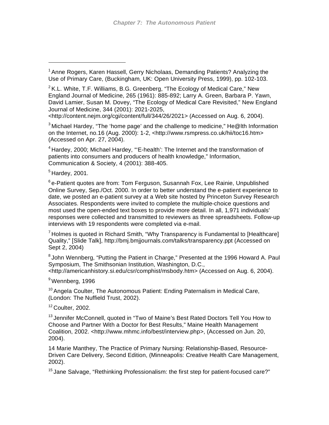$2$ K.L. White, T.F. Williams, B.G. Greenberg, "The Ecology of Medical Care," New England Journal of Medicine, 265 (1961): 885-892; Larry A. Green, Barbara P. Yawn, David Lamier, Susan M. Dovey, "The Ecology of Medical Care Revisited," New England Journal of Medicine, 344 (2001): 2021-2025,

<http://content.nejm.org/cgi/content/full/344/26/2021> (Accessed on Aug. 6, 2004).

 $3$  Michael Hardey, "The 'home page' and the challenge to medicine," He@lth Information on the Internet, no.16 (Aug. 2000): 1-2, <http://www.rsmpress.co.uk/hii/toc16.htm> (Accessed on Apr. 27, 2004).

<sup>4</sup> Hardey, 2000; Michael Hardey, "'E-health': The Internet and the transformation of patients into consumers and producers of health knowledge," Information, Communication & Society, 4 (2001): 388-405.

 $<sup>5</sup>$  Hardey, 2001.</sup>

 $\overline{a}$ 

 $6$  e-Patient quotes are from: Tom Ferguson, Susannah Fox, Lee Rainie, Unpublished Online Survey, Sep./Oct. 2000. In order to better understand the e-patient experience to date, we posted an e-patient survey at a Web site hosted by Princeton Survey Research Associates. Respondents were invited to complete the multiple-choice questions and most used the open-ended text boxes to provide more detail. In all, 1,971 individuals' responses were collected and transmitted to reviewers as three spreadsheets. Follow-up interviews with 19 respondents were completed via e-mail.

 $7$  Holmes is quoted in Richard Smith, "Why Transparency is Fundamental to [Healthcare] Quality," [Slide Talk], http://bmj.bmjjournals.com/talks/transparency.ppt (Accessed on Sept 2, 2004)

<sup>8</sup> John Wennberg, "Putting the Patient in Charge," Presented at the 1996 Howard A. Paul Symposium, The Smithsonian Institution, Washington, D.C.,

<http://americanhistory.si.edu/csr/comphist/msbody.htm> (Accessed on Aug. 6, 2004).

9 Wennberg, 1996

 $10$  Angela Coulter, The Autonomous Patient: Ending Paternalism in Medical Care, (London: The Nuffield Trust, 2002).

 $12$  Coulter, 2002.

<sup>13</sup> Jennifer McConnell, quoted in "Two of Maine's Best Rated Doctors Tell You How to Choose and Partner With a Doctor for Best Results," Maine Health Management Coalition, 2002. <http://www.mhmc.info/best/interview.php>, (Accessed on Jun. 20, 2004).

14 Marie Manthey, The Practice of Primary Nursing: Relationship-Based, Resource-Driven Care Delivery, Second Edition, (Minneapolis: Creative Health Care Management, 2002).

<sup>15</sup> Jane Salvage, "Rethinking Professionalism: the first step for patient-focused care?"

<sup>&</sup>lt;sup>1</sup> Anne Rogers, Karen Hassell, Gerry Nicholaas, Demanding Patients? Analyzing the Use of Primary Care, (Buckingham, UK: Open University Press, 1999), pp. 102-103.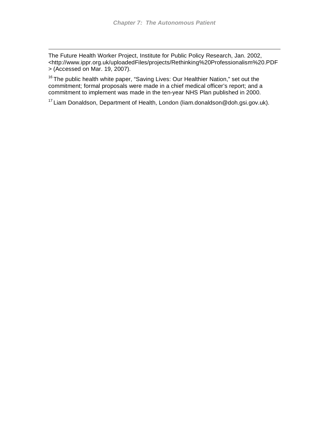The Future Health Worker Project, Institute for Public Policy Research, Jan. 2002, <http://www.ippr.org.uk/uploadedFiles/projects/Rethinking%20Professionalism%20.PDF > (Accessed on Mar. 19, 2007).

<sup>16</sup> The public health white paper, "Saving Lives: Our Healthier Nation," set out the commitment; formal proposals were made in a chief medical officer's report; and a commitment to implement was made in the ten-year NHS Plan published in 2000.

 $\overline{a}$ 

17 Liam Donaldson, Department of Health, London (liam.donaldson@doh.gsi.gov.uk).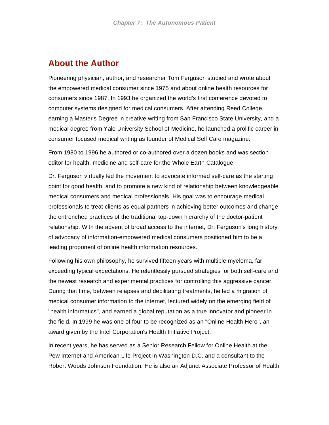## **About the Author**

Pioneering physician, author, and researcher Tom Ferguson studied and wrote about the empowered medical consumer since 1975 and about online health resources for consumers since 1987. In 1993 he organized the world's first conference devoted to computer systems designed for medical consumers. After attending Reed College, earning a Master's Degree in creative writing from San Francisco State University, and a medical degree from Yale University School of Medicine, he launched a prolific career in consumer focused medical writing as founder of Medical Self Care magazine.

From 1980 to 1996 he authored or co-authored over a dozen books and was section editor for health, medicine and self-care for the Whole Earth Catalogue.

Dr. Ferguson virtually led the movement to advocate informed self-care as the starting point for good health, and to promote a new kind of relationship between knowledgeable medical consumers and medical professionals. His goal was to encourage medical professionals to treat clients as equal partners in achieving better outcomes and change the entrenched practices of the traditional top-down hierarchy of the doctor-patient relationship. With the advent of broad access to the internet, Dr. Ferguson's long history of advocacy of information-empowered medical consumers positioned him to be a leading proponent of online health information resources.

Following his own philosophy, he survived fifteen years with multiple myeloma, far exceeding typical expectations. He relentlessly pursued strategies for both self-care and the newest research and experimental practices for controlling this aggressive cancer. During that time, between relapses and debilitating treatments, he led a migration of medical consumer information to the internet, lectured widely on the emerging field of "health informatics", and earned a global reputation as a true innovator and pioneer in the field. In 1999 he was one of four to be recognized as an "Online Health Hero", an award given by the Intel Corporation's Health Initiative Project.

In recent years, he has served as a Senior Research Fellow for Online Health at the Pew Internet and American Life Project in Washington D.C. and a consultant to the Robert Woods Johnson Foundation. He is also an Adjunct Associate Professor of Health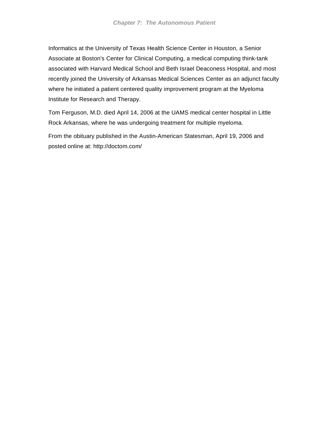Informatics at the University of Texas Health Science Center in Houston, a Senior Associate at Boston's Center for Clinical Computing, a medical computing think-tank associated with Harvard Medical School and Beth Israel Deaconess Hospital, and most recently joined the University of Arkansas Medical Sciences Center as an adjunct faculty where he initiated a patient centered quality improvement program at the Myeloma Institute for Research and Therapy.

Tom Ferguson, M.D. died April 14, 2006 at the UAMS medical center hospital in Little Rock Arkansas, where he was undergoing treatment for multiple myeloma.

From the obituary published in the Austin-American Statesman, April 19, 2006 and posted online at: http://doctom.com/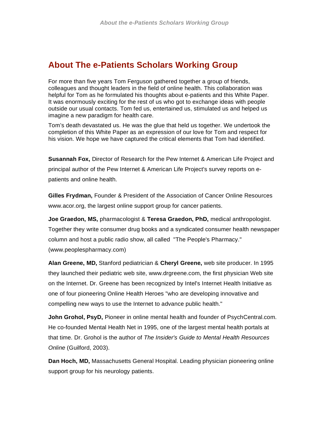# **About The e-Patients Scholars Working Group**

For more than five years Tom Ferguson gathered together a group of friends, colleagues and thought leaders in the field of online health. This collaboration was helpful for Tom as he formulated his thoughts about e-patients and this White Paper. It was enormously exciting for the rest of us who got to exchange ideas with people outside our usual contacts. Tom fed us, entertained us, stimulated us and helped us imagine a new paradigm for health care.

Tom's death devastated us. He was the glue that held us together. We undertook the completion of this White Paper as an expression of our love for Tom and respect for his vision. We hope we have captured the critical elements that Tom had identified.

**Susannah Fox,** Director of Research for the Pew Internet & American Life Project and principal author of the Pew Internet & American Life Project's survey reports on epatients and online health.

**Gilles Frydman,** Founder & President of the Association of Cancer Online Resources www.acor.org, the largest online support group for cancer patients.

**Joe Graedon, MS,** pharmacologist & **Teresa Graedon, PhD,** medical anthropologist. Together they write consumer drug books and a syndicated consumer health newspaper column and host a public radio show, all called "The People's Pharmacy." (www.peoplespharmacy.com)

**Alan Greene, MD,** Stanford pediatrician & **Cheryl Greene,** web site producer. In 1995 they launched their pediatric web site, www.drgreene.com, the first physician Web site on the Internet. Dr. Greene has been recognized by Intel's Internet Health Initiative as one of four pioneering Online Health Heroes "who are developing innovative and compelling new ways to use the Internet to advance public health."

**John Grohol, PsyD,** Pioneer in online mental health and founder of PsychCentral.com. He co-founded Mental Health Net in 1995, one of the largest mental health portals at that time. Dr. Grohol is the author of *The Insider's Guide to Mental Health Resources Online* (Guilford, 2003).

**Dan Hoch, MD,** Massachusetts General Hospital. Leading physician pioneering online support group for his neurology patients.